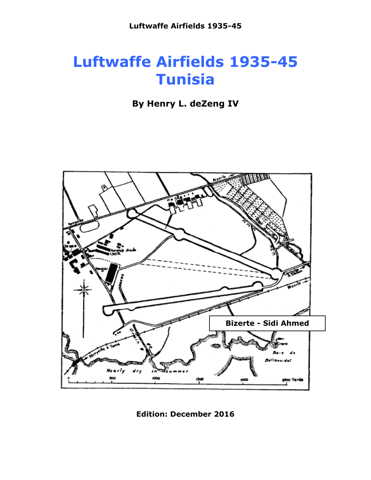# **Luftwaffe Airfields 1935-45 Tunisia**

**By Henry L. deZeng IV**



**Edition: December 2016**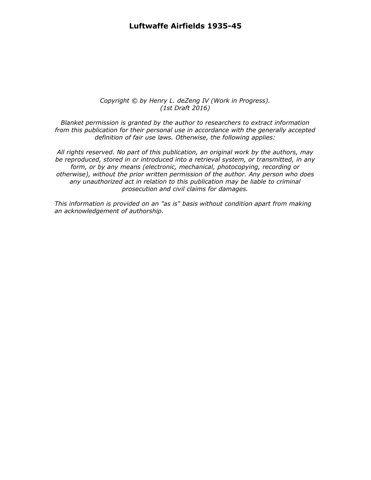#### **Luftwaffe Airfields 1935-45**

#### *Copyright © by Henry L. deZeng IV (Work in Progress). (1st Draft 2016)*

*Blanket permission is granted by the author to researchers to extract information from this publication for their personal use in accordance with the generally accepted definition of fair use laws. Otherwise, the following applies:*

*All rights reserved. No part of this publication, an original work by the authors, may be reproduced, stored in or introduced into a retrieval system, or transmitted, in any form, or by any means (electronic, mechanical, photocopying, recording or otherwise), without the prior written permission of the author. Any person who does any unauthorized act in relation to this publication may be liable to criminal prosecution and civil claims for damages.*

*This information is provided on an "as is" basis without condition apart from making an acknowledgement of authorship.*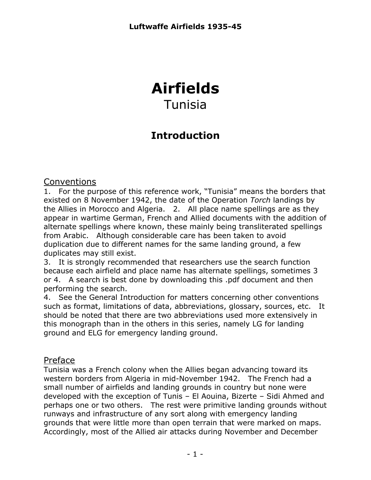## **Airfields** Tunisia

### **Introduction**

### Conventions

1. For the purpose of this reference work, "Tunisia" means the borders that existed on 8 November 1942, the date of the Operation *Torch* landings by the Allies in Morocco and Algeria. 2. All place name spellings are as they appear in wartime German, French and Allied documents with the addition of alternate spellings where known, these mainly being transliterated spellings from Arabic. Although considerable care has been taken to avoid duplication due to different names for the same landing ground, a few duplicates may still exist.

3. It is strongly recommended that researchers use the search function because each airfield and place name has alternate spellings, sometimes 3 or 4. A search is best done by downloading this .pdf document and then performing the search.

4. See the General Introduction for matters concerning other conventions such as format, limitations of data, abbreviations, glossary, sources, etc. It should be noted that there are two abbreviations used more extensively in this monograph than in the others in this series, namely LG for landing ground and ELG for emergency landing ground.

### Preface

Tunisia was a French colony when the Allies began advancing toward its western borders from Algeria in mid-November 1942. The French had a small number of airfields and landing grounds in country but none were developed with the exception of Tunis – El Aouina, Bizerte – Sidi Ahmed and perhaps one or two others. The rest were primitive landing grounds without runways and infrastructure of any sort along with emergency landing grounds that were little more than open terrain that were marked on maps. Accordingly, most of the Allied air attacks during November and December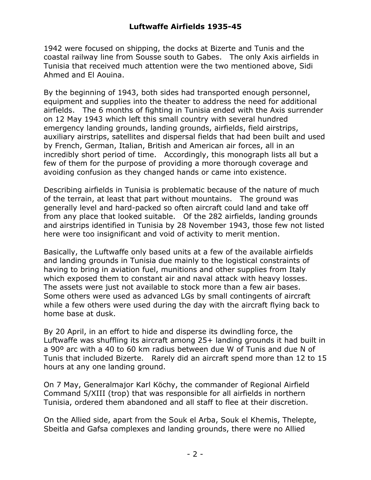1942 were focused on shipping, the docks at Bizerte and Tunis and the coastal railway line from Sousse south to Gabes. The only Axis airfields in Tunisia that received much attention were the two mentioned above, Sidi Ahmed and El Aouina.

By the beginning of 1943, both sides had transported enough personnel, equipment and supplies into the theater to address the need for additional airfields. The 6 months of fighting in Tunisia ended with the Axis surrender on 12 May 1943 which left this small country with several hundred emergency landing grounds, landing grounds, airfields, field airstrips, auxiliary airstrips, satellites and dispersal fields that had been built and used by French, German, Italian, British and American air forces, all in an incredibly short period of time. Accordingly, this monograph lists all but a few of them for the purpose of providing a more thorough coverage and avoiding confusion as they changed hands or came into existence.

Describing airfields in Tunisia is problematic because of the nature of much of the terrain, at least that part without mountains. The ground was generally level and hard-packed so often aircraft could land and take off from any place that looked suitable. Of the 282 airfields, landing grounds and airstrips identified in Tunisia by 28 November 1943, those few not listed here were too insignificant and void of activity to merit mention.

Basically, the Luftwaffe only based units at a few of the available airfields and landing grounds in Tunisia due mainly to the logistical constraints of having to bring in aviation fuel, munitions and other supplies from Italy which exposed them to constant air and naval attack with heavy losses. The assets were just not available to stock more than a few air bases. Some others were used as advanced LGs by small contingents of aircraft while a few others were used during the day with the aircraft flying back to home base at dusk.

By 20 April, in an effort to hide and disperse its dwindling force, the Luftwaffe was shuffling its aircraft among 25+ landing grounds it had built in a 90º arc with a 40 to 60 km radius between due W of Tunis and due N of Tunis that included Bizerte. Rarely did an aircraft spend more than 12 to 15 hours at any one landing ground.

On 7 May, Generalmajor Karl Köchy, the commander of Regional Airfield Command 5/XIII (trop) that was responsible for all airfields in northern Tunisia, ordered them abandoned and all staff to flee at their discretion.

On the Allied side, apart from the Souk el Arba, Souk el Khemis, Thelepte, Sbeitla and Gafsa complexes and landing grounds, there were no Allied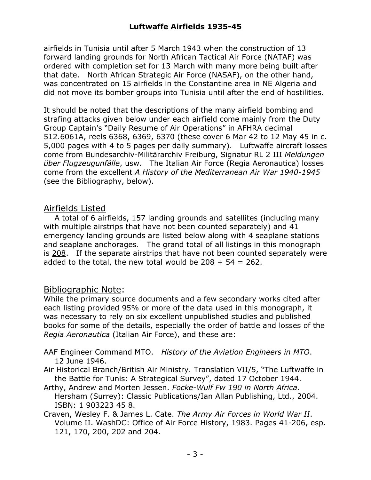airfields in Tunisia until after 5 March 1943 when the construction of 13 forward landing grounds for North African Tactical Air Force (NATAF) was ordered with completion set for 13 March with many more being built after that date. North African Strategic Air Force (NASAF), on the other hand, was concentrated on 15 airfields in the Constantine area in NE Algeria and did not move its bomber groups into Tunisia until after the end of hostilities.

It should be noted that the descriptions of the many airfield bombing and strafing attacks given below under each airfield come mainly from the Duty Group Captain's "Daily Resume of Air Operations" in AFHRA decimal 512.6061A, reels 6368, 6369, 6370 (these cover 6 Mar 42 to 12 May 45 in c. 5,000 pages with 4 to 5 pages per daily summary). Luftwaffe aircraft losses come from Bundesarchiv-Militärarchiv Freiburg, Signatur RL 2 III *Meldungen über Flugzeugunfälle*, usw. The Italian Air Force (Regia Aeronautica) losses come from the excellent *A History of the Mediterranean Air War 1940-1945* (see the Bibliography, below).

### Airfields Listed

A total of 6 airfields, 157 landing grounds and satellites (including many with multiple airstrips that have not been counted separately) and 41 emergency landing grounds are listed below along with 4 seaplane stations and seaplane anchorages. The grand total of all listings in this monograph is 208. If the separate airstrips that have not been counted separately were added to the total, the new total would be  $208 + 54 = 262$ .

### Bibliographic Note:

While the primary source documents and a few secondary works cited after each listing provided 95% or more of the data used in this monograph, it was necessary to rely on six excellent unpublished studies and published books for some of the details, especially the order of battle and losses of the *Regia Aeronautica* (Italian Air Force), and these are:

- AAF Engineer Command MTO. *History of the Aviation Engineers in MTO*. 12 June 1946.
- Air Historical Branch/British Air Ministry. Translation VII/5, "The Luftwaffe in the Battle for Tunis: A Strategical Survey", dated 17 October 1944.
- Arthy, Andrew and Morten Jessen. *Focke-Wulf Fw 190 in North Africa*. Hersham (Surrey): Classic Publications/Ian Allan Publishing, Ltd., 2004. ISBN: 1 903223 45 8.
- Craven, Wesley F. & James L. Cate. *The Army Air Forces in World War II*. Volume II. WashDC: Office of Air Force History, 1983. Pages 41-206, esp. 121, 170, 200, 202 and 204.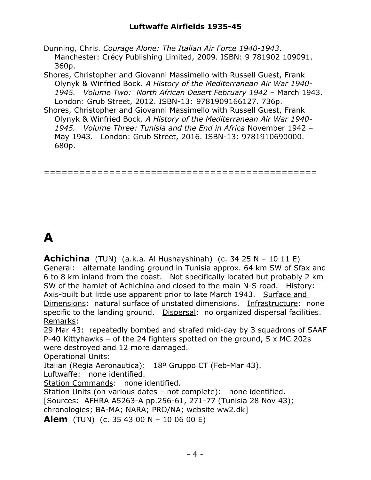Dunning, Chris. *Courage Alone: The Italian Air Force 1940-1943*. Manchester: Crécy Publishing Limited, 2009. ISBN: 9 781902 109091. 360p.

Shores, Christopher and Giovanni Massimello with Russell Guest, Frank Olynyk & Winfried Bock. *A History of the Mediterranean Air War 1940- 1945. Volume Two: North African Desert February 1942* – March 1943. London: Grub Street, 2012. ISBN-13: 9781909166127. 736p.

Shores, Christopher and Giovanni Massimello with Russell Guest, Frank Olynyk & Winfried Bock. *A History of the Mediterranean Air War 1940- 1945. Volume Three: Tunisia and the End in Africa* November 1942 – May 1943. London: Grub Street, 2016. ISBN-13: 9781910690000. 680p.

==============================================

# **A**

**Achichina** (TUN) (a.k.a. Al Hushayshinah) (c. 34 25 N – 10 11 E) General: alternate landing ground in Tunisia approx. 64 km SW of Sfax and 6 to 8 km inland from the coast. Not specifically located but probably 2 km SW of the hamlet of Achichina and closed to the main N-S road. History: Axis-built but little use apparent prior to late March 1943. Surface and Dimensions: natural surface of unstated dimensions. Infrastructure: none specific to the landing ground. Dispersal: no organized dispersal facilities. Remarks:

29 Mar 43: repeatedly bombed and strafed mid-day by 3 squadrons of SAAF P-40 Kittyhawks – of the 24 fighters spotted on the ground, 5 x MC 202s were destroyed and 12 more damaged.

Operational Units:

Italian (Regia Aeronautica): 18º Gruppo CT (Feb-Mar 43).

Luftwaffe: none identified.

Station Commands: none identified.

Station Units (on various dates – not complete): none identified.

[Sources: AFHRA A5263-A pp.256-61, 271-77 (Tunisia 28 Nov 43);

chronologies; BA-MA; NARA; PRO/NA; website ww2.dk]

**Alem** (TUN) (c. 35 43 00 N – 10 06 00 E)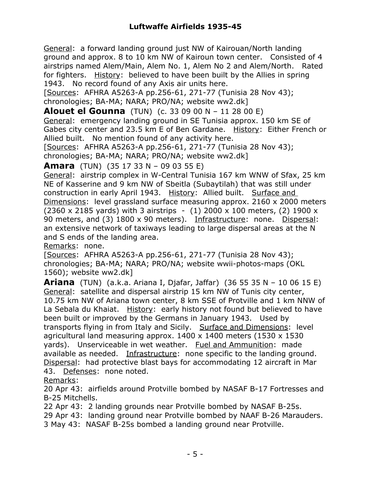General: a forward landing ground just NW of Kairouan/North landing ground and approx. 8 to 10 km NW of Kairoun town center. Consisted of 4 airstrips named Alem/Main, Alem No. 1, Alem No 2 and Alem/North. Rated for fighters. History: believed to have been built by the Allies in spring 1943. No record found of any Axis air units here.

[Sources: AFHRA A5263-A pp.256-61, 271-77 (Tunisia 28 Nov 43); chronologies; BA-MA; NARA; PRO/NA; website ww2.dk]

**Alouet el Gounna** (TUN) (c. 33 09 00 N – 11 28 00 E)

General: emergency landing ground in SE Tunisia approx. 150 km SE of Gabes city center and 23.5 km E of Ben Gardane. History: Either French or Allied built. No mention found of any activity here.

[Sources: AFHRA A5263-A pp.256-61, 271-77 (Tunisia 28 Nov 43); chronologies; BA-MA; NARA; PRO/NA; website ww2.dk]

**Amara** (TUN) (35 17 33 N – 09 03 55 E)

General: airstrip complex in W-Central Tunisia 167 km WNW of Sfax, 25 km NE of Kasserine and 9 km NW of Sbeitla (Subaytilah) that was still under construction in early April 1943. History: Allied built. Surface and Dimensions: level grassland surface measuring approx. 2160 x 2000 meters (2360 x 2185 yards) with 3 airstrips  $-$  (1) 2000 x 100 meters, (2) 1900 x 90 meters, and (3) 1800 x 90 meters). Infrastructure: none. Dispersal: an extensive network of taxiways leading to large dispersal areas at the N and S ends of the landing area.

Remarks: none.

[Sources: AFHRA A5263-A pp.256-61, 271-77 (Tunisia 28 Nov 43); chronologies; BA-MA; NARA; PRO/NA; website wwii-photos-maps (OKL 1560); website ww2.dk]

**Ariana** (TUN) (a.k.a. Ariana I, Djafar, Jaffar) (36 55 35 N – 10 06 15 E) General: satellite and dispersal airstrip 15 km NW of Tunis city center, 10.75 km NW of Ariana town center, 8 km SSE of Protville and 1 km NNW of La Sebala du Khaiat. History: early history not found but believed to have been built or improved by the Germans in January 1943. Used by transports flying in from Italy and Sicily. Surface and Dimensions: level agricultural land measuring approx.  $1400 \times 1400$  meters (1530 x 1530) yards). Unserviceable in wet weather. Fuel and Ammunition: made available as needed. Infrastructure: none specific to the landing ground. Dispersal: had protective blast bays for accommodating 12 aircraft in Mar 43. Defenses: none noted.

Remarks:

20 Apr 43: airfields around Protville bombed by NASAF B-17 Fortresses and B-25 Mitchells.

22 Apr 43: 2 landing grounds near Protville bombed by NASAF B-25s.

29 Apr 43: landing ground near Protville bombed by NAAF B-26 Marauders.

3 May 43: NASAF B-25s bombed a landing ground near Protville.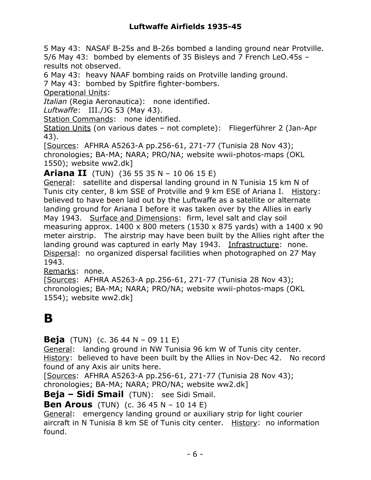5 May 43: NASAF B-25s and B-26s bombed a landing ground near Protville. 5/6 May 43: bombed by elements of 35 Bisleys and 7 French LeO.45s – results not observed.

6 May 43: heavy NAAF bombing raids on Protville landing ground.

7 May 43: bombed by Spitfire fighter-bombers.

Operational Units:

*Italian* (Regia Aeronautica): none identified.

*Luftwaffe*: III./JG 53 (May 43).

Station Commands: none identified.

Station Units (on various dates – not complete): Fliegerführer 2 (Jan-Apr 43).

[Sources: AFHRA A5263-A pp.256-61, 271-77 (Tunisia 28 Nov 43); chronologies; BA-MA; NARA; PRO/NA; website wwii-photos-maps (OKL 1550); website ww2.dk]

**Ariana II** (TUN) (36 55 35 N – 10 06 15 E)

General: satellite and dispersal landing ground in N Tunisia 15 km N of Tunis city center, 8 km SSE of Protville and 9 km ESE of Ariana I. History: believed to have been laid out by the Luftwaffe as a satellite or alternate landing ground for Ariana I before it was taken over by the Allies in early May 1943. Surface and Dimensions: firm, level salt and clay soil measuring approx.  $1400 \times 800$  meters (1530 x 875 yards) with a 1400 x 90 meter airstrip. The airstrip may have been built by the Allies right after the landing ground was captured in early May 1943. Infrastructure: none. Dispersal: no organized dispersal facilities when photographed on 27 May 1943.

Remarks: none.

[Sources: AFHRA A5263-A pp.256-61, 271-77 (Tunisia 28 Nov 43); chronologies; BA-MA; NARA; PRO/NA; website wwii-photos-maps (OKL 1554); website ww2.dk]

## **B**

**Beja** (TUN) (c. 36 44 N – 09 11 E)

General: landing ground in NW Tunisia 96 km W of Tunis city center. History: believed to have been built by the Allies in Nov-Dec 42. No record found of any Axis air units here.

[Sources: AFHRA A5263-A pp.256-61, 271-77 (Tunisia 28 Nov 43); chronologies; BA-MA; NARA; PRO/NA; website ww2.dk]

**Beja – Sidi Smail** (TUN): see Sidi Smail.

**Ben Arous** (TUN) (c. 36 45 N – 10 14 E)

General: emergency landing ground or auxiliary strip for light courier aircraft in N Tunisia 8 km SE of Tunis city center. History: no information found.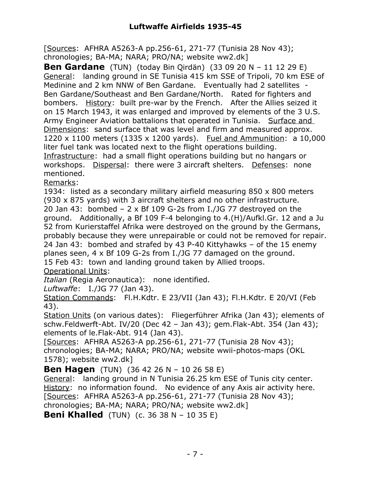[Sources: AFHRA A5263-A pp.256-61, 271-77 (Tunisia 28 Nov 43); chronologies; BA-MA; NARA; PRO/NA; website ww2.dk]

**Ben Gardane** (TUN) (today Bin Qirdän) (33 09 20 N – 11 12 29 E) General: landing ground in SE Tunisia 415 km SSE of Tripoli, 70 km ESE of Medinine and 2 km NNW of Ben Gardane. Eventually had 2 satellites - Ben Gardane/Southeast and Ben Gardane/North. Rated for fighters and bombers. History: built pre-war by the French. After the Allies seized it on 15 March 1943, it was enlarged and improved by elements of the 3 U.S. Army Engineer Aviation battalions that operated in Tunisia. Surface and Dimensions: sand surface that was level and firm and measured approx. 1220 x 1100 meters (1335 x 1200 yards). Fuel and Ammunition: a 10,000 liter fuel tank was located next to the flight operations building. Infrastructure: had a small flight operations building but no hangars or workshops. Dispersal: there were 3 aircraft shelters. Defenses: none mentioned.

Remarks:

1934: listed as a secondary military airfield measuring 850 x 800 meters (930 x 875 yards) with 3 aircraft shelters and no other infrastructure. 20 Jan 43: bombed  $-2 \times Bf$  109 G-2s from I./JG 77 destroyed on the ground. Additionally, a Bf 109 F-4 belonging to 4.(H)/Aufkl.Gr. 12 and a Ju 52 from Kurierstaffel Afrika were destroyed on the ground by the Germans, probably because they were unrepairable or could not be removed for repair. 24 Jan 43: bombed and strafed by 43 P-40 Kittyhawks – of the 15 enemy planes seen, 4 x Bf 109 G-2s from I./JG 77 damaged on the ground. 15 Feb 43: town and landing ground taken by Allied troops. Operational Units:

*Italian* (Regia Aeronautica): none identified.

*Luftwaffe*: I./JG 77 (Jan 43).

Station Commands: Fl.H.Kdtr. E 23/VII (Jan 43); Fl.H.Kdtr. E 20/VI (Feb 43).

Station Units (on various dates): Fliegerführer Afrika (Jan 43); elements of schw.Feldwerft-Abt. IV/20 (Dec 42 – Jan 43); gem.Flak-Abt. 354 (Jan 43); elements of le.Flak-Abt. 914 (Jan 43).

[Sources: AFHRA A5263-A pp.256-61, 271-77 (Tunisia 28 Nov 43); chronologies; BA-MA; NARA; PRO/NA; website wwii-photos-maps (OKL 1578); website ww2.dk]

**Ben Hagen** (TUN) (36 42 26 N – 10 26 58 E)

General: landing ground in N Tunisia 26.25 km ESE of Tunis city center. History: no information found. No evidence of any Axis air activity here. [Sources: AFHRA A5263-A pp.256-61, 271-77 (Tunisia 28 Nov 43); chronologies; BA-MA; NARA; PRO/NA; website ww2.dk]

**Beni Khalled** (TUN) (c. 36 38 N – 10 35 E)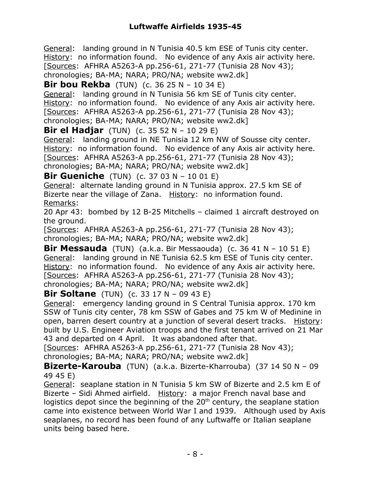General: landing ground in N Tunisia 40.5 km ESE of Tunis city center. History: no information found. No evidence of any Axis air activity here. [Sources: AFHRA A5263-A pp.256-61, 271-77 (Tunisia 28 Nov 43); chronologies; BA-MA; NARA; PRO/NA; website ww2.dk]

**Bir bou Rekba** (TUN) (c. 36 25 N – 10 34 E)

General: landing ground in N Tunisia 56 km SE of Tunis city center. History: no information found. No evidence of any Axis air activity here. [Sources: AFHRA A5263-A pp.256-61, 271-77 (Tunisia 28 Nov 43); chronologies; BA-MA; NARA; PRO/NA; website ww2.dk]

**Bir el Hadjar** (TUN) (c. 35 52 N – 10 29 E)

General: landing ground in NE Tunisia 12 km NW of Sousse city center. History: no information found. No evidence of any Axis air activity here. [Sources: AFHRA A5263-A pp.256-61, 271-77 (Tunisia 28 Nov 43); chronologies; BA-MA; NARA; PRO/NA; website ww2.dk]

**Bir Gueniche** (TUN) (c. 37 03 N – 10 01 E)

General: alternate landing ground in N Tunisia approx. 27.5 km SE of Bizerte near the village of Zana. History: no information found. Remarks:

20 Apr 43: bombed by 12 B-25 Mitchells – claimed 1 aircraft destroyed on the ground.

[Sources: AFHRA A5263-A pp.256-61, 271-77 (Tunisia 28 Nov 43); chronologies; BA-MA; NARA; PRO/NA; website ww2.dk]

**Bir Messauda** (TUN) (a.k.a. Bir Messaouda) (c. 36 41 N – 10 51 E) General: landing ground in NE Tunisia 62.5 km ESE of Tunis city center. History: no information found. No evidence of any Axis air activity here. [Sources: AFHRA A5263-A pp.256-61, 271-77 (Tunisia 28 Nov 43); chronologies; BA-MA; NARA; PRO/NA; website ww2.dk]

**Bir Soltane** (TUN) (c. 33 17 N – 09 43 E)

General: emergency landing ground in S Central Tunisia approx. 170 km SSW of Tunis city center, 78 km SSW of Gabes and 75 km W of Medinine in open, barren desert country at a junction of several desert tracks. History: built by U.S. Engineer Aviation troops and the first tenant arrived on 21 Mar 43 and departed on 4 April. It was abandoned after that.

[Sources: AFHRA A5263-A pp.256-61, 271-77 (Tunisia 28 Nov 43); chronologies; BA-MA; NARA; PRO/NA; website ww2.dk]

**Bizerte-Karouba** (TUN) (a.k.a. Bizerte-Kharrouba) (37 14 50 N – 09 49 45 E)

General: seaplane station in N Tunisia 5 km SW of Bizerte and 2.5 km E of Bizerte – Sidi Ahmed airfield. History: a major French naval base and logistics depot since the beginning of the  $20<sup>th</sup>$  century, the seaplane station came into existence between World War I and 1939. Although used by Axis seaplanes, no record has been found of any Luftwaffe or Italian seaplane units being based here.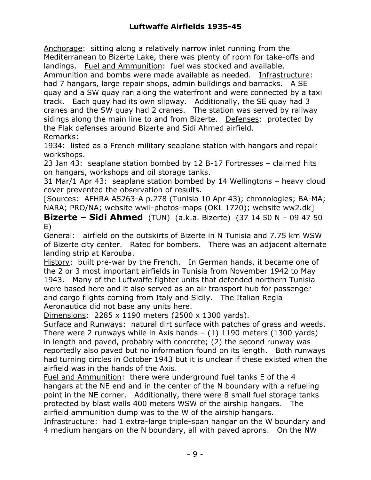Anchorage: sitting along a relatively narrow inlet running from the Mediterranean to Bizerte Lake, there was plenty of room for take-offs and landings. Fuel and Ammunition: fuel was stocked and available.

Ammunition and bombs were made available as needed. Infrastructure: had 7 hangars, large repair shops, admin buildings and barracks. A SE quay and a SW quay ran along the waterfront and were connected by a taxi track. Each quay had its own slipway. Additionally, the SE quay had 3 cranes and the SW quay had 2 cranes. The station was served by railway sidings along the main line to and from Bizerte. Defenses: protected by the Flak defenses around Bizerte and Sidi Ahmed airfield. Remarks:

1934: listed as a French military seaplane station with hangars and repair workshops.

23 Jan 43: seaplane station bombed by 12 B-17 Fortresses – claimed hits on hangars, workshops and oil storage tanks.

31 Mar/1 Apr 43: seaplane station bombed by 14 Wellingtons – heavy cloud cover prevented the observation of results.

[Sources: AFHRA A5263-A p.278 (Tunisia 10 Apr 43); chronologies; BA-MA; NARA; PRO/NA; website wwii-photos-maps (OKL 1720); website ww2.dk]

**Bizerte – Sidi Ahmed** (TUN) (a.k.a. Bizerte) (37 14 50 N – 09 47 50 E)

General: airfield on the outskirts of Bizerte in N Tunisia and 7.75 km WSW of Bizerte city center. Rated for bombers. There was an adjacent alternate landing strip at Karouba.

History: built pre-war by the French. In German hands, it became one of the 2 or 3 most important airfields in Tunisia from November 1942 to May 1943. Many of the Luftwaffe fighter units that defended northern Tunisia were based here and it also served as an air transport hub for passenger and cargo flights coming from Italy and Sicily. The Italian Regia Aeronautica did not base any units here.

Dimensions: 2285 x 1190 meters (2500 x 1300 yards).

Surface and Runways: natural dirt surface with patches of grass and weeds. There were 2 runways while in Axis hands  $-$  (1) 1190 meters (1300 yards) in length and paved, probably with concrete; (2) the second runway was reportedly also paved but no information found on its length. Both runways had turning circles in October 1943 but it is unclear if these existed when the airfield was in the hands of the Axis.

Fuel and Ammunition: there were underground fuel tanks E of the 4 hangars at the NE end and in the center of the N boundary with a refueling point in the NE corner. Additionally, there were 8 small fuel storage tanks protected by blast walls 400 meters WSW of the airship hangars. The airfield ammunition dump was to the W of the airship hangars.

Infrastructure: had 1 extra-large triple-span hangar on the W boundary and 4 medium hangars on the N boundary, all with paved aprons. On the NW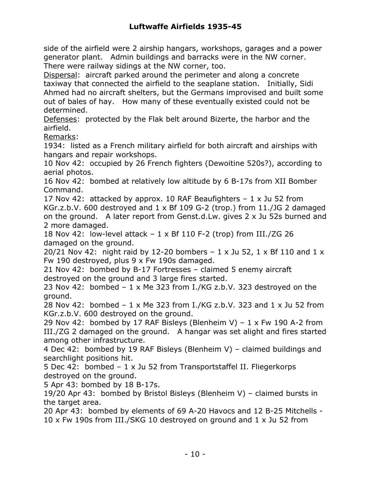side of the airfield were 2 airship hangars, workshops, garages and a power generator plant. Admin buildings and barracks were in the NW corner. There were railway sidings at the NW corner, too.

Dispersal: aircraft parked around the perimeter and along a concrete taxiway that connected the airfield to the seaplane station. Initially, Sidi Ahmed had no aircraft shelters, but the Germans improvised and built some out of bales of hay. How many of these eventually existed could not be determined.

Defenses: protected by the Flak belt around Bizerte, the harbor and the airfield.

Remarks:

1934: listed as a French military airfield for both aircraft and airships with hangars and repair workshops.

10 Nov 42: occupied by 26 French fighters (Dewoitine 520s?), according to aerial photos.

16 Nov 42: bombed at relatively low altitude by 6 B-17s from XII Bomber Command.

17 Nov 42: attacked by approx. 10 RAF Beaufighters  $-1 \times$  Ju 52 from

KGr.z.b.V. 600 destroyed and 1 x Bf 109 G-2 (trop.) from 11./JG 2 damaged on the ground. A later report from Genst.d.Lw. gives 2 x Ju 52s burned and 2 more damaged.

18 Nov 42: low-level attack  $-1 \times Bf$  110 F-2 (trop) from III./ZG 26 damaged on the ground.

20/21 Nov 42: night raid by 12-20 bombers  $-1 \times$  Ju 52, 1  $\times$  Bf 110 and 1  $\times$ Fw 190 destroyed, plus 9 x Fw 190s damaged.

21 Nov 42: bombed by B-17 Fortresses – claimed 5 enemy aircraft destroyed on the ground and 3 large fires started.

23 Nov 42: bombed – 1 x Me 323 from I./KG z.b.V. 323 destroyed on the ground.

28 Nov 42: bombed – 1 x Me 323 from I./KG z.b.V. 323 and 1 x Ju 52 from KGr.z.b.V. 600 destroyed on the ground.

29 Nov 42: bombed by 17 RAF Bisleys (Blenheim V) –  $1 \times$  Fw 190 A-2 from III./ZG 2 damaged on the ground. A hangar was set alight and fires started among other infrastructure.

4 Dec 42: bombed by 19 RAF Bisleys (Blenheim V) – claimed buildings and searchlight positions hit.

5 Dec 42: bombed – 1 x Ju 52 from Transportstaffel II. Fliegerkorps destroyed on the ground.

5 Apr 43: bombed by 18 B-17s.

19/20 Apr 43: bombed by Bristol Bisleys (Blenheim V) – claimed bursts in the target area.

20 Apr 43: bombed by elements of 69 A-20 Havocs and 12 B-25 Mitchells - 10 x Fw 190s from III./SKG 10 destroyed on ground and 1 x Ju 52 from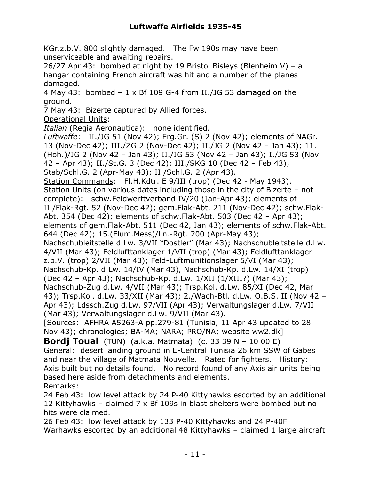KGr.z.b.V. 800 slightly damaged. The Fw 190s may have been unserviceable and awaiting repairs.

26/27 Apr 43: bombed at night by 19 Bristol Bisleys (Blenheim V) – a hangar containing French aircraft was hit and a number of the planes damaged.

4 May 43: bombed  $-1 \times Bf$  109 G-4 from II./JG 53 damaged on the ground.

7 May 43: Bizerte captured by Allied forces.

Operational Units:

*Italian* (Regia Aeronautica): none identified.

*Luftwaffe*: II./JG 51 (Nov 42); Erg.Gr. (S) 2 (Nov 42); elements of NAGr. 13 (Nov-Dec 42); III./ZG 2 (Nov-Dec 42); II./JG 2 (Nov 42 – Jan 43); 11. (Hoh.)/JG 2 (Nov 42 – Jan 43); II./JG 53 (Nov 42 – Jan 43); I./JG 53 (Nov 42 – Apr 43); II./St.G. 3 (Dec 42); III./SKG 10 (Dec 42 – Feb 43); Stab/Schl.G. 2 (Apr-May 43); II./Schl.G. 2 (Apr 43). Station Commands: Fl.H.Kdtr. E 9/III (trop) (Dec 42 - May 1943). Station Units (on various dates including those in the city of Bizerte – not complete): schw.Feldwerftverband IV/20 (Jan-Apr 43); elements of II./Flak-Rgt. 52 (Nov-Dec 42); gem.Flak-Abt. 211 (Nov-Dec 42); schw.Flak-Abt. 354 (Dec 42); elements of schw.Flak-Abt. 503 (Dec 42 – Apr 43); elements of gem.Flak-Abt. 511 (Dec 42, Jan 43); elements of schw.Flak-Abt. 644 (Dec 42); 15.(Flum.Mess)/Ln.-Rgt. 200 (Apr-May 43); Nachschubleitstelle d.Lw. 3/VII "Dostler" (Mar 43); Nachschubleitstelle d.Lw. 4/VII (Mar 43); Feldlufttanklager 1/VII (trop) (Mar 43); Feldlufttanklager z.b.V. (trop) 2/VII (Mar 43); Feld-Luftmunitionslager 5/VI (Mar 43); Nachschub-Kp. d.Lw. 14/IV (Mar 43), Nachschub-Kp. d.Lw. 14/XI (trop) (Dec 42 – Apr 43); Nachschub-Kp. d.Lw. 1/XII (1/XIII?) (Mar 43); Nachschub-Zug d.Lw. 4/VII (Mar 43); Trsp.Kol. d.Lw. 85/XI (Dec 42, Mar 43); Trsp.Kol. d.Lw. 33/XII (Mar 43); 2./Wach-Btl. d.Lw. O.B.S. II (Nov 42 – Apr 43); Ldssch.Zug d.Lw. 97/VII (Apr 43); Verwaltungslager d.Lw. 7/VII (Mar 43); Verwaltungslager d.Lw. 9/VII (Mar 43). [Sources: AFHRA A5263-A pp.279-81 (Tunisia, 11 Apr 43 updated to 28 Nov 43); chronologies; BA-MA; NARA; PRO/NA; website ww2.dk] **Bordj Toual** (TUN) (a.k.a. Matmata) (c. 33 39 N – 10 00 E)

General: desert landing ground in E-Central Tunisia 26 km SSW of Gabes and near the village of Matmata Nouvelle. Rated for fighters. History: Axis built but no details found. No record found of any Axis air units being based here aside from detachments and elements. Remarks:

24 Feb 43: low level attack by 24 P-40 Kittyhawks escorted by an additional 12 Kittyhawks – claimed 7 x Bf 109s in blast shelters were bombed but no hits were claimed.

26 Feb 43: low level attack by 133 P-40 Kittyhawks and 24 P-40F Warhawks escorted by an additional 48 Kittyhawks – claimed 1 large aircraft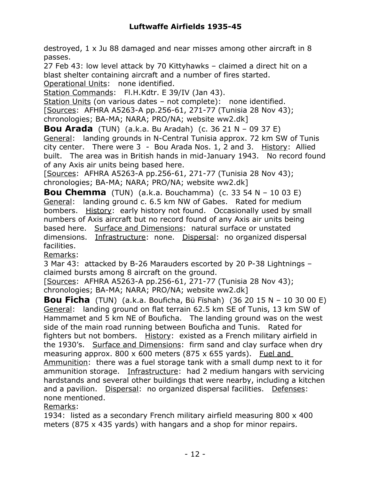destroyed, 1 x Ju 88 damaged and near misses among other aircraft in 8 passes.

27 Feb 43: low level attack by 70 Kittyhawks – claimed a direct hit on a blast shelter containing aircraft and a number of fires started. Operational Units: none identified.

Station Commands: Fl.H.Kdtr. E 39/IV (Jan 43).

Station Units (on various dates – not complete): none identified.

[Sources: AFHRA A5263-A pp.256-61, 271-77 (Tunisia 28 Nov 43);

chronologies; BA-MA; NARA; PRO/NA; website ww2.dk]

**Bou Arada** (TUN) (a.k.a. Bu Aradah) (c. 36 21 N – 09 37 E) General: landing grounds in N-Central Tunisia approx. 72 km SW of Tunis city center. There were 3 - Bou Arada Nos. 1, 2 and 3. History: Allied built. The area was in British hands in mid-January 1943. No record found of any Axis air units being based here.

[Sources: AFHRA A5263-A pp.256-61, 271-77 (Tunisia 28 Nov 43); chronologies; BA-MA; NARA; PRO/NA; website ww2.dk]

**Bou Chemma** (TUN) (a.k.a. Bouchamma) (c. 33 54 N – 10 03 E) General: landing ground c. 6.5 km NW of Gabes. Rated for medium bombers. History: early history not found. Occasionally used by small numbers of Axis aircraft but no record found of any Axis air units being based here. Surface and Dimensions: natural surface or unstated dimensions. Infrastructure: none. Dispersal: no organized dispersal facilities.

Remarks:

3 Mar 43: attacked by B-26 Marauders escorted by 20 P-38 Lightnings – claimed bursts among 8 aircraft on the ground.

[Sources: AFHRA A5263-A pp.256-61, 271-77 (Tunisia 28 Nov 43); chronologies; BA-MA; NARA; PRO/NA; website ww2.dk]

**Bou Ficha** (TUN) (a.k.a. Bouficha, Bü Fïshah) (36 20 15 N – 10 30 00 E) General: landing ground on flat terrain 62.5 km SE of Tunis, 13 km SW of Hammamet and 5 km NE of Bouficha. The landing ground was on the west side of the main road running between Bouficha and Tunis. Rated for fighters but not bombers. History: existed as a French military airfield in the 1930's. Surface and Dimensions: firm sand and clay surface when dry measuring approx.  $800 \times 600$  meters (875  $\times$  655 yards). Fuel and Ammunition: there was a fuel storage tank with a small dump next to it for ammunition storage. Infrastructure: had 2 medium hangars with servicing hardstands and several other buildings that were nearby, including a kitchen and a pavilion. Dispersal: no organized dispersal facilities. Defenses: none mentioned.

Remarks:

1934: listed as a secondary French military airfield measuring 800 x 400 meters (875 x 435 yards) with hangars and a shop for minor repairs.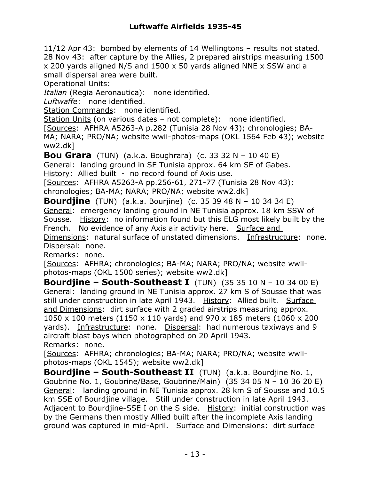11/12 Apr 43: bombed by elements of 14 Wellingtons – results not stated. 28 Nov 43: after capture by the Allies, 2 prepared airstrips measuring 1500 x 200 yards aligned N/S and 1500 x 50 yards aligned NNE x SSW and a small dispersal area were built.

Operational Units:

*Italian* (Regia Aeronautica): none identified.

*Luftwaffe*: none identified.

Station Commands: none identified.

Station Units (on various dates – not complete): none identified. [Sources: AFHRA A5263-A p.282 (Tunisia 28 Nov 43); chronologies; BA-MA; NARA; PRO/NA; website wwii-photos-maps (OKL 1564 Feb 43); website ww2.dk]

**Bou Grara** (TUN) (a.k.a. Boughrara) (c. 33 32 N – 10 40 E) General: landing ground in SE Tunisia approx. 64 km SE of Gabes. History: Allied built - no record found of Axis use.

[Sources: AFHRA A5263-A pp.256-61, 271-77 (Tunisia 28 Nov 43); chronologies; BA-MA; NARA; PRO/NA; website ww2.dk]

**Bourdjine** (TUN) (a.k.a. Bourjine) (c. 35 39 48 N – 10 34 34 E) General: emergency landing ground in NE Tunisia approx. 18 km SSW of Sousse. History: no information found but this ELG most likely built by the French. No evidence of any Axis air activity here. Surface and Dimensions: natural surface of unstated dimensions. Infrastructure: none. Dispersal: none.

Remarks: none.

[Sources: AFHRA; chronologies; BA-MA; NARA; PRO/NA; website wwiiphotos-maps (OKL 1500 series); website ww2.dk]

**Bourdjine – South-Southeast I** (TUN) (35 35 10 N – 10 34 00 E) General: landing ground in NE Tunisia approx. 27 km S of Sousse that was still under construction in late April 1943. History: Allied built. Surface and Dimensions: dirt surface with 2 graded airstrips measuring approx. 1050 x 100 meters (1150 x 110 yards) and 970 x 185 meters (1060 x 200 yards). Infrastructure: none. Dispersal: had numerous taxiways and 9 aircraft blast bays when photographed on 20 April 1943. Remarks: none.

[Sources: AFHRA; chronologies; BA-MA; NARA; PRO/NA; website wwiiphotos-maps (OKL 1545); website ww2.dk]

**Bourdjine – South-Southeast II** (TUN) (a.k.a. Bourdjine No. 1, Goubrine No. 1, Goubrine/Base, Goubrine/Main) (35 34 05 N – 10 36 20 E) General: landing ground in NE Tunisia approx. 28 km S of Sousse and 10.5 km SSE of Bourdjine village. Still under construction in late April 1943. Adjacent to Bourdjine-SSE I on the S side. History: initial construction was by the Germans then mostly Allied built after the incomplete Axis landing ground was captured in mid-April. Surface and Dimensions: dirt surface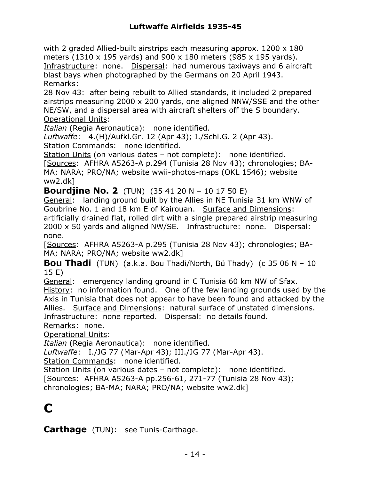with 2 graded Allied-built airstrips each measuring approx. 1200 x 180 meters (1310 x 195 yards) and 900 x 180 meters (985 x 195 yards). Infrastructure: none. Dispersal: had numerous taxiways and 6 aircraft blast bays when photographed by the Germans on 20 April 1943. Remarks:

28 Nov 43: after being rebuilt to Allied standards, it included 2 prepared airstrips measuring 2000 x 200 yards, one aligned NNW/SSE and the other NE/SW, and a dispersal area with aircraft shelters off the S boundary. Operational Units:

*Italian* (Regia Aeronautica): none identified.

*Luftwaffe*: 4.(H)/Aufkl.Gr. 12 (Apr 43); I./Schl.G. 2 (Apr 43). Station Commands: none identified.

Station Units (on various dates – not complete): none identified.

[Sources: AFHRA A5263-A p.294 (Tunisia 28 Nov 43); chronologies; BA-MA; NARA; PRO/NA; website wwii-photos-maps (OKL 1546); website ww2.dk]

**Bourdjine No. 2** (TUN) (35 41 20 N – 10 17 50 E)

General: landing ground built by the Allies in NE Tunisia 31 km WNW of Goubrine No. 1 and 18 km E of Kairouan. Surface and Dimensions: artificially drained flat, rolled dirt with a single prepared airstrip measuring 2000 x 50 yards and aligned NW/SE. Infrastructure: none. Dispersal: none.

[Sources: AFHRA A5263-A p.295 (Tunisia 28 Nov 43); chronologies; BA-MA; NARA; PRO/NA; website ww2.dk]

**Bou Thadi** (TUN) (a.k.a. Bou Thadi/North, Bü Thady) (c 35 06 N – 10 15 E)

General: emergency landing ground in C Tunisia 60 km NW of Sfax. History: no information found. One of the few landing grounds used by the Axis in Tunisia that does not appear to have been found and attacked by the Allies. Surface and Dimensions: natural surface of unstated dimensions. Infrastructure: none reported. Dispersal: no details found.

Remarks: none.

Operational Units:

*Italian* (Regia Aeronautica): none identified.

*Luftwaffe*: I./JG 77 (Mar-Apr 43); III./JG 77 (Mar-Apr 43).

Station Commands: none identified.

Station Units (on various dates - not complete): none identified.

[Sources: AFHRA A5263-A pp.256-61, 271-77 (Tunisia 28 Nov 43);

chronologies; BA-MA; NARA; PRO/NA; website ww2.dk]

## **C**

**Carthage** (TUN): see Tunis-Carthage.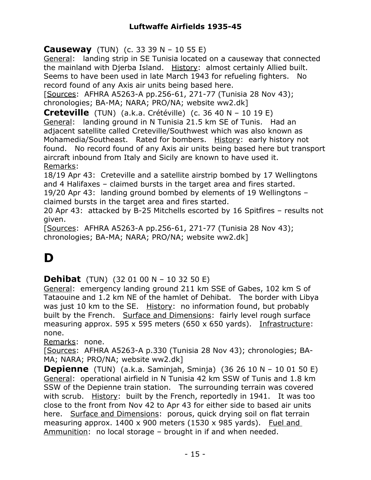**Causeway** (TUN) (c. 33 39 N – 10 55 E)

General: landing strip in SE Tunisia located on a causeway that connected the mainland with Djerba Island. History: almost certainly Allied built. Seems to have been used in late March 1943 for refueling fighters. No record found of any Axis air units being based here.

[Sources: AFHRA A5263-A pp.256-61, 271-77 (Tunisia 28 Nov 43); chronologies; BA-MA; NARA; PRO/NA; website ww2.dk]

**Creteville** (TUN) (a.k.a. Crétéville) (c. 36 40 N – 10 19 E) General: landing ground in N Tunisia 21.5 km SE of Tunis. Had an adjacent satellite called Creteville/Southwest which was also known as Mohamedia/Southeast. Rated for bombers. History: early history not found. No record found of any Axis air units being based here but transport aircraft inbound from Italy and Sicily are known to have used it. Remarks:

18/19 Apr 43: Creteville and a satellite airstrip bombed by 17 Wellingtons and 4 Halifaxes – claimed bursts in the target area and fires started. 19/20 Apr 43: landing ground bombed by elements of 19 Wellingtons –

claimed bursts in the target area and fires started.

20 Apr 43: attacked by B-25 Mitchells escorted by 16 Spitfires – results not given.

[Sources: AFHRA A5263-A pp.256-61, 271-77 (Tunisia 28 Nov 43); chronologies; BA-MA; NARA; PRO/NA; website ww2.dk]

## **D**

**Dehibat** (TUN) (32 01 00 N – 10 32 50 E)

General: emergency landing ground 211 km SSE of Gabes, 102 km S of Tataouine and 1.2 km NE of the hamlet of Dehibat. The border with Libya was just 10 km to the SE. History: no information found, but probably built by the French. Surface and Dimensions: fairly level rough surface measuring approx. 595 x 595 meters (650 x 650 yards). Infrastructure: none.

Remarks: none.

[Sources: AFHRA A5263-A p.330 (Tunisia 28 Nov 43); chronologies; BA-MA; NARA; PRO/NA; website ww2.dk]

**Depienne** (TUN) (a.k.a. Saminjah, Sminja) (36 26 10 N – 10 01 50 E) General: operational airfield in N Tunisia 42 km SSW of Tunis and 1.8 km SSW of the Depienne train station. The surrounding terrain was covered with scrub. History: built by the French, reportedly in 1941. It was too close to the front from Nov 42 to Apr 43 for either side to based air units here. Surface and Dimensions: porous, quick drying soil on flat terrain measuring approx. 1400 x 900 meters (1530 x 985 yards). Fuel and Ammunition: no local storage – brought in if and when needed.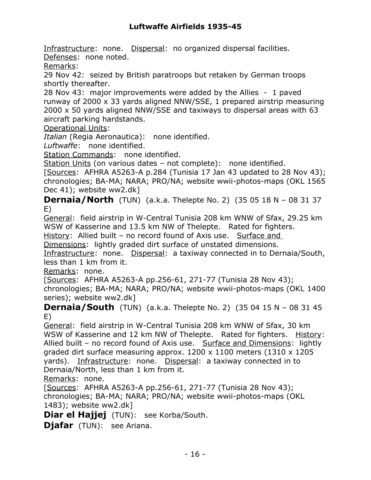Infrastructure: none. Dispersal: no organized dispersal facilities. Defenses: none noted.

Remarks:

29 Nov 42: seized by British paratroops but retaken by German troops shortly thereafter.

28 Nov 43: major improvements were added by the Allies - 1 paved runway of 2000 x 33 yards aligned NNW/SSE, 1 prepared airstrip measuring 2000 x 50 yards aligned NNW/SSE and taxiways to dispersal areas with 63 aircraft parking hardstands.

Operational Units:

*Italian* (Regia Aeronautica): none identified.

*Luftwaffe*: none identified.

Station Commands: none identified.

Station Units (on various dates – not complete): none identified.

[Sources: AFHRA A5263-A p.284 (Tunisia 17 Jan 43 updated to 28 Nov 43); chronologies; BA-MA; NARA; PRO/NA; website wwii-photos-maps (OKL 1565 Dec 41); website ww2.dk]

**Dernaia/North** (TUN) (a.k.a. Thelepte No. 2) (35 05 18 N – 08 31 37 E)

General: field airstrip in W-Central Tunisia 208 km WNW of Sfax, 29.25 km WSW of Kasserine and 13.5 km NW of Thelepte. Rated for fighters.

History: Allied built - no record found of Axis use. Surface and

Dimensions: lightly graded dirt surface of unstated dimensions.

Infrastructure: none. Dispersal: a taxiway connected in to Dernaia/South, less than 1 km from it.

Remarks: none.

[Sources: AFHRA A5263-A pp.256-61, 271-77 (Tunisia 28 Nov 43);

chronologies; BA-MA; NARA; PRO/NA; website wwii-photos-maps (OKL 1400 series); website ww2.dk]

**Dernaia/South** (TUN) (a.k.a. Thelepte No. 2) (35 04 15 N – 08 31 45 E)

General: field airstrip in W-Central Tunisia 208 km WNW of Sfax, 30 km WSW of Kasserine and 12 km NW of Thelepte. Rated for fighters. History: Allied built – no record found of Axis use. Surface and Dimensions: lightly graded dirt surface measuring approx. 1200 x 1100 meters (1310 x 1205 yards). Infrastructure: none. Dispersal: a taxiway connected in to Dernaia/North, less than 1 km from it.

Remarks: none.

[Sources: AFHRA A5263-A pp.256-61, 271-77 (Tunisia 28 Nov 43); chronologies; BA-MA; NARA; PRO/NA; website wwii-photos-maps (OKL 1483); website ww2.dk]

**Diar el Hajjej** (TUN): see Korba/South.

**Djafar** (TUN): see Ariana.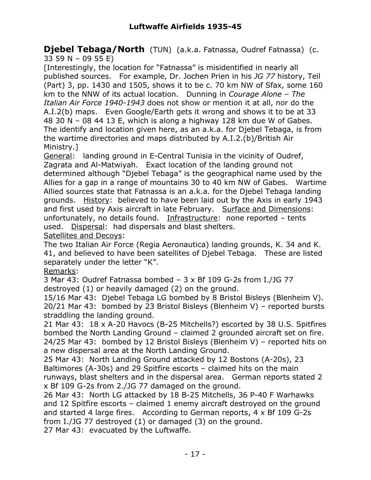**Djebel Tebaga/North** (TUN) (a.k.a. Fatnassa, Oudref Fatnassa) (c. 33 59 N – 09 55 E)

[Interestingly, the location for "Fatnassa" is misidentified in nearly all published sources. For example, Dr. Jochen Prien in his *JG 77* history, Teil (Part) 3, pp. 1430 and 1505, shows it to be c. 70 km NW of Sfax, some 160 km to the NNW of its actual location. Dunning in *Courage Alone – The Italian Air Force 1940-1943* does not show or mention it at all, nor do the A.I.2(b) maps. Even Google/Earth gets it wrong and shows it to be at 33 48 30 N – 08 44 13 E, which is along a highway 128 km due W of Gabes. The identify and location given here, as an a.k.a. for Djebel Tebaga, is from the wartime directories and maps distributed by A.I.2.(b)/British Air Ministry.]

General: landing ground in E-Central Tunisia in the vicinity of Oudref, Zagrata and Al-Matwiyah. Exact location of the landing ground not determined although "Djebel Tebaga" is the geographical name used by the Allies for a gap in a range of mountains 30 to 40 km NW of Gabes. Wartime Allied sources state that Fatnassa is an a.k.a. for the Djebel Tebaga landing grounds. History: believed to have been laid out by the Axis in early 1943 and first used by Axis aircraft in late February. Surface and Dimensions: unfortunately, no details found. Infrastructure: none reported – tents used. Dispersal: had dispersals and blast shelters.

Satellites and Decoys:

The two Italian Air Force (Regia Aeronautica) landing grounds, K. 34 and K. 41, and believed to have been satellites of Djebel Tebaga. These are listed separately under the letter "K".

Remarks:

3 Mar 43: Oudref Fatnassa bombed – 3 x Bf 109 G-2s from I./JG 77 destroyed (1) or heavily damaged (2) on the ground.

15/16 Mar 43: Djebel Tebaga LG bombed by 8 Bristol Bisleys (Blenheim V). 20/21 Mar 43: bombed by 23 Bristol Bisleys (Blenheim V) – reported bursts straddling the landing ground.

21 Mar 43: 18 x A-20 Havocs (B-25 Mitchells?) escorted by 38 U.S. Spitfires bombed the North Landing Ground – claimed 2 grounded aircraft set on fire. 24/25 Mar 43: bombed by 12 Bristol Bisleys (Blenheim V) – reported hits on a new dispersal area at the North Landing Ground.

25 Mar 43: North Landing Ground attacked by 12 Bostons (A-20s), 23 Baltimores (A-30s) and 29 Spitfire escorts – claimed hits on the main runways, blast shelters and in the dispersal area. German reports stated 2 x Bf 109 G-2s from 2./JG 77 damaged on the ground.

26 Mar 43: North LG attacked by 18 B-25 Mitchells, 36 P-40 F Warhawks and 12 Spitfire escorts – claimed 1 enemy aircraft destroyed on the ground and started 4 large fires. According to German reports, 4 x Bf 109 G-2s from I./JG 77 destroyed (1) or damaged (3) on the ground. 27 Mar 43: evacuated by the Luftwaffe.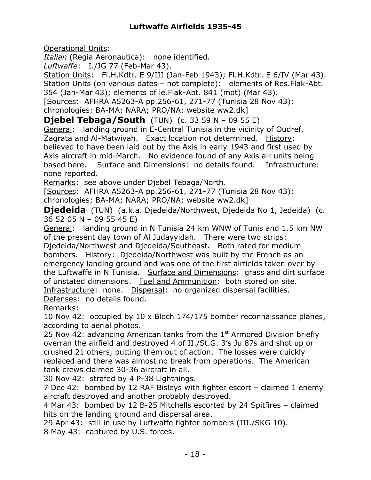Operational Units:

*Italian* (Regia Aeronautica): none identified.

*Luftwaffe*: I./JG 77 (Feb-Mar 43).

Station Units: Fl.H.Kdtr. E 9/III (Jan-Feb 1943); Fl.H.Kdtr. E 6/IV (Mar 43). Station Units (on various dates – not complete): elements of Res.Flak-Abt. 354 (Jan-Mar 43); elements of le.Flak-Abt. 841 (mot) (Mar 43). [Sources: AFHRA A5263-A pp.256-61, 271-77 (Tunisia 28 Nov 43);

chronologies; BA-MA; NARA; PRO/NA; website ww2.dk]

**Djebel Tebaga/South** (TUN) (c. 33 59 N – 09 55 E) General: landing ground in E-Central Tunisia in the vicinity of Oudref, Zagrata and Al-Matwiyah. Exact location not determined. History: believed to have been laid out by the Axis in early 1943 and first used by Axis aircraft in mid-March. No evidence found of any Axis air units being based here. Surface and Dimensions: no details found. Infrastructure: none reported.

Remarks: see above under Djebel Tebaga/North.

[Sources: AFHRA A5263-A pp.256-61, 271-77 (Tunisia 28 Nov 43); chronologies; BA-MA; NARA; PRO/NA; website ww2.dk]

**Diedeida** (TUN) (a.k.a. Diedeida/Northwest, Diedeida No 1, Jedeida) (c. 36 52 05 N – 09 55 45 E)

General: landing ground in N Tunisia 24 km WNW of Tunis and 1.5 km NW of the present day town of Al Judayyidah. There were two strips:

Djedeida/Northwest and Djedeida/Southeast. Both rated for medium bombers. History: Djedeida/Northwest was built by the French as an emergency landing ground and was one of the first airfields taken over by the Luftwaffe in N Tunisia. Surface and Dimensions: grass and dirt surface of unstated dimensions. Fuel and Ammunition: both stored on site. Infrastructure: none. Dispersal: no organized dispersal facilities. Defenses: no details found.

Remarks:

10 Nov 42: occupied by 10 x Bloch 174/175 bomber reconnaissance planes, according to aerial photos.

25 Nov 42: advancing American tanks from the  $1<sup>st</sup>$  Armored Division briefly overran the airfield and destroyed 4 of II./St.G. 3's Ju 87s and shot up or crushed 21 others, putting them out of action. The losses were quickly replaced and there was almost no break from operations. The American tank crews claimed 30-36 aircraft in all.

30 Nov 42: strafed by 4 P-38 Lightnings.

7 Dec 42: bombed by 12 RAF Bisleys with fighter escort – claimed 1 enemy aircraft destroyed and another probably destroyed.

4 Mar 43: bombed by 12 B-25 Mitchells escorted by 24 Spitfires – claimed hits on the landing ground and dispersal area.

29 Apr 43: still in use by Luftwaffe fighter bombers (III./SKG 10). 8 May 43: captured by U.S. forces.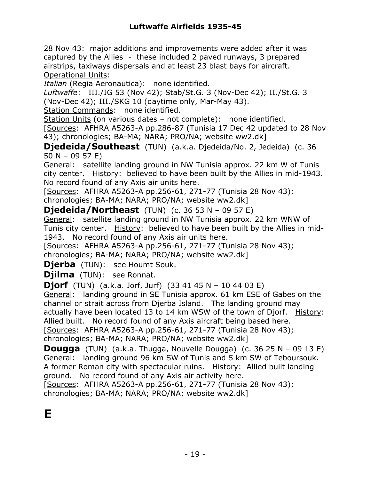28 Nov 43: major additions and improvements were added after it was captured by the Allies - these included 2 paved runways, 3 prepared airstrips, taxiways dispersals and at least 23 blast bays for aircraft. Operational Units:

*Italian* (Regia Aeronautica): none identified.

*Luftwaffe*: III./JG 53 (Nov 42); Stab/St.G. 3 (Nov-Dec 42); II./St.G. 3 (Nov-Dec 42); III./SKG 10 (daytime only, Mar-May 43).

Station Commands: none identified.

Station Units (on various dates – not complete): none identified.

[Sources: AFHRA A5263-A pp.286-87 (Tunisia 17 Dec 42 updated to 28 Nov 43); chronologies; BA-MA; NARA; PRO/NA; website ww2.dk]

**Djedeida/Southeast** (TUN) (a.k.a. Djedeida/No. 2, Jedeida) (c. 36 50 N – 09 57 E)

General: satellite landing ground in NW Tunisia approx. 22 km W of Tunis city center. History: believed to have been built by the Allies in mid-1943. No record found of any Axis air units here.

[Sources: AFHRA A5263-A pp.256-61, 271-77 (Tunisia 28 Nov 43); chronologies; BA-MA; NARA; PRO/NA; website ww2.dk]

**Djedeida/Northeast** (TUN) (c. 36 53 N – 09 57 E)

General: satellite landing ground in NW Tunisia approx. 22 km WNW of Tunis city center. History: believed to have been built by the Allies in mid-1943. No record found of any Axis air units here.

[Sources: AFHRA A5263-A pp.256-61, 271-77 (Tunisia 28 Nov 43); chronologies; BA-MA; NARA; PRO/NA; website ww2.dk]

**Dierba** (TUN): see Houmt Souk.

**Djilma** (TUN): see Ronnat.

**Djorf** (TUN) (a.k.a. Jorf, Jurf) (33 41 45 N – 10 44 03 E)

General: landing ground in SE Tunisia approx. 61 km ESE of Gabes on the channel or strait across from Djerba Island. The landing ground may actually have been located 13 to 14 km WSW of the town of Djorf. History: Allied built. No record found of any Axis aircraft being based here.

[Sources: AFHRA A5263-A pp.256-61, 271-77 (Tunisia 28 Nov 43);

chronologies; BA-MA; NARA; PRO/NA; website ww2.dk]

**Dougga** (TUN) (a.k.a. Thugga, Nouvelle Dougga) (c. 36 25 N – 09 13 E) General: landing ground 96 km SW of Tunis and 5 km SW of Teboursouk. A former Roman city with spectacular ruins. History: Allied built landing ground. No record found of any Axis air activity here.

[Sources: AFHRA A5263-A pp.256-61, 271-77 (Tunisia 28 Nov 43); chronologies; BA-MA; NARA; PRO/NA; website ww2.dk]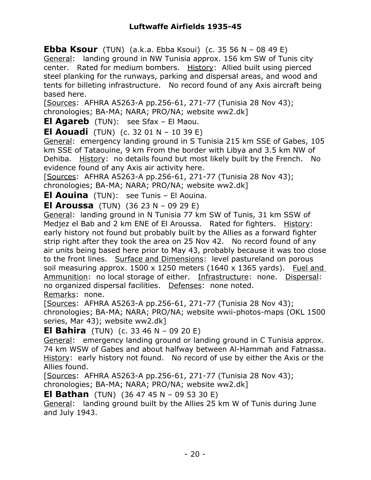**Ebba Ksour** (TUN) (a.k.a. Ebba Ksoui) (c. 35 56 N – 08 49 E) General: landing ground in NW Tunisia approx. 156 km SW of Tunis city center. Rated for medium bombers. History: Allied built using pierced steel planking for the runways, parking and dispersal areas, and wood and tents for billeting infrastructure. No record found of any Axis aircraft being based here.

[Sources: AFHRA A5263-A pp.256-61, 271-77 (Tunisia 28 Nov 43); chronologies; BA-MA; NARA; PRO/NA; website ww2.dk]

**El Agareb** (TUN): see Sfax – El Maou.

**El Aouadi** (TUN) (c. 32 01 N – 10 39 E)

General: emergency landing ground in S Tunisia 215 km SSE of Gabes, 105 km SSE of Tataouine, 9 km From the border with Libya and 3.5 km NW of Dehiba. History: no details found but most likely built by the French. No evidence found of any Axis air activity here.

[Sources: AFHRA A5263-A pp.256-61, 271-77 (Tunisia 28 Nov 43); chronologies; BA-MA; NARA; PRO/NA; website ww2.dk]

**El Aouina** (TUN): see Tunis – El Aouina.

**El Aroussa** (TUN) (36 23 N – 09 29 E)

General: landing ground in N Tunisia 77 km SW of Tunis, 31 km SSW of Medjez el Bab and 2 km ENE of El Aroussa. Rated for fighters. History: early history not found but probably built by the Allies as a forward fighter strip right after they took the area on 25 Nov 42. No record found of any air units being based here prior to May 43, probably because it was too close to the front lines. Surface and Dimensions: level pastureland on porous soil measuring approx.  $1500 \times 1250$  meters (1640 x 1365 yards). Fuel and Ammunition: no local storage of either. Infrastructure: none. Dispersal: no organized dispersal facilities. Defenses: none noted. Remarks: none.

[Sources: AFHRA A5263-A pp.256-61, 271-77 (Tunisia 28 Nov 43); chronologies; BA-MA; NARA; PRO/NA; website wwii-photos-maps (OKL 1500 series, Mar 43); website ww2.dk]

**El Bahira** (TUN) (c. 33 46 N – 09 20 E)

General: emergency landing ground or landing ground in C Tunisia approx. 74 km WSW of Gabes and about halfway between Al-Hammah and Fatnassa. History: early history not found. No record of use by either the Axis or the Allies found.

[Sources: AFHRA A5263-A pp.256-61, 271-77 (Tunisia 28 Nov 43); chronologies; BA-MA; NARA; PRO/NA; website ww2.dk]

**El Bathan** (TUN) (36 47 45 N – 09 53 30 E)

General: landing ground built by the Allies 25 km W of Tunis during June and July 1943.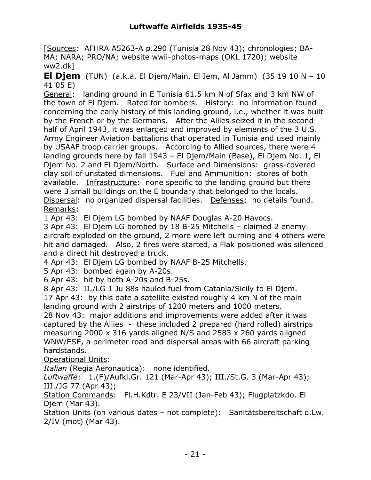[Sources: AFHRA A5263-A p.290 (Tunisia 28 Nov 43); chronologies; BA-MA; NARA; PRO/NA; website wwii-photos-maps (OKL 1720); website ww2.dk]

**El Djem** (TUN) (a.k.a. El Djem/Main, El Jem, Al Jamm) (35 19 10 N – 10 41 05 E)

General: landing ground in E Tunisia 61.5 km N of Sfax and 3 km NW of the town of El Djem. Rated for bombers. History: no information found concerning the early history of this landing ground, i.e., whether it was built by the French or by the Germans. After the Allies seized it in the second half of April 1943, it was enlarged and improved by elements of the 3 U.S. Army Engineer Aviation battalions that operated in Tunisia and used mainly by USAAF troop carrier groups. According to Allied sources, there were 4 landing grounds here by fall 1943 – El Djem/Main (Base), El Djem No. 1, El Djem No. 2 and El Djem/North. Surface and Dimensions: grass-covered clay soil of unstated dimensions. Fuel and Ammunition: stores of both available. Infrastructure: none specific to the landing ground but there were 3 small buildings on the E boundary that belonged to the locals. Dispersal: no organized dispersal facilities. Defenses: no details found. Remarks:

1 Apr 43: El Djem LG bombed by NAAF Douglas A-20 Havocs.

3 Apr 43: El Djem LG bombed by 18 B-25 Mitchells – claimed 2 enemy aircraft exploded on the ground, 2 more were left burning and 4 others were hit and damaged. Also, 2 fires were started, a Flak positioned was silenced and a direct hit destroyed a truck.

4 Apr 43: El Djem LG bombed by NAAF B-25 Mitchells.

5 Apr 43: bombed again by A-20s.

6 Apr 43: hit by both A-20s and B-25s.

8 Apr 43: II./LG 1 Ju 88s hauled fuel from Catania/Sicily to El Djem. 17 Apr 43: by this date a satellite existed roughly 4 km N of the main landing ground with 2 airstrips of 1200 meters and 1000 meters.

28 Nov 43: major additions and improvements were added after it was captured by the Allies - these included 2 prepared (hard rolled) airstrips measuring 2000 x 316 yards aligned N/S and 2583 x 260 yards aligned WNW/ESE, a perimeter road and dispersal areas with 66 aircraft parking hardstands.

Operational Units:

*Italian* (Regia Aeronautica): none identified.

*Luftwaffe*: 1.(F)/Aufkl.Gr. 121 (Mar-Apr 43); III./St.G. 3 (Mar-Apr 43); III./JG 77 (Apr 43);

Station Commands: Fl.H.Kdtr. E 23/VII (Jan-Feb 43); Flugplatzkdo. El Djem (Mar 43).

Station Units (on various dates – not complete): Sanitätsbereitschaft d.Lw. 2/IV (mot) (Mar 43).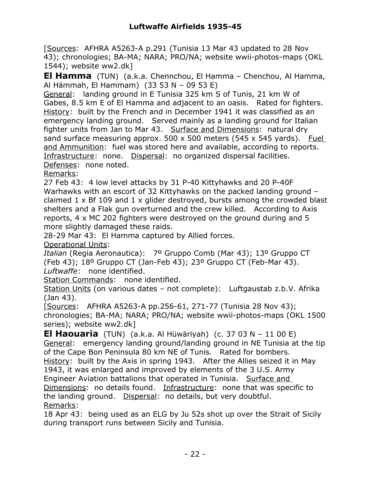[Sources: AFHRA A5263-A p.291 (Tunisia 13 Mar 43 updated to 28 Nov 43); chronologies; BA-MA; NARA; PRO/NA; website wwii-photos-maps (OKL 1544); website ww2.dk]

**El Hamma** (TUN) (a.k.a. Chennchou, El Hamma – Chenchou, Al Hamma, Al Hämmah, El Hammam) (33 53 N – 09 53 E)

General: landing ground in E Tunisia 325 km S of Tunis, 21 km W of Gabes, 8.5 km E of El Hamma and adjacent to an oasis. Rated for fighters. History: built by the French and in December 1941 it was classified as an emergency landing ground. Served mainly as a landing ground for Italian fighter units from Jan to Mar 43. Surface and Dimensions: natural dry sand surface measuring approx. 500 x 500 meters (545 x 545 yards). Fuel and Ammunition: fuel was stored here and available, according to reports. Infrastructure: none. Dispersal: no organized dispersal facilities. Defenses: none noted.

Remarks:

27 Feb 43: 4 low level attacks by 31 P-40 Kittyhawks and 20 P-40F Warhawks with an escort of 32 Kittyhawks on the packed landing ground claimed 1 x Bf 109 and 1 x glider destroyed, bursts among the crowded blast shelters and a Flak gun overturned and the crew killed. According to Axis reports, 4 x MC 202 fighters were destroyed on the ground during and 5 more slightly damaged these raids.

28-29 Mar 43: El Hamma captured by Allied forces.

Operational Units:

*Italian* (Regia Aeronautica): 7º Gruppo Comb (Mar 43); 13º Gruppo CT (Feb 43); 18º Gruppo CT (Jan-Feb 43); 23º Gruppo CT (Feb-Mar 43). *Luftwaffe*: none identified.

Station Commands: none identified.

Station Units (on various dates – not complete): Luftgaustab z.b.V. Afrika (Jan 43).

[Sources: AFHRA A5263-A pp.256-61, 271-77 (Tunisia 28 Nov 43); chronologies; BA-MA; NARA; PRO/NA; website wwii-photos-maps (OKL 1500 series); website ww2.dk]

**El Haouaria** (TUN) (a.k.a. Al Hüwärïyah) (c. 37 03 N – 11 00 E) General: emergency landing ground/landing ground in NE Tunisia at the tip of the Cape Bon Peninsula 80 km NE of Tunis. Rated for bombers. History: built by the Axis in spring 1943. After the Allies seized it in May 1943, it was enlarged and improved by elements of the 3 U.S. Army Engineer Aviation battalions that operated in Tunisia. Surface and Dimensions: no details found. Infrastructure: none that was specific to the landing ground. Dispersal: no details, but very doubtful. Remarks:

18 Apr 43: being used as an ELG by Ju 52s shot up over the Strait of Sicily during transport runs between Sicily and Tunisia.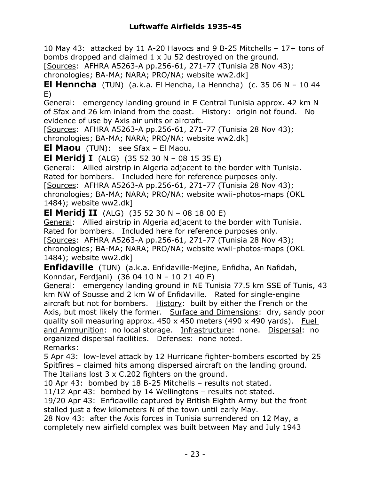10 May 43: attacked by 11 A-20 Havocs and 9 B-25 Mitchells – 17+ tons of bombs dropped and claimed 1 x Ju 52 destroyed on the ground.

[Sources: AFHRA A5263-A pp.256-61, 271-77 (Tunisia 28 Nov 43);

chronologies; BA-MA; NARA; PRO/NA; website ww2.dk]

**El Henncha** (TUN) (a.k.a. El Hencha, La Henncha) (c. 35 06 N – 10 44 E)

General: emergency landing ground in E Central Tunisia approx. 42 km N of Sfax and 26 km inland from the coast. History: origin not found. No evidence of use by Axis air units or aircraft.

[Sources: AFHRA A5263-A pp.256-61, 271-77 (Tunisia 28 Nov 43); chronologies; BA-MA; NARA; PRO/NA; website ww2.dk]

**El Maou** (TUN): see Sfax – El Maou.

**El Meridj I** (ALG) (35 52 30 N – 08 15 35 E)

General: Allied airstrip in Algeria adjacent to the border with Tunisia. Rated for bombers. Included here for reference purposes only. [Sources: AFHRA A5263-A pp.256-61, 271-77 (Tunisia 28 Nov 43);

chronologies; BA-MA; NARA; PRO/NA; website wwii-photos-maps (OKL 1484); website ww2.dk]

**El Meridj II** (ALG) (35 52 30 N – 08 18 00 E)

General: Allied airstrip in Algeria adjacent to the border with Tunisia. Rated for bombers. Included here for reference purposes only.

[Sources: AFHRA A5263-A pp.256-61, 271-77 (Tunisia 28 Nov 43); chronologies; BA-MA; NARA; PRO/NA; website wwii-photos-maps (OKL 1484); website ww2.dk]

**Enfidaville** (TUN) (a.k.a. Enfidaville-Mejine, Enfidha, An Nafidah, Konndar, Ferdjani) (36 04 10 N – 10 21 40 E)

General: emergency landing ground in NE Tunisia 77.5 km SSE of Tunis, 43 km NW of Sousse and 2 km W of Enfidaville. Rated for single-engine aircraft but not for bombers. History: built by either the French or the Axis, but most likely the former. Surface and Dimensions: dry, sandy poor quality soil measuring approx. 450 x 450 meters (490 x 490 yards). Fuel and Ammunition: no local storage. Infrastructure: none. Dispersal: no organized dispersal facilities. Defenses: none noted. Remarks:

5 Apr 43: low-level attack by 12 Hurricane fighter-bombers escorted by 25 Spitfires – claimed hits among dispersed aircraft on the landing ground. The Italians lost 3 x C.202 fighters on the ground.

10 Apr 43: bombed by 18 B-25 Mitchells – results not stated.

11/12 Apr 43: bombed by 14 Wellingtons – results not stated.

19/20 Apr 43: Enfidaville captured by British Eighth Army but the front stalled just a few kilometers N of the town until early May.

28 Nov 43: after the Axis forces in Tunisia surrendered on 12 May, a completely new airfield complex was built between May and July 1943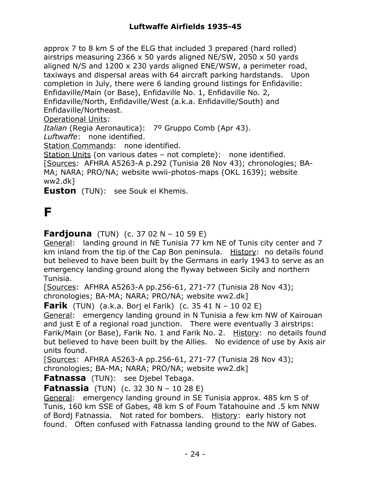approx 7 to 8 km S of the ELG that included 3 prepared (hard rolled) airstrips measuring 2366 x 50 yards aligned NE/SW, 2050 x 50 yards aligned N/S and 1200 x 230 yards aligned ENE/WSW, a perimeter road, taxiways and dispersal areas with 64 aircraft parking hardstands. Upon completion in July, there were 6 landing ground listings for Enfidaville: Enfidaville/Main (or Base), Enfidaville No. 1, Enfidaville No. 2, Enfidaville/North, Enfidaville/West (a.k.a. Enfidaville/South) and Enfidaville/Northeast.

Operational Units:

*Italian* (Regia Aeronautica): 7º Gruppo Comb (Apr 43).

*Luftwaffe*: none identified.

Station Commands: none identified.

Station Units (on various dates – not complete): none identified.

[Sources: AFHRA A5263-A p.292 (Tunisia 28 Nov 43); chronologies; BA-MA; NARA; PRO/NA; website wwii-photos-maps (OKL 1639); website

ww2.dk]

**Euston** (TUN): see Souk el Khemis.

## **F**

**Fardjouna** (TUN) (c. 37 02 N – 10 59 E)

General: landing ground in NE Tunisia 77 km NE of Tunis city center and 7 km inland from the tip of the Cap Bon peninsula. History: no details found but believed to have been built by the Germans in early 1943 to serve as an emergency landing ground along the flyway between Sicily and northern Tunisia.

[Sources: AFHRA A5263-A pp.256-61, 271-77 (Tunisia 28 Nov 43); chronologies; BA-MA; NARA; PRO/NA; website ww2.dk]

**Farik** (TUN) (a.k.a. Borj el Farik) (c. 35 41 N – 10 02 E)

General: emergency landing ground in N Tunisia a few km NW of Kairouan and just E of a regional road junction. There were eventually 3 airstrips: Farik/Main (or Base), Farik No. 1 and Farik No. 2. History: no details found but believed to have been built by the Allies. No evidence of use by Axis air units found.

[Sources: AFHRA A5263-A pp.256-61, 271-77 (Tunisia 28 Nov 43); chronologies; BA-MA; NARA; PRO/NA; website ww2.dk]

**Fatnassa** (TUN): see Djebel Tebaga.

**Fatnassia** (TUN) (c. 32 30 N – 10 28 E)

General: emergency landing ground in SE Tunisia approx. 485 km S of Tunis, 160 km SSE of Gabes, 48 km S of Foum Tatahouine and .5 km NNW of Bordj Fatnassia. Not rated for bombers. History: early history not found. Often confused with Fatnassa landing ground to the NW of Gabes.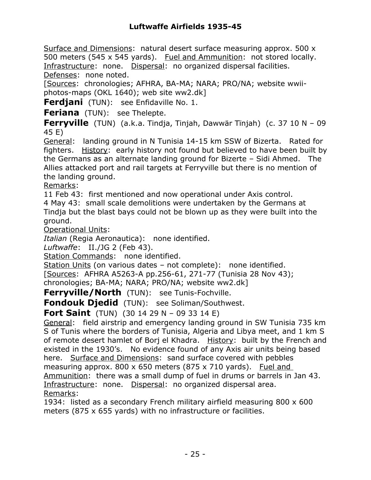Surface and Dimensions: natural desert surface measuring approx. 500 x 500 meters (545 x 545 yards). Fuel and Ammunition: not stored locally. Infrastructure: none. Dispersal: no organized dispersal facilities. Defenses: none noted.

[Sources: chronologies; AFHRA, BA-MA; NARA; PRO/NA; website wwiiphotos-maps (OKL 1640); web site ww2.dk]

**Ferdjani** (TUN): see Enfidaville No. 1.

**Feriana** (TUN): see Thelepte.

**Ferryville** (TUN) (a.k.a. Tindja, Tinjah, Dawwär Tïnjah) (c. 37 10 N – 09 45 E)

General: landing ground in N Tunisia 14-15 km SSW of Bizerta. Rated for fighters. History: early history not found but believed to have been built by the Germans as an alternate landing ground for Bizerte – Sidi Ahmed. The Allies attacked port and rail targets at Ferryville but there is no mention of the landing ground.

Remarks:

11 Feb 43: first mentioned and now operational under Axis control.

4 May 43: small scale demolitions were undertaken by the Germans at Tindja but the blast bays could not be blown up as they were built into the ground.

Operational Units:

*Italian* (Regia Aeronautica): none identified.

*Luftwaffe*: II./JG 2 (Feb 43).

Station Commands: none identified.

Station Units (on various dates – not complete): none identified.

[Sources: AFHRA A5263-A pp.256-61, 271-77 (Tunisia 28 Nov 43);

chronologies; BA-MA; NARA; PRO/NA; website ww2.dk]

**Ferryville/North** (TUN): see Tunis-Fochville.

**Fondouk Djedid** (TUN): see Soliman/Southwest.

**Fort Saint** (TUN) (30 14 29 N – 09 33 14 E)

General: field airstrip and emergency landing ground in SW Tunisia 735 km S of Tunis where the borders of Tunisia, Algeria and Libya meet, and 1 km S of remote desert hamlet of Borj el Khadra. History: built by the French and existed in the 1930's. No evidence found of any Axis air units being based here. Surface and Dimensions: sand surface covered with pebbles measuring approx.  $800 \times 650$  meters (875 x 710 yards). Fuel and Ammunition: there was a small dump of fuel in drums or barrels in Jan 43. Infrastructure: none. Dispersal: no organized dispersal area. Remarks:

1934: listed as a secondary French military airfield measuring 800 x 600 meters (875 x 655 yards) with no infrastructure or facilities.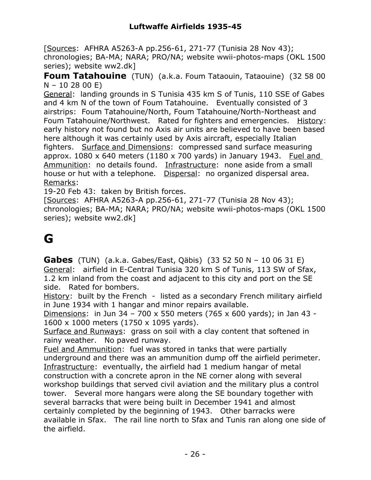[Sources: AFHRA A5263-A pp.256-61, 271-77 (Tunisia 28 Nov 43); chronologies; BA-MA; NARA; PRO/NA; website wwii-photos-maps (OKL 1500 series); website ww2.dk]

**Foum Tatahouine** (TUN) (a.k.a. Foum Tataouin, Tataouine) (32 58 00  $N - 10$  28 00 E)

General: landing grounds in S Tunisia 435 km S of Tunis, 110 SSE of Gabes and 4 km N of the town of Foum Tatahouine. Eventually consisted of 3 airstrips: Foum Tatahouine/North, Foum Tatahouine/North-Northeast and Foum Tatahouine/Northwest. Rated for fighters and emergencies. History: early history not found but no Axis air units are believed to have been based here although it was certainly used by Axis aircraft, especially Italian fighters. Surface and Dimensions: compressed sand surface measuring approx.  $1080 \times 640$  meters ( $1180 \times 700$  yards) in January 1943. Fuel and Ammunition: no details found. Infrastructure: none aside from a small house or hut with a telephone. Dispersal: no organized dispersal area. Remarks:

19-20 Feb 43: taken by British forces.

[Sources: AFHRA A5263-A pp.256-61, 271-77 (Tunisia 28 Nov 43); chronologies; BA-MA; NARA; PRO/NA; website wwii-photos-maps (OKL 1500 series); website ww2.dk]

## **G**

**Gabes** (TUN) (a.k.a. Gabes/East, Qäbis) (33 52 50 N – 10 06 31 E) General: airfield in E-Central Tunisia 320 km S of Tunis, 113 SW of Sfax, 1.2 km inland from the coast and adjacent to this city and port on the SE side. Rated for bombers.

History: built by the French - listed as a secondary French military airfield in June 1934 with 1 hangar and minor repairs available.

Dimensions: in Jun 34 – 700 x 550 meters (765 x 600 yards); in Jan 43 - 1600 x 1000 meters (1750 x 1095 yards).

Surface and Runways: grass on soil with a clay content that softened in rainy weather. No paved runway.

Fuel and Ammunition: fuel was stored in tanks that were partially underground and there was an ammunition dump off the airfield perimeter. Infrastructure: eventually, the airfield had 1 medium hangar of metal construction with a concrete apron in the NE corner along with several workshop buildings that served civil aviation and the military plus a control tower. Several more hangars were along the SE boundary together with several barracks that were being built in December 1941 and almost certainly completed by the beginning of 1943. Other barracks were available in Sfax. The rail line north to Sfax and Tunis ran along one side of the airfield.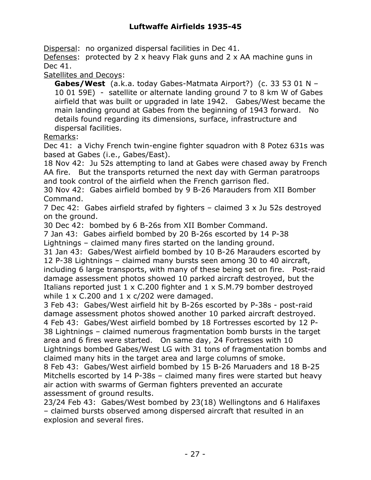Dispersal: no organized dispersal facilities in Dec 41.

Defenses: protected by 2 x heavy Flak guns and 2 x AA machine guns in Dec 41.

Satellites and Decoys:

**Gabes/West** (a.k.a. today Gabes-Matmata Airport?) (c. 33 53 01 N – 10 01 59E) - satellite or alternate landing ground 7 to 8 km W of Gabes airfield that was built or upgraded in late 1942. Gabes/West became the main landing ground at Gabes from the beginning of 1943 forward. No details found regarding its dimensions, surface, infrastructure and dispersal facilities.

Remarks:

Dec 41: a Vichy French twin-engine fighter squadron with 8 Potez 631s was based at Gabes (i.e., Gabes/East).

18 Nov 42: Ju 52s attempting to land at Gabes were chased away by French AA fire. But the transports returned the next day with German paratroops and took control of the airfield when the French garrison fled.

30 Nov 42: Gabes airfield bombed by 9 B-26 Marauders from XII Bomber Command.

7 Dec 42: Gabes airfield strafed by fighters – claimed 3 x Ju 52s destroyed on the ground.

30 Dec 42: bombed by 6 B-26s from XII Bomber Command.

7 Jan 43: Gabes airfield bombed by 20 B-26s escorted by 14 P-38 Lightnings – claimed many fires started on the landing ground.

31 Jan 43: Gabes/West airfield bombed by 10 B-26 Marauders escorted by 12 P-38 Lightnings – claimed many bursts seen among 30 to 40 aircraft, including 6 large transports, with many of these being set on fire. Post-raid damage assessment photos showed 10 parked aircraft destroyed, but the Italians reported just 1 x C.200 fighter and 1 x S.M.79 bomber destroyed while  $1 \times C.200$  and  $1 \times c/202$  were damaged.

3 Feb 43: Gabes/West airfield hit by B-26s escorted by P-38s - post-raid damage assessment photos showed another 10 parked aircraft destroyed. 4 Feb 43: Gabes/West airfield bombed by 18 Fortresses escorted by 12 P-38 Lightnings – claimed numerous fragmentation bomb bursts in the target

area and 6 fires were started. On same day, 24 Fortresses with 10 Lightnings bombed Gabes/West LG with 31 tons of fragmentation bombs and claimed many hits in the target area and large columns of smoke.

8 Feb 43: Gabes/West airfield bombed by 15 B-26 Maruaders and 18 B-25 Mitchells escorted by 14 P-38s – claimed many fires were started but heavy air action with swarms of German fighters prevented an accurate assessment of ground results.

23/24 Feb 43: Gabes/West bombed by 23(18) Wellingtons and 6 Halifaxes – claimed bursts observed among dispersed aircraft that resulted in an explosion and several fires.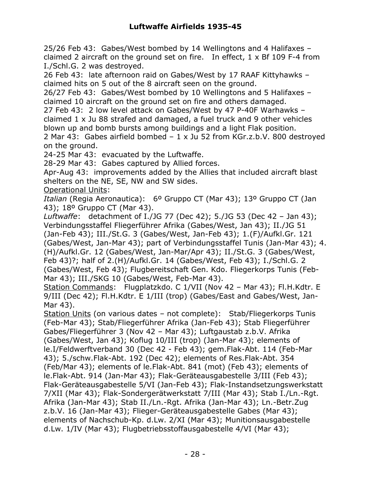25/26 Feb 43: Gabes/West bombed by 14 Wellingtons and 4 Halifaxes – claimed 2 aircraft on the ground set on fire. In effect,  $1 \times Bf$  109 F-4 from I./Schl.G. 2 was destroyed.

26 Feb 43: late afternoon raid on Gabes/West by 17 RAAF Kittyhawks – claimed hits on 5 out of the 8 aircraft seen on the ground.

26/27 Feb 43: Gabes/West bombed by 10 Wellingtons and 5 Halifaxes – claimed 10 aircraft on the ground set on fire and others damaged.

27 Feb 43: 2 low level attack on Gabes/West by 47 P-40F Warhawks – claimed 1 x Ju 88 strafed and damaged, a fuel truck and 9 other vehicles blown up and bomb bursts among buildings and a light Flak position.

2 Mar 43: Gabes airfield bombed – 1 x Ju 52 from KGr.z.b.V. 800 destroyed on the ground.

24-25 Mar 43: evacuated by the Luftwaffe.

28-29 Mar 43: Gabes captured by Allied forces.

Apr-Aug 43: improvements added by the Allies that included aircraft blast shelters on the NE, SE, NW and SW sides.

Operational Units:

*Italian* (Regia Aeronautica): 6º Gruppo CT (Mar 43); 13º Gruppo CT (Jan 43); 18º Gruppo CT (Mar 43).

*Luftwaffe*: detachment of I./JG 77 (Dec 42); 5./JG 53 (Dec 42 – Jan 43); Verbindungsstaffel Fliegerführer Afrika (Gabes/West, Jan 43); II./JG 51 (Jan-Feb 43); III./St.G. 3 (Gabes/West, Jan-Feb 43); 1.(F)/Aufkl.Gr. 121

(Gabes/West, Jan-Mar 43); part of Verbindungsstaffel Tunis (Jan-Mar 43); 4. (H)/Aufkl.Gr. 12 (Gabes/West, Jan-Mar/Apr 43); II./St.G. 3 (Gabes/West, Feb 43)?; half of 2.(H)/Aufkl.Gr. 14 (Gabes/West, Feb 43); I./Schl.G. 2 (Gabes/West, Feb 43); Flugbereitschaft Gen. Kdo. Fliegerkorps Tunis (Feb-Mar 43); III./SKG 10 (Gabes/West, Feb-Mar 43).

Station Commands: Flugplatzkdo. C 1/VII (Nov 42 – Mar 43); Fl.H.Kdtr. E 9/III (Dec 42); Fl.H.Kdtr. E 1/III (trop) (Gabes/East and Gabes/West, Jan-Mar 43).

Station Units (on various dates – not complete): Stab/Fliegerkorps Tunis (Feb-Mar 43); Stab/Fliegerführer Afrika (Jan-Feb 43); Stab Fliegerführer Gabes/Fliegerführer 3 (Nov 42 – Mar 43); Luftgaustab z.b.V. Afrika (Gabes/West, Jan 43); Koflug 10/III (trop) (Jan-Mar 43); elements of le.I/Feldwerftverband 30 (Dec 42 - Feb 43); gem.Flak-Abt. 114 (Feb-Mar 43); 5./schw.Flak-Abt. 192 (Dec 42); elements of Res.Flak-Abt. 354 (Feb/Mar 43); elements of le.Flak-Abt. 841 (mot) (Feb 43); elements of le.Flak-Abt. 914 (Jan-Mar 43); Flak-Geräteausgabestelle 3/III (Feb 43); Flak-Geräteausgabestelle 5/VI (Jan-Feb 43); Flak-Instandsetzungswerkstatt 7/XII (Mar 43); Flak-Sondergerätwerkstatt 7/III (Mar 43); Stab I./Ln.-Rgt. Afrika (Jan-Mar 43); Stab II./Ln.-Rgt. Afrika (Jan-Mar 43); Ln.-Betr.Zug z.b.V. 16 (Jan-Mar 43); Flieger-Geräteausgabestelle Gabes (Mar 43); elements of Nachschub-Kp. d.Lw. 2/XI (Mar 43); Munitionsausgabestelle d.Lw. 1/IV (Mar 43); Flugbetriebsstoffausgabestelle 4/VI (Mar 43);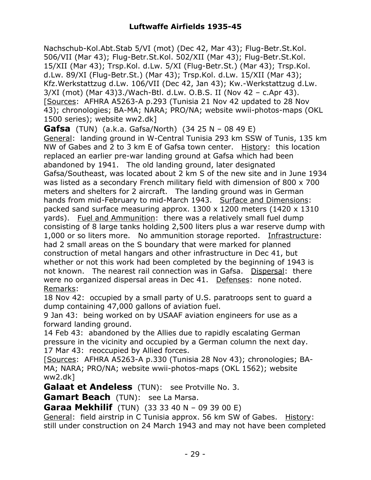Nachschub-Kol.Abt.Stab 5/VI (mot) (Dec 42, Mar 43); Flug-Betr.St.Kol. 506/VII (Mar 43); Flug-Betr.St.Kol. 502/XII (Mar 43); Flug-Betr.St.Kol. 15/XII (Mar 43); Trsp.Kol. d.Lw. 5/XI (Flug-Betr.St.) (Mar 43); Trsp.Kol. d.Lw. 89/XI (Flug-Betr.St.) (Mar 43); Trsp.Kol. d.Lw. 15/XII (Mar 43); Kfz.Werkstattzug d.Lw. 106/VII (Dec 42, Jan 43); Kw.-Werkstattzug d.Lw. 3/XI (mot) (Mar 43)3./Wach-Btl. d.Lw. O.B.S. II (Nov 42 – c.Apr 43). [Sources: AFHRA A5263-A p.293 (Tunisia 21 Nov 42 updated to 28 Nov 43); chronologies; BA-MA; NARA; PRO/NA; website wwii-photos-maps (OKL 1500 series); website ww2.dk]

**Gafsa** (TUN) (a.k.a. Gafsa/North) (34 25 N – 08 49 E)

General: landing ground in W-Central Tunisia 293 km SSW of Tunis, 135 km NW of Gabes and 2 to 3 km E of Gafsa town center. History: this location replaced an earlier pre-war landing ground at Gafsa which had been abandoned by 1941. The old landing ground, later designated Gafsa/Southeast, was located about 2 km S of the new site and in June 1934 was listed as a secondary French military field with dimension of 800 x 700 meters and shelters for 2 aircraft. The landing ground was in German hands from mid-February to mid-March 1943. Surface and Dimensions: packed sand surface measuring approx. 1300 x 1200 meters (1420 x 1310 yards). Fuel and Ammunition: there was a relatively small fuel dump consisting of 8 large tanks holding 2,500 liters plus a war reserve dump with 1,000 or so liters more. No ammunition storage reported. Infrastructure: had 2 small areas on the S boundary that were marked for planned construction of metal hangars and other infrastructure in Dec 41, but whether or not this work had been completed by the beginning of 1943 is not known. The nearest rail connection was in Gafsa. Dispersal: there were no organized dispersal areas in Dec 41. Defenses: none noted. Remarks:

18 Nov 42: occupied by a small party of U.S. paratroops sent to guard a dump containing 47,000 gallons of aviation fuel.

9 Jan 43: being worked on by USAAF aviation engineers for use as a forward landing ground.

14 Feb 43: abandoned by the Allies due to rapidly escalating German pressure in the vicinity and occupied by a German column the next day. 17 Mar 43: reoccupied by Allied forces.

[Sources: AFHRA A5263-A p.330 (Tunisia 28 Nov 43); chronologies; BA-MA; NARA; PRO/NA; website wwii-photos-maps (OKL 1562); website ww2.dk]

**Galaat et Andeless** (TUN): see Protville No. 3.

**Gamart Beach** (TUN): see La Marsa.

**Garaa Mekhilif** (TUN) (33 33 40 N – 09 39 00 E)

General: field airstrip in C Tunisia approx. 56 km SW of Gabes. History: still under construction on 24 March 1943 and may not have been completed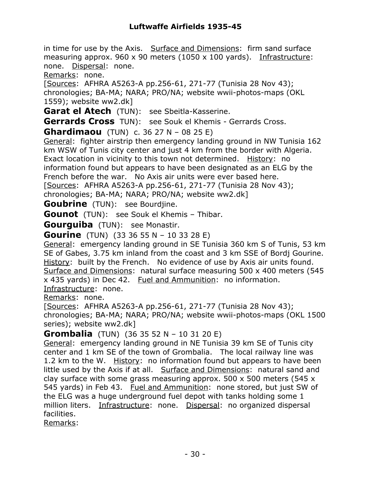in time for use by the Axis. Surface and Dimensions: firm sand surface measuring approx.  $960 \times 90$  meters (1050 x 100 yards). Infrastructure: none. Dispersal: none.

Remarks: none.

[Sources: AFHRA A5263-A pp.256-61, 271-77 (Tunisia 28 Nov 43); chronologies; BA-MA; NARA; PRO/NA; website wwii-photos-maps (OKL 1559); website ww2.dk]

**Garat el Atech** (TUN): see Sbeitla-Kasserine.

**Gerrards Cross** TUN): see Souk el Khemis - Gerrards Cross.

**Ghardimaou** (TUN) c. 36 27 N – 08 25 E)

General: fighter airstrip then emergency landing ground in NW Tunisia 162 km WSW of Tunis city center and just 4 km from the border with Algeria. Exact location in vicinity to this town not determined. History: no information found but appears to have been designated as an ELG by the French before the war. No Axis air units were ever based here.

[Sources: AFHRA A5263-A pp.256-61, 271-77 (Tunisia 28 Nov 43);

chronologies; BA-MA; NARA; PRO/NA; website ww2.dk]

**Goubrine** (TUN): see Bourdiine.

**Gounot** (TUN): see Souk el Khemis – Thibar.

**Gourguiba** (TUN): see Monastir.

**Gourine** (TUN) (33 36 55 N – 10 33 28 E)

General: emergency landing ground in SE Tunisia 360 km S of Tunis, 53 km SE of Gabes, 3.75 km inland from the coast and 3 km SSE of Bordj Gourine. History: built by the French. No evidence of use by Axis air units found. Surface and Dimensions: natural surface measuring 500 x 400 meters (545 x 435 yards) in Dec 42. Fuel and Ammunition: no information.

Infrastructure: none.

Remarks: none.

[Sources: AFHRA A5263-A pp.256-61, 271-77 (Tunisia 28 Nov 43); chronologies; BA-MA; NARA; PRO/NA; website wwii-photos-maps (OKL 1500 series); website ww2.dk]

### **Grombalia** (TUN) (36 35 52 N – 10 31 20 E)

General: emergency landing ground in NE Tunisia 39 km SE of Tunis city center and 1 km SE of the town of Grombalia. The local railway line was 1.2 km to the W. History: no information found but appears to have been little used by the Axis if at all. Surface and Dimensions: natural sand and clay surface with some grass measuring approx.  $500 \times 500$  meters (545 x 545 yards) in Feb 43. Fuel and Ammunition: none stored, but just SW of the ELG was a huge underground fuel depot with tanks holding some 1 million liters. Infrastructure: none. Dispersal: no organized dispersal facilities.

Remarks: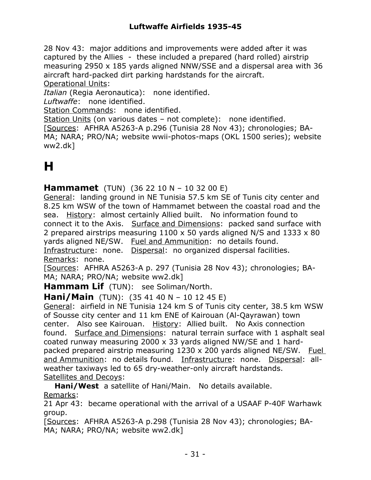28 Nov 43: major additions and improvements were added after it was captured by the Allies - these included a prepared (hard rolled) airstrip measuring 2950 x 185 yards aligned NNW/SSE and a dispersal area with 36 aircraft hard-packed dirt parking hardstands for the aircraft. Operational Units:

*Italian* (Regia Aeronautica): none identified.

*Luftwaffe*: none identified.

Station Commands: none identified.

Station Units (on various dates – not complete): none identified.

[Sources: AFHRA A5263-A p.296 (Tunisia 28 Nov 43); chronologies; BA-MA; NARA; PRO/NA; website wwii-photos-maps (OKL 1500 series); website ww2.dk]

## **H**

**Hammamet** (TUN) (36 22 10 N – 10 32 00 E)

General: landing ground in NE Tunisia 57.5 km SE of Tunis city center and 8.25 km WSW of the town of Hammamet between the coastal road and the sea. History: almost certainly Allied built. No information found to connect it to the Axis. Surface and Dimensions: packed sand surface with 2 prepared airstrips measuring 1100 x 50 yards aligned N/S and 1333 x 80 yards aligned NE/SW. Fuel and Ammunition: no details found.

Infrastructure: none. Dispersal: no organized dispersal facilities. Remarks: none.

[Sources: AFHRA A5263-A p. 297 (Tunisia 28 Nov 43); chronologies; BA-MA; NARA; PRO/NA; website ww2.dk]

**Hammam Lif** (TUN): see Soliman/North.

**Hani/Main** (TUN): (35 41 40 N – 10 12 45 E)

General: airfield in NE Tunisia 124 km S of Tunis city center, 38.5 km WSW of Sousse city center and 11 km ENE of Kairouan (Al-Qayrawan) town center. Also see Kairouan. History: Allied built. No Axis connection found. Surface and Dimensions: natural terrain surface with 1 asphalt seal coated runway measuring 2000 x 33 yards aligned NW/SE and 1 hardpacked prepared airstrip measuring 1230 x 200 yards aligned NE/SW. Fuel and Ammunition: no details found. Infrastructure: none. Dispersal: allweather taxiways led to 65 dry-weather-only aircraft hardstands. Satellites and Decoys:

**Hani/West** a satellite of Hani/Main. No details available. Remarks:

21 Apr 43: became operational with the arrival of a USAAF P-40F Warhawk group.

[Sources: AFHRA A5263-A p.298 (Tunisia 28 Nov 43); chronologies; BA-MA; NARA; PRO/NA; website ww2.dk]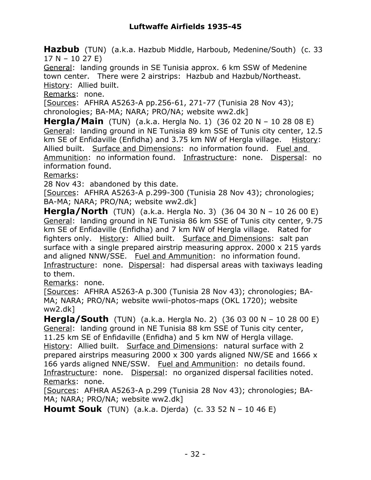**Hazbub** (TUN) (a.k.a. Hazbub Middle, Harboub, Medenine/South) (c. 33 17 N – 10 27 E)

General: landing grounds in SE Tunisia approx. 6 km SSW of Medenine town center. There were 2 airstrips: Hazbub and Hazbub/Northeast. History: Allied built.

Remarks: none.

[Sources: AFHRA A5263-A pp.256-61, 271-77 (Tunisia 28 Nov 43); chronologies; BA-MA; NARA; PRO/NA; website ww2.dk]

**Hergla/Main** (TUN) (a.k.a. Hergla No. 1) (36 02 20 N – 10 28 08 E) General: landing ground in NE Tunisia 89 km SSE of Tunis city center, 12.5 km SE of Enfidaville (Enfidha) and 3.75 km NW of Hergla village. History: Allied built. Surface and Dimensions: no information found. Fuel and Ammunition: no information found. Infrastructure: none. Dispersal: no information found.

Remarks:

28 Nov 43: abandoned by this date.

[Sources: AFHRA A5263-A p.299-300 (Tunisia 28 Nov 43); chronologies; BA-MA; NARA; PRO/NA; website ww2.dk]

**Hergla/North** (TUN) (a.k.a. Hergla No. 3) (36 04 30 N – 10 26 00 E) General: landing ground in NE Tunisia 86 km SSE of Tunis city center, 9.75 km SE of Enfidaville (Enfidha) and 7 km NW of Hergla village. Rated for fighters only. History: Allied built. Surface and Dimensions: salt pan surface with a single prepared airstrip measuring approx. 2000 x 215 yards and aligned NNW/SSE. Fuel and Ammunition: no information found. Infrastructure: none. Dispersal: had dispersal areas with taxiways leading to them.

Remarks: none.

[Sources: AFHRA A5263-A p.300 (Tunisia 28 Nov 43); chronologies; BA-MA; NARA; PRO/NA; website wwii-photos-maps (OKL 1720); website ww2.dk]

**Hergla/South** (TUN) (a.k.a. Hergla No. 2) (36 03 00 N – 10 28 00 E) General: landing ground in NE Tunisia 88 km SSE of Tunis city center, 11.25 km SE of Enfidaville (Enfidha) and 5 km NW of Hergla village. History: Allied built. Surface and Dimensions: natural surface with 2 prepared airstrips measuring 2000 x 300 yards aligned NW/SE and 1666 x 166 yards aligned NNE/SSW. Fuel and Ammunition: no details found. Infrastructure: none. Dispersal: no organized dispersal facilities noted. Remarks: none.

[Sources: AFHRA A5263-A p.299 (Tunisia 28 Nov 43); chronologies; BA-MA; NARA; PRO/NA; website ww2.dk]

**Houmt Souk** (TUN) (a.k.a. Djerda) (c. 33 52 N – 10 46 E)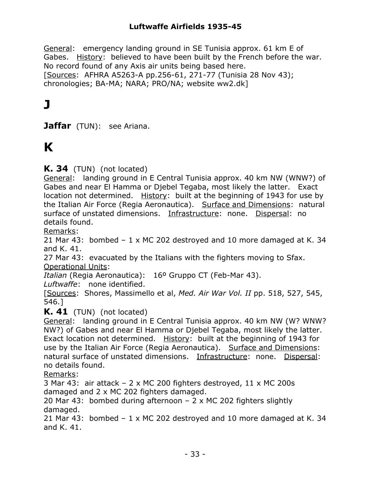General: emergency landing ground in SE Tunisia approx. 61 km E of Gabes. History: believed to have been built by the French before the war. No record found of any Axis air units being based here. [Sources: AFHRA A5263-A pp.256-61, 271-77 (Tunisia 28 Nov 43); chronologies; BA-MA; NARA; PRO/NA; website ww2.dk]

## **J**

**Jaffar** (TUN): see Ariana.

## **K**

**K. 34** (TUN) (not located)

General: landing ground in E Central Tunisia approx. 40 km NW (WNW?) of Gabes and near El Hamma or Djebel Tegaba, most likely the latter. Exact location not determined. History: built at the beginning of 1943 for use by the Italian Air Force (Regia Aeronautica). Surface and Dimensions: natural surface of unstated dimensions. Infrastructure: none. Dispersal: no details found.

Remarks:

21 Mar 43: bombed – 1 x MC 202 destroyed and 10 more damaged at K. 34 and K. 41.

27 Mar 43: evacuated by the Italians with the fighters moving to Sfax. Operational Units:

*Italian* (Regia Aeronautica): 16º Gruppo CT (Feb-Mar 43).

*Luftwaffe*: none identified.

[Sources: Shores, Massimello et al, *Med. Air War Vol. II* pp. 518, 527, 545, 546.]

**K. 41** (TUN) (not located)

General: landing ground in E Central Tunisia approx. 40 km NW (W? WNW? NW?) of Gabes and near El Hamma or Djebel Tegaba, most likely the latter. Exact location not determined. History: built at the beginning of 1943 for use by the Italian Air Force (Regia Aeronautica). Surface and Dimensions: natural surface of unstated dimensions. Infrastructure: none. Dispersal: no details found.

Remarks:

3 Mar 43: air attack – 2 x MC 200 fighters destroyed, 11 x MC 200s damaged and 2 x MC 202 fighters damaged.

20 Mar 43: bombed during afternoon – 2 x MC 202 fighters slightly damaged.

21 Mar 43: bombed – 1 x MC 202 destroyed and 10 more damaged at K. 34 and K. 41.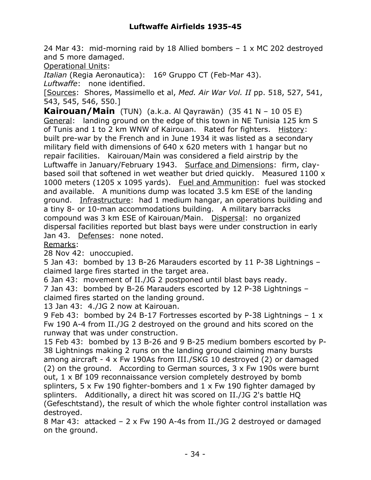### **Luftwaffe Airfields 1935-45**

24 Mar 43: mid-morning raid by 18 Allied bombers  $-1 \times MC$  202 destroyed and 5 more damaged.

Operational Units:

*Italian* (Regia Aeronautica): 16º Gruppo CT (Feb-Mar 43).

*Luftwaffe*: none identified.

[Sources: Shores, Massimello et al, *Med. Air War Vol. II* pp. 518, 527, 541, 543, 545, 546, 550.]

**Kairouan/Main** (TUN) (a.k.a. Al Qayrawän) (35 41 N – 10 05 E) General: landing ground on the edge of this town in NE Tunisia 125 km S of Tunis and 1 to 2 km WNW of Kairouan. Rated for fighters. History: built pre-war by the French and in June 1934 it was listed as a secondary military field with dimensions of 640 x 620 meters with 1 hangar but no repair facilities. Kairouan/Main was considered a field airstrip by the Luftwaffe in January/February 1943. Surface and Dimensions: firm, claybased soil that softened in wet weather but dried quickly. Measured 1100 x 1000 meters (1205 x 1095 yards). Fuel and Ammunition: fuel was stocked and available. A munitions dump was located 3.5 km ESE of the landing ground. Infrastructure: had 1 medium hangar, an operations building and a tiny 8- or 10-man accommodations building. A military barracks compound was 3 km ESE of Kairouan/Main. Dispersal: no organized dispersal facilities reported but blast bays were under construction in early Jan 43. Defenses: none noted.

Remarks:

28 Nov 42: unoccupied.

5 Jan 43: bombed by 13 B-26 Marauders escorted by 11 P-38 Lightnings – claimed large fires started in the target area.

6 Jan 43: movement of II./JG 2 postponed until blast bays ready.

7 Jan 43: bombed by B-26 Marauders escorted by 12 P-38 Lightnings – claimed fires started on the landing ground.

13 Jan 43: 4./JG 2 now at Kairouan.

9 Feb 43: bombed by 24 B-17 Fortresses escorted by P-38 Lightnings – 1 x Fw 190 A-4 from II./JG 2 destroyed on the ground and hits scored on the runway that was under construction.

15 Feb 43: bombed by 13 B-26 and 9 B-25 medium bombers escorted by P-38 Lightnings making 2 runs on the landing ground claiming many bursts among aircraft - 4 x Fw 190As from III./SKG 10 destroyed (2) or damaged (2) on the ground. According to German sources,  $3 \times Fw$  190s were burnt out, 1 x Bf 109 reconnaissance version completely destroyed by bomb splinters, 5 x Fw 190 fighter-bombers and 1 x Fw 190 fighter damaged by splinters. Additionally, a direct hit was scored on II./JG 2's battle HQ (Gefeschtstand), the result of which the whole fighter control installation was destroyed.

8 Mar 43: attacked – 2 x Fw 190 A-4s from II./JG 2 destroyed or damaged on the ground.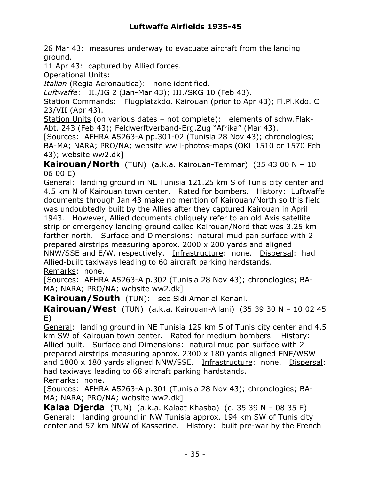26 Mar 43: measures underway to evacuate aircraft from the landing ground.

11 Apr 43: captured by Allied forces.

Operational Units:

*Italian* (Regia Aeronautica): none identified.

*Luftwaffe*: II./JG 2 (Jan-Mar 43); III./SKG 10 (Feb 43).

Station Commands: Flugplatzkdo. Kairouan (prior to Apr 43); Fl.Pl.Kdo. C 23/VII (Apr 43).

Station Units (on various dates – not complete): elements of schw.Flak-Abt. 243 (Feb 43); Feldwerftverband-Erg.Zug "Afrika" (Mar 43).

[Sources: AFHRA A5263-A pp.301-02 (Tunisia 28 Nov 43); chronologies; BA-MA; NARA; PRO/NA; website wwii-photos-maps (OKL 1510 or 1570 Feb 43); website ww2.dk]

**Kairouan/North** (TUN) (a.k.a. Kairouan-Temmar) (35 43 00 N – 10 06 00 E)

General: landing ground in NE Tunisia 121.25 km S of Tunis city center and 4.5 km N of Kairouan town center. Rated for bombers. History: Luftwaffe documents through Jan 43 make no mention of Kairouan/North so this field was undoubtedly built by the Allies after they captured Kairouan in April 1943. However, Allied documents obliquely refer to an old Axis satellite strip or emergency landing ground called Kairouan/Nord that was 3.25 km farther north. Surface and Dimensions: natural mud pan surface with 2 prepared airstrips measuring approx. 2000 x 200 yards and aligned NNW/SSE and E/W, respectively. Infrastructure: none. Dispersal: had Allied-built taxiways leading to 60 aircraft parking hardstands. Remarks: none.

[Sources: AFHRA A5263-A p.302 (Tunisia 28 Nov 43); chronologies; BA-MA; NARA; PRO/NA; website ww2.dk]

**Kairouan/South** (TUN): see Sidi Amor el Kenani.

**Kairouan/West** (TUN) (a.k.a. Kairouan-Allani) (35 39 30 N – 10 02 45 E)

General: landing ground in NE Tunisia 129 km S of Tunis city center and 4.5 km SW of Kairouan town center. Rated for medium bombers. History: Allied built. Surface and Dimensions: natural mud pan surface with 2 prepared airstrips measuring approx. 2300 x 180 yards aligned ENE/WSW and 1800 x 180 yards aligned NNW/SSE. Infrastructure: none. Dispersal: had taxiways leading to 68 aircraft parking hardstands. Remarks: none.

[Sources: AFHRA A5263-A p.301 (Tunisia 28 Nov 43); chronologies; BA-MA; NARA; PRO/NA; website ww2.dk]

**Kalaa Djerda** (TUN) (a.k.a. Kalaat Khasba) (c. 35 39 N – 08 35 E) General: landing ground in NW Tunisia approx. 194 km SW of Tunis city center and 57 km NNW of Kasserine. History: built pre-war by the French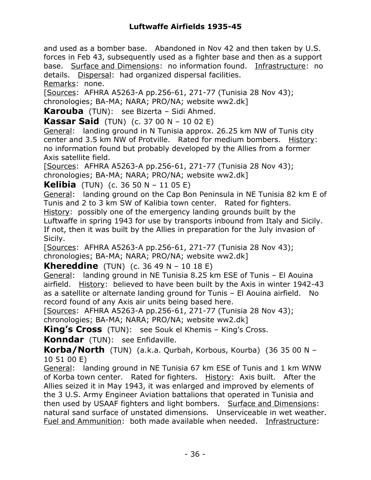and used as a bomber base. Abandoned in Nov 42 and then taken by U.S. forces in Feb 43, subsequently used as a fighter base and then as a support base. Surface and Dimensions: no information found. Infrastructure: no details. Dispersal: had organized dispersal facilities. Remarks: none.

[Sources: AFHRA A5263-A pp.256-61, 271-77 (Tunisia 28 Nov 43); chronologies; BA-MA; NARA; PRO/NA; website ww2.dk]

**Karouba** (TUN): see Bizerta – Sidi Ahmed.

**Kassar Said** (TUN) (c. 37 00 N – 10 02 E)

General: landing ground in N Tunisia approx. 26.25 km NW of Tunis city center and 3.5 km NW of Protville. Rated for medium bombers. History: no information found but probably developed by the Allies from a former Axis satellite field.

[Sources: AFHRA A5263-A pp.256-61, 271-77 (Tunisia 28 Nov 43); chronologies; BA-MA; NARA; PRO/NA; website ww2.dk]

**Kelibia** (TUN) (c. 36 50 N – 11 05 E)

General: landing ground on the Cap Bon Peninsula in NE Tunisia 82 km E of Tunis and 2 to 3 km SW of Kalibia town center. Rated for fighters.

History: possibly one of the emergency landing grounds built by the Luftwaffe in spring 1943 for use by transports inbound from Italy and Sicily. If not, then it was built by the Allies in preparation for the July invasion of Sicily.

[Sources: AFHRA A5263-A pp.256-61, 271-77 (Tunisia 28 Nov 43); chronologies; BA-MA; NARA; PRO/NA; website ww2.dk]

**Khereddine** (TUN) (c. 36 49 N – 10 18 E)

General: landing ground in NE Tunisia 8.25 km ESE of Tunis – El Aouina airfield. History: believed to have been built by the Axis in winter 1942-43 as a satellite or alternate landing ground for Tunis – El Aouina airfield. No record found of any Axis air units being based here.

[Sources: AFHRA A5263-A pp.256-61, 271-77 (Tunisia 28 Nov 43); chronologies; BA-MA; NARA; PRO/NA; website ww2.dk]

**King's Cross** (TUN): see Souk el Khemis – King's Cross.

**Konndar** (TUN): see Enfidaville.

**Korba/North** (TUN) (a.k.a. Qurbah, Korbous, Kourba) (36 35 00 N – 10 51 00 E)

General: landing ground in NE Tunisia 67 km ESE of Tunis and 1 km WNW of Korba town center. Rated for fighters. History: Axis built. After the Allies seized it in May 1943, it was enlarged and improved by elements of the 3 U.S. Army Engineer Aviation battalions that operated in Tunisia and then used by USAAF fighters and light bombers. Surface and Dimensions: natural sand surface of unstated dimensions. Unserviceable in wet weather. Fuel and Ammunition: both made available when needed. Infrastructure: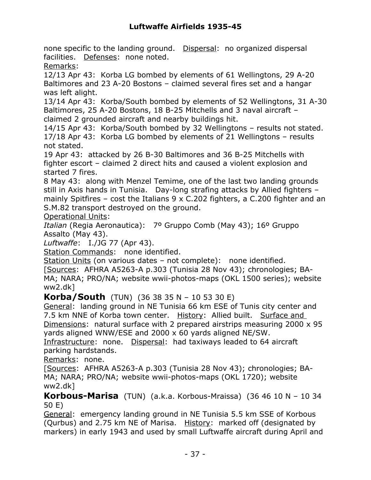none specific to the landing ground. Dispersal: no organized dispersal facilities. Defenses: none noted.

Remarks:

12/13 Apr 43: Korba LG bombed by elements of 61 Wellingtons, 29 A-20 Baltimores and 23 A-20 Bostons – claimed several fires set and a hangar was left alight.

13/14 Apr 43: Korba/South bombed by elements of 52 Wellingtons, 31 A-30 Baltimores, 25 A-20 Bostons, 18 B-25 Mitchells and 3 naval aircraft – claimed 2 grounded aircraft and nearby buildings hit.

14/15 Apr 43: Korba/South bombed by 32 Wellingtons – results not stated. 17/18 Apr 43: Korba LG bombed by elements of 21 Wellingtons – results not stated.

19 Apr 43: attacked by 26 B-30 Baltimores and 36 B-25 Mitchells with fighter escort – claimed 2 direct hits and caused a violent explosion and started 7 fires.

8 May 43: along with Menzel Temime, one of the last two landing grounds still in Axis hands in Tunisia. Day-long strafing attacks by Allied fighters – mainly Spitfires – cost the Italians  $9 \times C.202$  fighters, a C.200 fighter and an S.M.82 transport destroyed on the ground.

Operational Units:

*Italian* (Regia Aeronautica): 7º Gruppo Comb (May 43); 16º Gruppo Assalto (May 43).

*Luftwaffe*: I./JG 77 (Apr 43).

Station Commands: none identified.

Station Units (on various dates – not complete): none identified.

[Sources: AFHRA A5263-A p.303 (Tunisia 28 Nov 43); chronologies; BA-MA; NARA; PRO/NA; website wwii-photos-maps (OKL 1500 series); website ww2.dk]

**Korba/South** (TUN) (36 38 35 N – 10 53 30 E)

General: landing ground in NE Tunisia 66 km ESE of Tunis city center and 7.5 km NNE of Korba town center. History: Allied built. Surface and Dimensions: natural surface with 2 prepared airstrips measuring 2000 x 95 yards aligned WNW/ESE and 2000 x 60 yards aligned NE/SW.

Infrastructure: none. Dispersal: had taxiways leaded to 64 aircraft parking hardstands.

Remarks: none.

[Sources: AFHRA A5263-A p.303 (Tunisia 28 Nov 43); chronologies; BA-MA; NARA; PRO/NA; website wwii-photos-maps (OKL 1720); website ww2.dk]

**Korbous-Marisa** (TUN) (a.k.a. Korbous-Mraissa) (36 46 10 N – 10 34 50 E)

General: emergency landing ground in NE Tunisia 5.5 km SSE of Korbous (Qurbus) and 2.75 km NE of Marisa. History: marked off (designated by markers) in early 1943 and used by small Luftwaffe aircraft during April and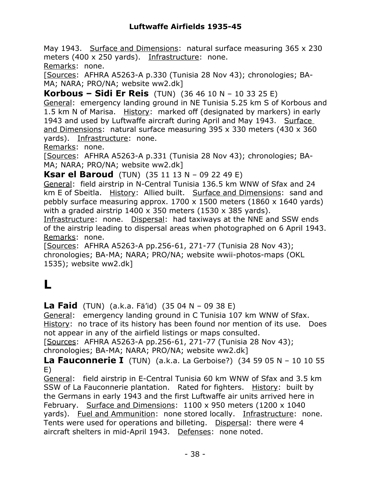May 1943. Surface and Dimensions: natural surface measuring 365 x 230 meters (400 x 250 yards). Infrastructure: none. Remarks: none.

[Sources: AFHRA A5263-A p.330 (Tunisia 28 Nov 43); chronologies; BA-MA; NARA; PRO/NA; website ww2.dk]

**Korbous – Sidi Er Reis** (TUN) (36 46 10 N – 10 33 25 E) General: emergency landing ground in NE Tunisia 5.25 km S of Korbous and 1.5 km N of Marisa. History: marked off (designated by markers) in early 1943 and used by Luftwaffe aircraft during April and May 1943. Surface and Dimensions: natural surface measuring 395 x 330 meters (430 x 360 yards). Infrastructure: none.

Remarks: none.

[Sources: AFHRA A5263-A p.331 (Tunisia 28 Nov 43); chronologies; BA-MA; NARA; PRO/NA; website ww2.dk]

**Ksar el Baroud** (TUN) (35 11 13 N – 09 22 49 E)

General: field airstrip in N-Central Tunisia 136.5 km WNW of Sfax and 24 km E of Sbeitla. History: Allied built. Surface and Dimensions: sand and pebbly surface measuring approx. 1700 x 1500 meters (1860 x 1640 yards) with a graded airstrip  $1400 \times 350$  meters (1530 x 385 vards).

Infrastructure: none. Dispersal: had taxiways at the NNE and SSW ends of the airstrip leading to dispersal areas when photographed on 6 April 1943. Remarks: none.

[Sources: AFHRA A5263-A pp.256-61, 271-77 (Tunisia 28 Nov 43); chronologies; BA-MA; NARA; PRO/NA; website wwii-photos-maps (OKL 1535); website ww2.dk]

# **L**

**La Faid** (TUN) (a.k.a. Fä'id) (35 04 N – 09 38 E)

General: emergency landing ground in C Tunisia 107 km WNW of Sfax. History: no trace of its history has been found nor mention of its use. Does not appear in any of the airfield listings or maps consulted.

[Sources: AFHRA A5263-A pp.256-61, 271-77 (Tunisia 28 Nov 43); chronologies; BA-MA; NARA; PRO/NA; website ww2.dk]

**La Fauconnerie I** (TUN) (a.k.a. La Gerboise?) (34 59 05 N – 10 10 55 E)

General: field airstrip in E-Central Tunisia 60 km WNW of Sfax and 3.5 km SSW of La Fauconnerie plantation. Rated for fighters. History: built by the Germans in early 1943 and the first Luftwaffe air units arrived here in February. Surface and Dimensions: 1100 x 950 meters (1200 x 1040 yards). Fuel and Ammunition: none stored locally. Infrastructure: none. Tents were used for operations and billeting. Dispersal: there were 4 aircraft shelters in mid-April 1943. Defenses: none noted.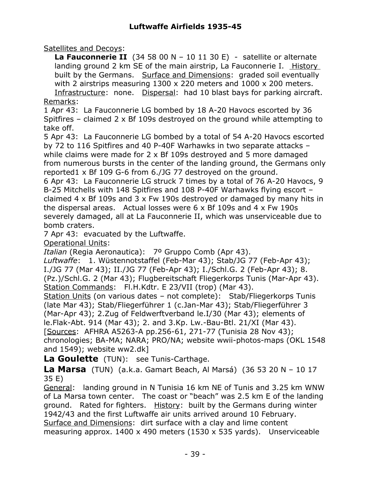Satellites and Decoys:

**La Fauconnerie II** (34 58 00 N – 10 11 30 E) - satellite or alternate landing ground 2 km SE of the main airstrip, La Fauconnerie I. History built by the Germans. Surface and Dimensions: graded soil eventually with 2 airstrips measuring 1300 x 220 meters and 1000 x 200 meters.

Infrastructure: none. Dispersal: had 10 blast bays for parking aircraft. Remarks:

1 Apr 43: La Fauconnerie LG bombed by 18 A-20 Havocs escorted by 36 Spitfires – claimed 2 x Bf 109s destroyed on the ground while attempting to take off.

5 Apr 43: La Fauconnerie LG bombed by a total of 54 A-20 Havocs escorted by 72 to 116 Spitfires and 40 P-40F Warhawks in two separate attacks – while claims were made for 2 x Bf 109s destroyed and 5 more damaged from numerous bursts in the center of the landing ground, the Germans only reported1 x Bf 109 G-6 from 6./JG 77 destroyed on the ground.

6 Apr 43: La Fauconnerie LG struck 7 times by a total of 76 A-20 Havocs, 9 B-25 Mitchells with 148 Spitfires and 108 P-40F Warhawks flying escort – claimed 4 x Bf 109s and 3 x Fw 190s destroyed or damaged by many hits in the dispersal areas. Actual losses were 6 x Bf 109s and 4 x Fw 190s severely damaged, all at La Fauconnerie II, which was unserviceable due to bomb craters.

7 Apr 43: evacuated by the Luftwaffe.

Operational Units:

*Italian* (Regia Aeronautica): 7º Gruppo Comb (Apr 43).

*Luftwaffe*: 1. Wüstennotstaffel (Feb-Mar 43); Stab/JG 77 (Feb-Apr 43); I./JG 77 (Mar 43); II./JG 77 (Feb-Apr 43); I./Schl.G. 2 (Feb-Apr 43); 8. (Pz.)/Schl.G. 2 (Mar 43); Flugbereitschaft Fliegerkorps Tunis (Mar-Apr 43). Station Commands: Fl.H.Kdtr. E 23/VII (trop) (Mar 43).

Station Units (on various dates – not complete): Stab/Fliegerkorps Tunis (late Mar 43); Stab/Fliegerführer 1 (c.Jan-Mar 43); Stab/Fliegerführer 3 (Mar-Apr 43); 2.Zug of Feldwerftverband le.I/30 (Mar 43); elements of le.Flak-Abt. 914 (Mar 43); 2. and 3.Kp. Lw.-Bau-Btl. 21/XI (Mar 43).

[Sources: AFHRA A5263-A pp.256-61, 271-77 (Tunisia 28 Nov 43); chronologies; BA-MA; NARA; PRO/NA; website wwii-photos-maps (OKL 1548 and 1549); website ww2.dk]

**La Goulette** (TUN): see Tunis-Carthage.

**La Marsa** (TUN) (a.k.a. Gamart Beach, Al Marsá) (36 53 20 N – 10 17 35 E)

General: landing ground in N Tunisia 16 km NE of Tunis and 3.25 km WNW of La Marsa town center. The coast or "beach" was 2.5 km E of the landing ground. Rated for fighters. History: built by the Germans during winter 1942/43 and the first Luftwaffe air units arrived around 10 February. Surface and Dimensions: dirt surface with a clay and lime content measuring approx. 1400 x 490 meters (1530 x 535 yards). Unserviceable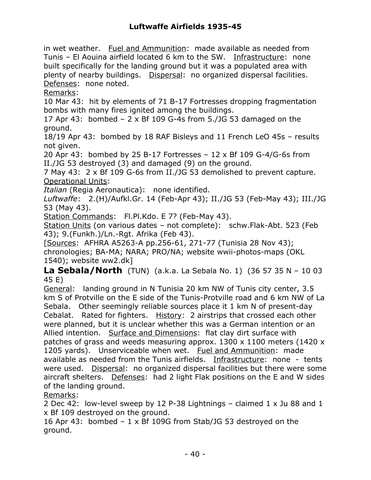in wet weather. Fuel and Ammunition: made available as needed from Tunis – El Aouina airfield located 6 km to the SW. Infrastructure: none built specifically for the landing ground but it was a populated area with plenty of nearby buildings. Dispersal: no organized dispersal facilities. Defenses: none noted.

Remarks:

10 Mar 43: hit by elements of 71 B-17 Fortresses dropping fragmentation bombs with many fires ignited among the buildings.

17 Apr 43: bombed  $-2 \times Bf$  109 G-4s from 5./JG 53 damaged on the ground.

18/19 Apr 43: bombed by 18 RAF Bisleys and 11 French LeO 45s – results not given.

20 Apr 43: bombed by 25 B-17 Fortresses – 12 x Bf 109 G-4/G-6s from II./JG 53 destroyed (3) and damaged (9) on the ground.

7 May 43: 2 x Bf 109 G-6s from II./JG 53 demolished to prevent capture. Operational Units:

*Italian* (Regia Aeronautica): none identified.

*Luftwaffe*: 2.(H)/Aufkl.Gr. 14 (Feb-Apr 43); II./JG 53 (Feb-May 43); III./JG 53 (May 43).

Station Commands: Fl.Pl.Kdo. E 7? (Feb-May 43).

Station Units (on various dates – not complete): schw.Flak-Abt. 523 (Feb 43); 9.(Funkh.)/Ln.-Rgt. Afrika (Feb 43).

[Sources: AFHRA A5263-A pp.256-61, 271-77 (Tunisia 28 Nov 43); chronologies; BA-MA; NARA; PRO/NA; website wwii-photos-maps (OKL 1540); website ww2.dk]

**La Sebala/North** (TUN) (a.k.a. La Sebala No. 1) (36 57 35 N – 10 03 45 E)

General: landing ground in N Tunisia 20 km NW of Tunis city center, 3.5 km S of Protville on the E side of the Tunis-Protville road and 6 km NW of La Sebala. Other seemingly reliable sources place it 1 km N of present-day Cebalat. Rated for fighters. History: 2 airstrips that crossed each other were planned, but it is unclear whether this was a German intention or an Allied intention. Surface and Dimensions: flat clay dirt surface with patches of grass and weeds measuring approx. 1300 x 1100 meters (1420 x 1205 yards). Unserviceable when wet. Fuel and Ammunition: made available as needed from the Tunis airfields. Infrastructure: none - tents were used. Dispersal: no organized dispersal facilities but there were some aircraft shelters. Defenses: had 2 light Flak positions on the E and W sides of the landing ground.

Remarks:

2 Dec 42: low-level sweep by 12 P-38 Lightnings – claimed 1 x Ju 88 and 1 x Bf 109 destroyed on the ground.

16 Apr 43: bombed – 1 x Bf 109G from Stab/JG 53 destroyed on the ground.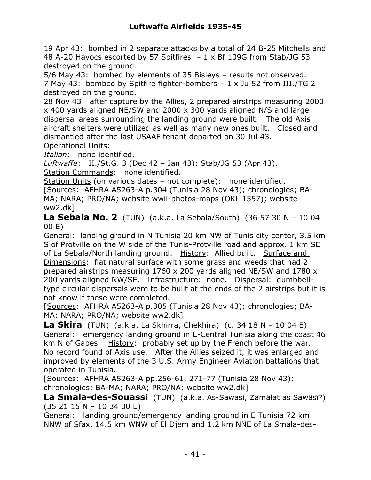19 Apr 43: bombed in 2 separate attacks by a total of 24 B-25 Mitchells and 48 A-20 Havocs escorted by 57 Spitfires – 1 x Bf 109G from Stab/JG 53 destroyed on the ground.

5/6 May 43: bombed by elements of 35 Bisleys – results not observed. 7 May 43: bombed by Spitfire fighter-bombers – 1 x Ju 52 from III./TG 2 destroyed on the ground.

28 Nov 43: after capture by the Allies, 2 prepared airstrips measuring 2000 x 400 yards aligned NE/SW and 2000 x 300 yards aligned N/S and large dispersal areas surrounding the landing ground were built. The old Axis aircraft shelters were utilized as well as many new ones built. Closed and dismantled after the last USAAF tenant departed on 30 Jul 43. Operational Units:

*Italian*: none identified.

*Luftwaffe*: II./St.G. 3 (Dec 42 – Jan 43); Stab/JG 53 (Apr 43). Station Commands: none identified.

Station Units (on various dates – not complete): none identified.

[Sources: AFHRA A5263-A p.304 (Tunisia 28 Nov 43); chronologies; BA-MA; NARA; PRO/NA; website wwii-photos-maps (OKL 1557); website ww2.dk]

**La Sebala No. 2** (TUN) (a.k.a. La Sebala/South) (36 57 30 N – 10 04 00 E)

General: landing ground in N Tunisia 20 km NW of Tunis city center, 3.5 km S of Protville on the W side of the Tunis-Protville road and approx. 1 km SE of La Sebala/North landing ground. History: Allied built. Surface and Dimensions: flat natural surface with some grass and weeds that had 2 prepared airstrips measuring 1760 x 200 yards aligned NE/SW and 1780 x 200 yards aligned NW/SE. Infrastructure: none. Dispersal: dumbbelltype circular dispersals were to be built at the ends of the 2 airstrips but it is not know if these were completed.

[Sources: AFHRA A5263-A p.305 (Tunisia 28 Nov 43); chronologies; BA-MA; NARA; PRO/NA; website ww2.dk]

**La Skira** (TUN) (a.k.a. La Skhirra, Chekhira) (c. 34 18 N – 10 04 E) General: emergency landing ground in E-Central Tunisia along the coast 46 km N of Gabes. History: probably set up by the French before the war. No record found of Axis use. After the Allies seized it, it was enlarged and improved by elements of the 3 U.S. Army Engineer Aviation battalions that operated in Tunisia.

[Sources: AFHRA A5263-A pp.256-61, 271-77 (Tunisia 28 Nov 43); chronologies; BA-MA; NARA; PRO/NA; website ww2.dk]

**La Smala-des-Souassi** (TUN) (a.k.a. As-Sawasi, Zamälat as Sawäsï?) (35 21 15 N – 10 34 00 E)

General: landing ground/emergency landing ground in E Tunisia 72 km NNW of Sfax, 14.5 km WNW of El Djem and 1.2 km NNE of La Smala-des-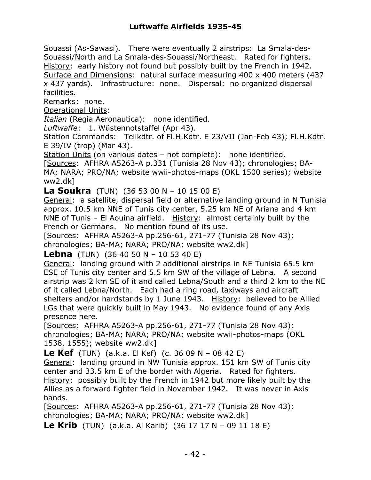Souassi (As-Sawasi). There were eventually 2 airstrips: La Smala-des-Souassi/North and La Smala-des-Souassi/Northeast. Rated for fighters. History: early history not found but possibly built by the French in 1942. Surface and Dimensions: natural surface measuring 400 x 400 meters (437 x 437 yards). Infrastructure: none. Dispersal: no organized dispersal facilities.

Remarks: none.

Operational Units:

*Italian* (Regia Aeronautica): none identified.

*Luftwaffe*: 1. Wüstennotstaffel (Apr 43).

Station Commands: Teilkdtr. of Fl.H.Kdtr. E 23/VII (Jan-Feb 43); Fl.H.Kdtr. E 39/IV (trop) (Mar 43).

Station Units (on various dates – not complete): none identified.

[Sources: AFHRA A5263-A p.331 (Tunisia 28 Nov 43); chronologies; BA-MA; NARA; PRO/NA; website wwii-photos-maps (OKL 1500 series); website ww2.dk]

**La Soukra** (TUN) (36 53 00 N – 10 15 00 E)

General: a satellite, dispersal field or alternative landing ground in N Tunisia approx. 10.5 km NNE of Tunis city center, 5.25 km NE of Ariana and 4 km NNE of Tunis – El Aouina airfield. History: almost certainly built by the French or Germans. No mention found of its use.

[Sources: AFHRA A5263-A pp.256-61, 271-77 (Tunisia 28 Nov 43); chronologies; BA-MA; NARA; PRO/NA; website ww2.dk]

**Lebna** (TUN) (36 40 50 N – 10 53 40 E)

General: landing ground with 2 additional airstrips in NE Tunisia 65.5 km ESE of Tunis city center and 5.5 km SW of the village of Lebna. A second airstrip was 2 km SE of it and called Lebna/South and a third 2 km to the NE of it called Lebna/North. Each had a ring road, taxiways and aircraft shelters and/or hardstands by 1 June 1943. History: believed to be Allied LGs that were quickly built in May 1943. No evidence found of any Axis presence here.

[Sources: AFHRA A5263-A pp.256-61, 271-77 (Tunisia 28 Nov 43); chronologies; BA-MA; NARA; PRO/NA; website wwii-photos-maps (OKL 1538, 1555); website ww2.dk]

**Le Kef** (TUN) (a.k.a. El Kef) (c. 36 09 N – 08 42 E)

General: landing ground in NW Tunisia approx. 151 km SW of Tunis city center and 33.5 km E of the border with Algeria. Rated for fighters. History: possibly built by the French in 1942 but more likely built by the Allies as a forward fighter field in November 1942. It was never in Axis hands.

[Sources: AFHRA A5263-A pp.256-61, 271-77 (Tunisia 28 Nov 43); chronologies; BA-MA; NARA; PRO/NA; website ww2.dk]

**Le Krib** (TUN) (a.k.a. Al Karib) (36 17 17 N – 09 11 18 E)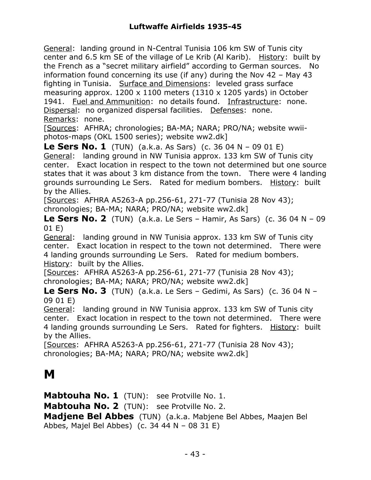General: landing ground in N-Central Tunisia 106 km SW of Tunis city center and 6.5 km SE of the village of Le Krib (Al Karib). History: built by the French as a "secret military airfield" according to German sources. No information found concerning its use (if any) during the Nov 42 – May 43 fighting in Tunisia. Surface and Dimensions: leveled grass surface measuring approx. 1200 x 1100 meters (1310 x 1205 yards) in October 1941. Fuel and Ammunition: no details found. Infrastructure: none. Dispersal: no organized dispersal facilities. Defenses: none. Remarks: none.

[Sources: AFHRA; chronologies; BA-MA; NARA; PRO/NA; website wwiiphotos-maps (OKL 1500 series); website ww2.dk]

**Le Sers No. 1** (TUN) (a.k.a. As Sars) (c. 36 04 N – 09 01 E) General: landing ground in NW Tunisia approx. 133 km SW of Tunis city center. Exact location in respect to the town not determined but one source states that it was about 3 km distance from the town. There were 4 landing grounds surrounding Le Sers. Rated for medium bombers. History: built by the Allies.

[Sources: AFHRA A5263-A pp.256-61, 271-77 (Tunisia 28 Nov 43); chronologies; BA-MA; NARA; PRO/NA; website ww2.dk]

**Le Sers No. 2** (TUN) (a.k.a. Le Sers – Hamir, As Sars) (c. 36 04 N – 09 01 E)

General: landing ground in NW Tunisia approx. 133 km SW of Tunis city center. Exact location in respect to the town not determined. There were 4 landing grounds surrounding Le Sers. Rated for medium bombers. History: built by the Allies.

[Sources: AFHRA A5263-A pp.256-61, 271-77 (Tunisia 28 Nov 43); chronologies; BA-MA; NARA; PRO/NA; website ww2.dk]

**Le Sers No. 3** (TUN) (a.k.a. Le Sers – Gedimi, As Sars) (c. 36 04 N – 09 01 E)

General: landing ground in NW Tunisia approx. 133 km SW of Tunis city center. Exact location in respect to the town not determined. There were 4 landing grounds surrounding Le Sers. Rated for fighters. History: built by the Allies.

[Sources: AFHRA A5263-A pp.256-61, 271-77 (Tunisia 28 Nov 43); chronologies; BA-MA; NARA; PRO/NA; website ww2.dk]

#### **M**

**Mabtouha No. 1** (TUN): see Protville No. 1. **Mabtouha No. 2** (TUN): see Protville No. 2. **Madjene Bel Abbes** (TUN) (a.k.a. Mabjene Bel Abbes, Maajen Bel Abbes, Majel Bel Abbes) (c. 34 44 N – 08 31 E)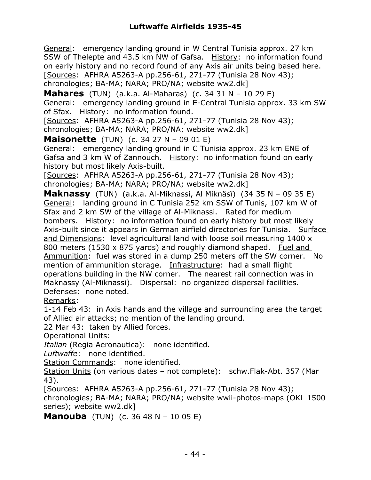General: emergency landing ground in W Central Tunisia approx. 27 km SSW of Thelepte and 43.5 km NW of Gafsa. History: no information found on early history and no record found of any Axis air units being based here. [Sources: AFHRA A5263-A pp.256-61, 271-77 (Tunisia 28 Nov 43); chronologies; BA-MA; NARA; PRO/NA; website ww2.dk]

**Mahares** (TUN) (a.k.a. Al-Maharas) (c. 34 31 N – 10 29 E) General: emergency landing ground in E-Central Tunisia approx. 33 km SW of Sfax. History: no information found.

[Sources: AFHRA A5263-A pp.256-61, 271-77 (Tunisia 28 Nov 43); chronologies; BA-MA; NARA; PRO/NA; website ww2.dk]

**Maisonette** (TUN) (c. 34 27 N – 09 01 E)

General: emergency landing ground in C Tunisia approx. 23 km ENE of Gafsa and 3 km W of Zannouch. History: no information found on early history but most likely Axis-built.

[Sources: AFHRA A5263-A pp.256-61, 271-77 (Tunisia 28 Nov 43); chronologies; BA-MA; NARA; PRO/NA; website ww2.dk]

**Maknassy** (TUN) (a.k.a. Al-Miknassi, Al Miknäsï) (34 35 N – 09 35 E) General: landing ground in C Tunisia 252 km SSW of Tunis, 107 km W of Sfax and 2 km SW of the village of Al-Miknassi. Rated for medium bombers. History: no information found on early history but most likely Axis-built since it appears in German airfield directories for Tunisia. Surface and Dimensions: level agricultural land with loose soil measuring 1400 x 800 meters (1530 x 875 yards) and roughly diamond shaped. Fuel and Ammunition: fuel was stored in a dump 250 meters off the SW corner. No mention of ammunition storage. Infrastructure: had a small flight operations building in the NW corner. The nearest rail connection was in Maknassy (Al-Miknassi). Dispersal: no organized dispersal facilities. Defenses: none noted.

Remarks:

1-14 Feb 43: in Axis hands and the village and surrounding area the target of Allied air attacks; no mention of the landing ground.

22 Mar 43: taken by Allied forces.

Operational Units:

*Italian* (Regia Aeronautica): none identified.

*Luftwaffe*: none identified.

Station Commands: none identified.

Station Units (on various dates – not complete): schw.Flak-Abt. 357 (Mar 43).

[Sources: AFHRA A5263-A pp.256-61, 271-77 (Tunisia 28 Nov 43);

chronologies; BA-MA; NARA; PRO/NA; website wwii-photos-maps (OKL 1500 series); website ww2.dk]

**Manouba** (TUN) (c. 36 48 N – 10 05 E)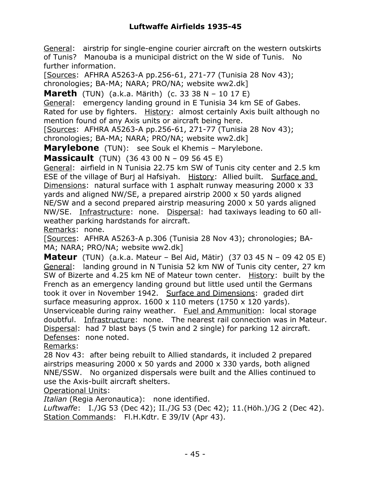General: airstrip for single-engine courier aircraft on the western outskirts of Tunis? Manouba is a municipal district on the W side of Tunis. No further information.

[Sources: AFHRA A5263-A pp.256-61, 271-77 (Tunisia 28 Nov 43); chronologies; BA-MA; NARA; PRO/NA; website ww2.dk]

**Mareth** (TUN) (a.k.a. Märith) (c. 33 38 N – 10 17 E)

General: emergency landing ground in E Tunisia 34 km SE of Gabes. Rated for use by fighters. History: almost certainly Axis built although no mention found of any Axis units or aircraft being here.

[Sources: AFHRA A5263-A pp.256-61, 271-77 (Tunisia 28 Nov 43); chronologies; BA-MA; NARA; PRO/NA; website ww2.dk]

**Marylebone** (TUN): see Souk el Khemis – Marylebone.

**Massicault** (TUN) (36 43 00 N – 09 56 45 E)

General: airfield in N Tunisia 22.75 km SW of Tunis city center and 2.5 km ESE of the village of Burj al Hafsiyah. History: Allied built. Surface and Dimensions: natural surface with 1 asphalt runway measuring 2000 x 33 yards and aligned NW/SE, a prepared airstrip 2000 x 50 yards aligned NE/SW and a second prepared airstrip measuring 2000 x 50 yards aligned NW/SE. Infrastructure: none. Dispersal: had taxiways leading to 60 allweather parking hardstands for aircraft.

Remarks: none.

[Sources: AFHRA A5263-A p.306 (Tunisia 28 Nov 43); chronologies; BA-MA; NARA; PRO/NA; website ww2.dk]

**Mateur** (TUN) (a.k.a. Mateur – Bel Aid, Mätir) (37 03 45 N – 09 42 05 E) General: landing ground in N Tunisia 52 km NW of Tunis city center, 27 km SW of Bizerte and 4.25 km NE of Mateur town center. History: built by the French as an emergency landing ground but little used until the Germans took it over in November 1942. Surface and Dimensions: graded dirt surface measuring approx. 1600 x 110 meters (1750 x 120 yards). Unserviceable during rainy weather. Fuel and Ammunition: local storage doubtful. Infrastructure: none. The nearest rail connection was in Mateur.

Dispersal: had 7 blast bays (5 twin and 2 single) for parking 12 aircraft. Defenses: none noted.

Remarks:

28 Nov 43: after being rebuilt to Allied standards, it included 2 prepared airstrips measuring 2000 x 50 yards and 2000 x 330 yards, both aligned NNE/SSW. No organized dispersals were built and the Allies continued to use the Axis-built aircraft shelters.

Operational Units:

*Italian* (Regia Aeronautica): none identified.

*Luftwaffe*: I./JG 53 (Dec 42); II./JG 53 (Dec 42); 11.(Höh.)/JG 2 (Dec 42). Station Commands: Fl.H.Kdtr. E 39/IV (Apr 43).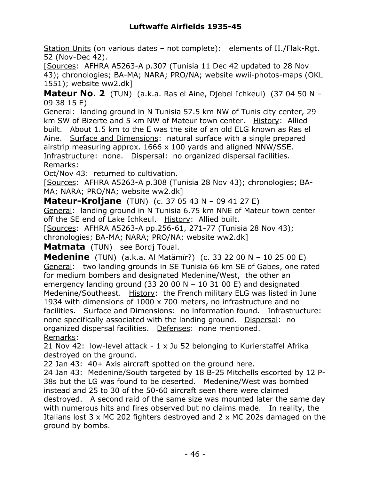Station Units (on various dates - not complete): elements of II./Flak-Rgt. 52 (Nov-Dec 42).

[Sources: AFHRA A5263-A p.307 (Tunisia 11 Dec 42 updated to 28 Nov 43); chronologies; BA-MA; NARA; PRO/NA; website wwii-photos-maps (OKL 1551); website ww2.dk]

**Mateur No. 2** (TUN) (a.k.a. Ras el Aine, Djebel Ichkeul) (37 04 50 N – 09 38 15 E)

General: landing ground in N Tunisia 57.5 km NW of Tunis city center, 29 km SW of Bizerte and 5 km NW of Mateur town center. History: Allied built. About 1.5 km to the E was the site of an old ELG known as Ras el Aine. Surface and Dimensions: natural surface with a single prepared airstrip measuring approx. 1666 x 100 yards and aligned NNW/SSE. Infrastructure: none. Dispersal: no organized dispersal facilities. Remarks:

Oct/Nov 43: returned to cultivation.

[Sources: AFHRA A5263-A p.308 (Tunisia 28 Nov 43); chronologies; BA-MA; NARA; PRO/NA; website ww2.dk]

**Mateur-Kroljane** (TUN) (c. 37 05 43 N – 09 41 27 E)

General: landing ground in N Tunisia 6.75 km NNE of Mateur town center off the SE end of Lake Ichkeul. History: Allied built.

[Sources: AFHRA A5263-A pp.256-61, 271-77 (Tunisia 28 Nov 43); chronologies; BA-MA; NARA; PRO/NA; website ww2.dk]

**Matmata** (TUN) see Bordj Toual.

**Medenine** (TUN) (a.k.a. Al Matämïr?) (c. 33 22 00 N – 10 25 00 E) General: two landing grounds in SE Tunisia 66 km SE of Gabes, one rated for medium bombers and designated Medenine/West, the other an emergency landing ground (33 20 00 N – 10 31 00 E) and designated Medenine/Southeast. History: the French military ELG was listed in June 1934 with dimensions of 1000 x 700 meters, no infrastructure and no facilities. Surface and Dimensions: no information found. Infrastructure: none specifically associated with the landing ground. Dispersal: no organized dispersal facilities. Defenses: none mentioned. Remarks:

21 Nov 42: low-level attack - 1 x Ju 52 belonging to Kurierstaffel Afrika destroyed on the ground.

22 Jan 43: 40+ Axis aircraft spotted on the ground here.

24 Jan 43: Medenine/South targeted by 18 B-25 Mitchells escorted by 12 P-38s but the LG was found to be deserted. Medenine/West was bombed instead and 25 to 30 of the 50-60 aircraft seen there were claimed destroyed. A second raid of the same size was mounted later the same day with numerous hits and fires observed but no claims made. In reality, the Italians lost 3 x MC 202 fighters destroyed and 2 x MC 202s damaged on the ground by bombs.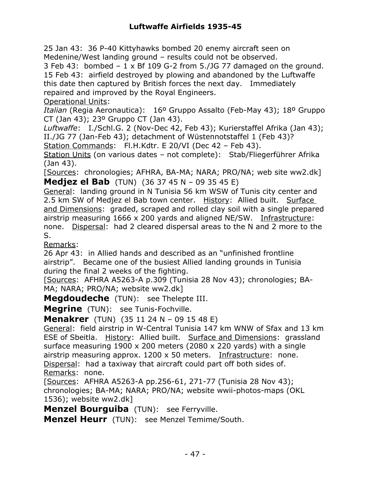25 Jan 43: 36 P-40 Kittyhawks bombed 20 enemy aircraft seen on Medenine/West landing ground – results could not be observed.

3 Feb 43: bombed  $-1 \times$  Bf 109 G-2 from 5./JG 77 damaged on the ground. 15 Feb 43: airfield destroyed by plowing and abandoned by the Luftwaffe this date then captured by British forces the next day. Immediately repaired and improved by the Royal Engineers.

Operational Units:

*Italian* (Regia Aeronautica): 16º Gruppo Assalto (Feb-May 43); 18º Gruppo CT (Jan 43); 23º Gruppo CT (Jan 43).

*Luftwaffe*: I./Schl.G. 2 (Nov-Dec 42, Feb 43); Kurierstaffel Afrika (Jan 43); II./JG 77 (Jan-Feb 43); detachment of Wüstennotstaffel 1 (Feb 43)?

Station Commands: Fl.H.Kdtr. E 20/VI (Dec 42 - Feb 43).

Station Units (on various dates – not complete): Stab/Fliegerführer Afrika (Jan 43).

[Sources: chronologies; AFHRA, BA-MA; NARA; PRO/NA; web site ww2.dk] **Medjez el Bab** (TUN) (36 37 45 N – 09 35 45 E)

General: landing ground in N Tunisia 56 km WSW of Tunis city center and 2.5 km SW of Medjez el Bab town center. History: Allied built. Surface and Dimensions: graded, scraped and rolled clay soil with a single prepared airstrip measuring 1666 x 200 yards and aligned NE/SW. Infrastructure: none. Dispersal: had 2 cleared dispersal areas to the N and 2 more to the S.

Remarks:

26 Apr 43: in Allied hands and described as an "unfinished frontline airstrip". Became one of the busiest Allied landing grounds in Tunisia during the final 2 weeks of the fighting.

[Sources: AFHRA A5263-A p.309 (Tunisia 28 Nov 43); chronologies; BA-MA; NARA; PRO/NA; website ww2.dk]

**Megdoudeche** (TUN): see Thelepte III.

**Megrine** (TUN): see Tunis-Fochville.

**Menakrer** (TUN) (35 11 24 N – 09 15 48 E)

General: field airstrip in W-Central Tunisia 147 km WNW of Sfax and 13 km ESE of Sbeitla. History: Allied built. Surface and Dimensions: grassland surface measuring 1900 x 200 meters (2080 x 220 yards) with a single airstrip measuring approx. 1200 x 50 meters. Infrastructure: none. Dispersal: had a taxiway that aircraft could part off both sides of. Remarks: none.

[Sources: AFHRA A5263-A pp.256-61, 271-77 (Tunisia 28 Nov 43); chronologies; BA-MA; NARA; PRO/NA; website wwii-photos-maps (OKL 1536); website ww2.dk]

**Menzel Bourguiba** (TUN): see Ferryville.

**Menzel Heurr** (TUN): see Menzel Temime/South.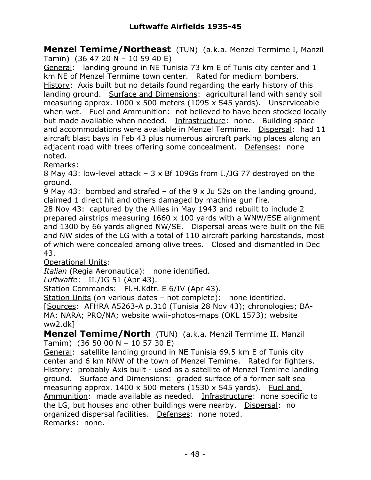**Menzel Temime/Northeast** (TUN) (a.k.a. Menzel Termime I, Manzil Tamïn) (36 47 20 N – 10 59 40 E)

General: landing ground in NE Tunisia 73 km E of Tunis city center and 1 km NE of Menzel Termime town center. Rated for medium bombers. History: Axis built but no details found regarding the early history of this landing ground. Surface and Dimensions: agricultural land with sandy soil measuring approx. 1000 x 500 meters (1095 x 545 yards). Unserviceable when wet. Fuel and Ammunition: not believed to have been stocked locally but made available when needed. Infrastructure: none. Building space and accommodations were available in Menzel Termime. Dispersal: had 11 aircraft blast bays in Feb 43 plus numerous aircraft parking places along an adjacent road with trees offering some concealment. Defenses: none noted.

Remarks:

8 May 43: low-level attack – 3 x Bf 109Gs from I./JG 77 destroyed on the ground.

9 May 43: bombed and strafed – of the 9 x Ju 52s on the landing ground, claimed 1 direct hit and others damaged by machine gun fire.

28 Nov 43: captured by the Allies in May 1943 and rebuilt to include 2 prepared airstrips measuring 1660 x 100 yards with a WNW/ESE alignment and 1300 by 66 yards aligned NW/SE. Dispersal areas were built on the NE and NW sides of the LG with a total of 110 aircraft parking hardstands, most of which were concealed among olive trees. Closed and dismantled in Dec 43.

Operational Units:

*Italian* (Regia Aeronautica): none identified.

*Luftwaffe*: II./JG 51 (Apr 43).

Station Commands: Fl.H.Kdtr. E 6/IV (Apr 43).

Station Units (on various dates – not complete): none identified.

[Sources: AFHRA A5263-A p.310 (Tunisia 28 Nov 43); chronologies; BA-MA; NARA; PRO/NA; website wwii-photos-maps (OKL 1573); website ww2.dk]

**Menzel Temime/North** (TUN) (a.k.a. Menzil Termime II, Manzil Tamim) (36 50 00 N – 10 57 30 E)

General: satellite landing ground in NE Tunisia 69.5 km E of Tunis city center and 6 km NNW of the town of Menzel Temime. Rated for fighters. History: probably Axis built - used as a satellite of Menzel Temime landing ground. Surface and Dimensions: graded surface of a former salt sea measuring approx. 1400 x 500 meters (1530 x 545 yards). Fuel and Ammunition: made available as needed. Infrastructure: none specific to the LG, but houses and other buildings were nearby. Dispersal: no organized dispersal facilities. Defenses: none noted. Remarks: none.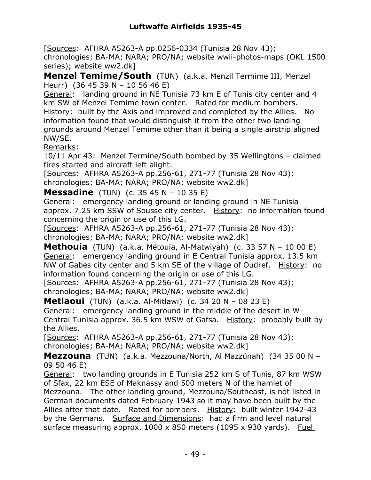[Sources: AFHRA A5263-A pp.0256-0334 (Tunisia 28 Nov 43); chronologies; BA-MA; NARA; PRO/NA; website wwii-photos-maps (OKL 1500 series); website ww2.dk]

**Menzel Temime/South** (TUN) (a.k.a. Menzil Termime III, Menzel Heurr) (36 45 39 N – 10 56 46 E)

General: landing ground in NE Tunisia 73 km E of Tunis city center and 4 km SW of Menzel Temime town center. Rated for medium bombers.

History: built by the Axis and improved and completed by the Allies. No information found that would distinguish it from the other two landing grounds around Menzel Temime other than it being a single airstrip aligned NW/SE.

Remarks:

10/11 Apr 43: Menzel Termine/South bombed by 35 Wellingtons – claimed fires started and aircraft left alight.

[Sources: AFHRA A5263-A pp.256-61, 271-77 (Tunisia 28 Nov 43); chronologies; BA-MA; NARA; PRO/NA; website ww2.dk]

**Messadine** (TUN) (c. 35 45 N – 10 35 E)

General: emergency landing ground or landing ground in NE Tunisia approx. 7.25 km SSW of Sousse city center. History: no information found concerning the origin or use of this LG.

[Sources: AFHRA A5263-A pp.256-61, 271-77 (Tunisia 28 Nov 43); chronologies; BA-MA; NARA; PRO/NA; website ww2.dk]

**Methouia** (TUN) (a.k.a. Métouia, Al-Matwiyah) (c. 33 57 N – 10 00 E) General: emergency landing ground in E Central Tunisia approx. 13.5 km NW of Gabes city center and 5 km SE of the village of Oudref. History: no information found concerning the origin or use of this LG.

[Sources: AFHRA A5263-A pp.256-61, 271-77 (Tunisia 28 Nov 43); chronologies; BA-MA; NARA; PRO/NA; website ww2.dk]

**Metlaoui** (TUN) (a.k.a. Al-Mitlawi) (c. 34 20 N – 08 23 E) General: emergency landing ground in the middle of the desert in W-Central Tunisia approx. 36.5 km WSW of Gafsa. History: probably built by the Allies.

[Sources: AFHRA A5263-A pp.256-61, 271-77 (Tunisia 28 Nov 43); chronologies; BA-MA; NARA; PRO/NA; website ww2.dk]

**Mezzouna** (TUN) (a.k.a. Mezzouna/North, Al Mazzünah) (34 35 00 N – 09 50 46 E)

General: two landing grounds in E Tunisia 252 km S of Tunis, 87 km WSW of Sfax, 22 km ESE of Maknassy and 500 meters N of the hamlet of Mezzouna. The other landing ground, Mezzouna/Southeast, is not listed in German documents dated February 1943 so it may have been built by the Allies after that date. Rated for bombers. History: built winter 1942-43 by the Germans. Surface and Dimensions: had a firm and level natural surface measuring approx.  $1000 \times 850$  meters (1095 x 930 yards). Fuel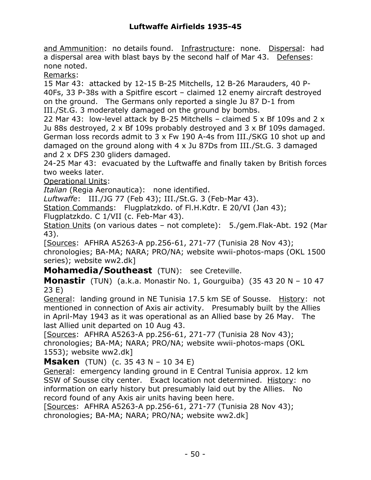and Ammunition: no details found. Infrastructure: none. Dispersal: had a dispersal area with blast bays by the second half of Mar 43. Defenses: none noted.

Remarks:

15 Mar 43: attacked by 12-15 B-25 Mitchells, 12 B-26 Marauders, 40 P-40Fs, 33 P-38s with a Spitfire escort – claimed 12 enemy aircraft destroyed on the ground. The Germans only reported a single Ju 87 D-1 from III./St.G. 3 moderately damaged on the ground by bombs.

22 Mar 43: low-level attack by B-25 Mitchells – claimed 5 x Bf 109s and 2 x Ju 88s destroyed, 2 x Bf 109s probably destroyed and 3 x Bf 109s damaged. German loss records admit to 3 x Fw 190 A-4s from III./SKG 10 shot up and damaged on the ground along with 4 x Ju 87Ds from III./St.G. 3 damaged and 2 x DFS 230 gliders damaged.

24-25 Mar 43: evacuated by the Luftwaffe and finally taken by British forces two weeks later.

Operational Units:

*Italian* (Regia Aeronautica): none identified.

*Luftwaffe*: III./JG 77 (Feb 43); III./St.G. 3 (Feb-Mar 43).

Station Commands: Flugplatzkdo. of Fl.H.Kdtr. E 20/VI (Jan 43);

Flugplatzkdo. C 1/VII (c. Feb-Mar 43).

Station Units (on various dates – not complete): 5./gem.Flak-Abt. 192 (Mar 43).

[Sources: AFHRA A5263-A pp.256-61, 271-77 (Tunisia 28 Nov 43); chronologies; BA-MA; NARA; PRO/NA; website wwii-photos-maps (OKL 1500 series); website ww2.dk]

**Mohamedia/Southeast** (TUN): see Creteville.

**Monastir** (TUN) (a.k.a. Monastir No. 1, Gourguiba) (35 43 20 N – 10 47 23 E)

General: landing ground in NE Tunisia 17.5 km SE of Sousse. History: not mentioned in connection of Axis air activity. Presumably built by the Allies in April-May 1943 as it was operational as an Allied base by 26 May. The last Allied unit departed on 10 Aug 43.

[Sources: AFHRA A5263-A pp.256-61, 271-77 (Tunisia 28 Nov 43); chronologies; BA-MA; NARA; PRO/NA; website wwii-photos-maps (OKL 1553); website ww2.dk]

**Msaken** (TUN) (c. 35 43 N – 10 34 E)

General: emergency landing ground in E Central Tunisia approx. 12 km SSW of Sousse city center. Exact location not determined. History: no information on early history but presumably laid out by the Allies. No record found of any Axis air units having been here.

[Sources: AFHRA A5263-A pp.256-61, 271-77 (Tunisia 28 Nov 43); chronologies; BA-MA; NARA; PRO/NA; website ww2.dk]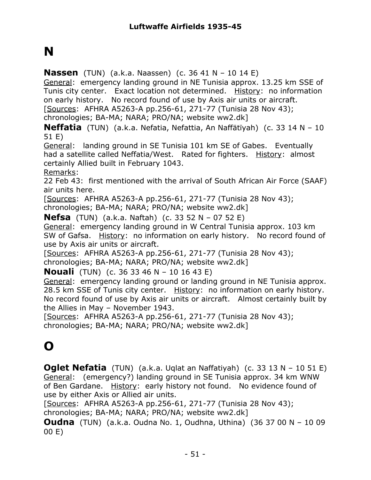# **N**

**Nassen** (TUN) (a.k.a. Naassen) (c. 36 41 N – 10 14 E)

General: emergency landing ground in NE Tunisia approx. 13.25 km SSE of Tunis city center. Exact location not determined. History: no information on early history. No record found of use by Axis air units or aircraft. [Sources: AFHRA A5263-A pp.256-61, 271-77 (Tunisia 28 Nov 43);

chronologies; BA-MA; NARA; PRO/NA; website ww2.dk]

**Neffatia** (TUN) (a.k.a. Nefatia, Nefattia, An Naffätïyah) (c. 33 14 N – 10 51 E)

General: landing ground in SE Tunisia 101 km SE of Gabes. Eventually had a satellite called Neffatia/West. Rated for fighters. History: almost certainly Allied built in February 1043.

Remarks:

22 Feb 43: first mentioned with the arrival of South African Air Force (SAAF) air units here.

[Sources: AFHRA A5263-A pp.256-61, 271-77 (Tunisia 28 Nov 43); chronologies; BA-MA; NARA; PRO/NA; website ww2.dk]

**Nefsa** (TUN) (a.k.a. Naftah) (c. 33 52 N – 07 52 E)

General: emergency landing ground in W Central Tunisia approx. 103 km SW of Gafsa. History: no information on early history. No record found of use by Axis air units or aircraft.

[Sources: AFHRA A5263-A pp.256-61, 271-77 (Tunisia 28 Nov 43); chronologies; BA-MA; NARA; PRO/NA; website ww2.dk]

**Nouali** (TUN) (c. 36 33 46 N – 10 16 43 E)

General: emergency landing ground or landing ground in NE Tunisia approx. 28.5 km SSE of Tunis city center. History: no information on early history. No record found of use by Axis air units or aircraft. Almost certainly built by the Allies in May – November 1943.

[Sources: AFHRA A5263-A pp.256-61, 271-77 (Tunisia 28 Nov 43); chronologies; BA-MA; NARA; PRO/NA; website ww2.dk]

### **O**

**Oglet Nefatia** (TUN) (a.k.a. Uqlat an Naffatiyah) (c. 33 13 N – 10 51 E) General: (emergency?) landing ground in SE Tunisia approx. 34 km WNW of Ben Gardane. History: early history not found. No evidence found of use by either Axis or Allied air units.

[Sources: AFHRA A5263-A pp.256-61, 271-77 (Tunisia 28 Nov 43); chronologies; BA-MA; NARA; PRO/NA; website ww2.dk]

**Oudna** (TUN) (a.k.a. Oudna No. 1, Oudhna, Uthina) (36 37 00 N – 10 09 00 E)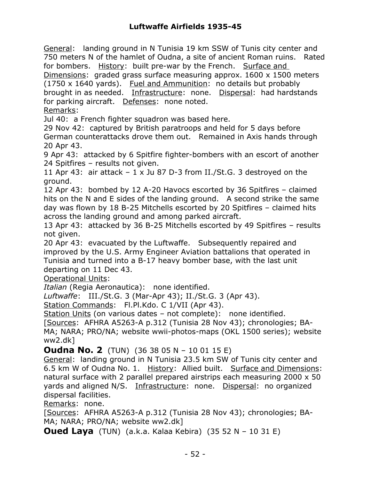General: landing ground in N Tunisia 19 km SSW of Tunis city center and 750 meters N of the hamlet of Oudna, a site of ancient Roman ruins. Rated for bombers. History: built pre-war by the French. Surface and

Dimensions: graded grass surface measuring approx. 1600 x 1500 meters (1750 x 1640 yards). Fuel and Ammunition: no details but probably brought in as needed. Infrastructure: none. Dispersal: had hardstands for parking aircraft. Defenses: none noted.

Remarks:

Jul 40: a French fighter squadron was based here.

29 Nov 42: captured by British paratroops and held for 5 days before German counterattacks drove them out. Remained in Axis hands through 20 Apr 43.

9 Apr 43: attacked by 6 Spitfire fighter-bombers with an escort of another 24 Spitfires – results not given.

11 Apr 43: air attack  $-1 \times$  Ju 87 D-3 from II./St.G. 3 destroyed on the ground.

12 Apr 43: bombed by 12 A-20 Havocs escorted by 36 Spitfires – claimed hits on the N and E sides of the landing ground. A second strike the same day was flown by 18 B-25 Mitchells escorted by 20 Spitfires – claimed hits across the landing ground and among parked aircraft.

13 Apr 43: attacked by 36 B-25 Mitchells escorted by 49 Spitfires – results not given.

20 Apr 43: evacuated by the Luftwaffe. Subsequently repaired and improved by the U.S. Army Engineer Aviation battalions that operated in Tunisia and turned into a B-17 heavy bomber base, with the last unit departing on 11 Dec 43.

Operational Units:

*Italian* (Regia Aeronautica): none identified.

*Luftwaffe*: III./St.G. 3 (Mar-Apr 43); II./St.G. 3 (Apr 43).

Station Commands: Fl.Pl.Kdo. C 1/VII (Apr 43).

Station Units (on various dates – not complete): none identified.

[Sources: AFHRA A5263-A p.312 (Tunisia 28 Nov 43); chronologies; BA-MA; NARA; PRO/NA; website wwii-photos-maps (OKL 1500 series); website ww2.dk]

**Oudna No. 2** (TUN) (36 38 05 N – 10 01 15 E)

General: landing ground in N Tunisia 23.5 km SW of Tunis city center and 6.5 km W of Oudna No. 1. History: Allied built. Surface and Dimensions: natural surface with 2 parallel prepared airstrips each measuring 2000 x 50 yards and aligned N/S. Infrastructure: none. Dispersal: no organized dispersal facilities.

Remarks: none.

[Sources: AFHRA A5263-A p.312 (Tunisia 28 Nov 43); chronologies; BA-MA; NARA; PRO/NA; website ww2.dk]

**Oued Laya** (TUN) (a.k.a. Kalaa Kebira) (35 52 N – 10 31 E)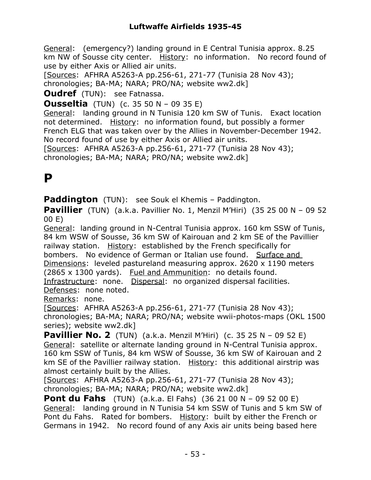General: (emergency?) landing ground in E Central Tunisia approx. 8.25 km NW of Sousse city center. History: no information. No record found of use by either Axis or Allied air units.

[Sources: AFHRA A5263-A pp.256-61, 271-77 (Tunisia 28 Nov 43);

chronologies; BA-MA; NARA; PRO/NA; website ww2.dk]

**Oudref** (TUN): see Fatnassa.

**Ousseltia** (TUN) (c. 35 50 N – 09 35 E)

General: landing ground in N Tunisia 120 km SW of Tunis. Exact location not determined. History: no information found, but possibly a former French ELG that was taken over by the Allies in November-December 1942. No record found of use by either Axis or Allied air units.

[Sources: AFHRA A5263-A pp.256-61, 271-77 (Tunisia 28 Nov 43); chronologies; BA-MA; NARA; PRO/NA; website ww2.dk]

### **P**

**Paddington** (TUN): see Souk el Khemis – Paddington.

**Pavillier** (TUN) (a.k.a. Pavillier No. 1, Menzil M'Hiri) (35 25 00 N – 09 52 00 E)

General: landing ground in N-Central Tunisia approx. 160 km SSW of Tunis, 84 km WSW of Sousse, 36 km SW of Kairouan and 2 km SE of the Pavillier railway station. History: established by the French specifically for bombers. No evidence of German or Italian use found. Surface and Dimensions: leveled pastureland measuring approx. 2620 x 1190 meters (2865  $\times$  1300 yards). Fuel and Ammunition: no details found.

Infrastructure: none. Dispersal: no organized dispersal facilities. Defenses: none noted.

Remarks: none.

[Sources: AFHRA A5263-A pp.256-61, 271-77 (Tunisia 28 Nov 43); chronologies; BA-MA; NARA; PRO/NA; website wwii-photos-maps (OKL 1500 series); website ww2.dk]

**Pavillier No. 2** (TUN) (a.k.a. Menzil M'Hiri) (c. 35 25 N – 09 52 E) General: satellite or alternate landing ground in N-Central Tunisia approx. 160 km SSW of Tunis, 84 km WSW of Sousse, 36 km SW of Kairouan and 2 km SE of the Pavillier railway station. History: this additional airstrip was almost certainly built by the Allies.

[Sources: AFHRA A5263-A pp.256-61, 271-77 (Tunisia 28 Nov 43); chronologies; BA-MA; NARA; PRO/NA; website ww2.dk]

**Pont du Fahs** (TUN) (a.k.a. El Fahs) (36 21 00 N – 09 52 00 E) General: landing ground in N Tunisia 54 km SSW of Tunis and 5 km SW of Pont du Fahs. Rated for bombers. History: built by either the French or Germans in 1942. No record found of any Axis air units being based here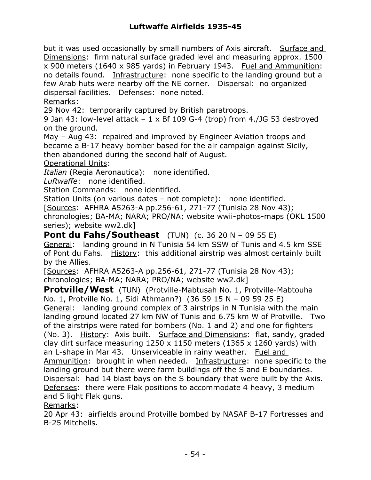but it was used occasionally by small numbers of Axis aircraft. Surface and Dimensions: firm natural surface graded level and measuring approx. 1500 x 900 meters (1640 x 985 yards) in February 1943. Fuel and Ammunition: no details found. Infrastructure: none specific to the landing ground but a few Arab huts were nearby off the NE corner. Dispersal: no organized dispersal facilities. Defenses: none noted.

Remarks:

29 Nov 42: temporarily captured by British paratroops.

9 Jan 43: low-level attack  $-1 \times Bf$  109 G-4 (trop) from 4./JG 53 destroyed on the ground.

May – Aug 43: repaired and improved by Engineer Aviation troops and became a B-17 heavy bomber based for the air campaign against Sicily, then abandoned during the second half of August.

Operational Units:

*Italian* (Regia Aeronautica): none identified.

*Luftwaffe*: none identified.

Station Commands: none identified.

Station Units (on various dates – not complete): none identified. [Sources: AFHRA A5263-A pp.256-61, 271-77 (Tunisia 28 Nov 43); chronologies; BA-MA; NARA; PRO/NA; website wwii-photos-maps (OKL 1500 series); website ww2.dk]

**Pont du Fahs/Southeast** (TUN) (c. 36 20 N – 09 55 E) General: landing ground in N Tunisia 54 km SSW of Tunis and 4.5 km SSE of Pont du Fahs. History: this additional airstrip was almost certainly built by the Allies.

[Sources: AFHRA A5263-A pp.256-61, 271-77 (Tunisia 28 Nov 43); chronologies; BA-MA; NARA; PRO/NA; website ww2.dk]

**Protville/West** (TUN) (Protville-Mabtusah No. 1, Protville-Mabtouha No. 1, Protville No. 1, Sidi Athmann?) (36 59 15 N – 09 59 25 E) General: landing ground complex of 3 airstrips in N Tunisia with the main landing ground located 27 km NW of Tunis and 6.75 km W of Protville. Two of the airstrips were rated for bombers (No. 1 and 2) and one for fighters (No. 3). History: Axis built. Surface and Dimensions: flat, sandy, graded clay dirt surface measuring  $1250 \times 1150$  meters ( $1365 \times 1260$  yards) with an L-shape in Mar 43. Unserviceable in rainy weather. Fuel and Ammunition: brought in when needed. Infrastructure: none specific to the landing ground but there were farm buildings off the S and E boundaries. Dispersal: had 14 blast bays on the S boundary that were built by the Axis. Defenses: there were Flak positions to accommodate 4 heavy, 3 medium and 5 light Flak guns.

Remarks:

20 Apr 43: airfields around Protville bombed by NASAF B-17 Fortresses and B-25 Mitchells.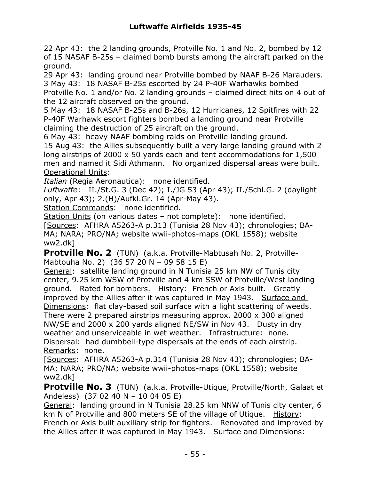22 Apr 43: the 2 landing grounds, Protville No. 1 and No. 2, bombed by 12 of 15 NASAF B-25s – claimed bomb bursts among the aircraft parked on the ground.

29 Apr 43: landing ground near Protville bombed by NAAF B-26 Marauders. 3 May 43: 18 NASAF B-25s escorted by 24 P-40F Warhawks bombed

Protville No. 1 and/or No. 2 landing grounds – claimed direct hits on 4 out of the 12 aircraft observed on the ground.

5 May 43: 18 NASAF B-25s and B-26s, 12 Hurricanes, 12 Spitfires with 22 P-40F Warhawk escort fighters bombed a landing ground near Protville claiming the destruction of 25 aircraft on the ground.

6 May 43: heavy NAAF bombing raids on Protville landing ground.

15 Aug 43: the Allies subsequently built a very large landing ground with 2 long airstrips of 2000 x 50 yards each and tent accommodations for 1,500 men and named it Sidi Athmann. No organized dispersal areas were built. Operational Units:

*Italian* (Regia Aeronautica): none identified.

*Luftwaffe*: II./St.G. 3 (Dec 42); I./JG 53 (Apr 43); II./Schl.G. 2 (daylight only, Apr 43); 2.(H)/Aufkl.Gr. 14 (Apr-May 43).

Station Commands: none identified.

Station Units (on various dates - not complete): none identified. [Sources: AFHRA A5263-A p.313 (Tunisia 28 Nov 43); chronologies; BA-MA; NARA; PRO/NA; website wwii-photos-maps (OKL 1558); website ww2.dk]

**Protville No. 2** (TUN) (a.k.a. Protville-Mabtusah No. 2, Protville-Mabtouha No. 2) (36 57 20 N – 09 58 15 E)

General: satellite landing ground in N Tunisia 25 km NW of Tunis city center, 9.25 km WSW of Protville and 4 km SSW of Protville/West landing ground. Rated for bombers. History: French or Axis built. Greatly improved by the Allies after it was captured in May 1943. Surface and Dimensions: flat clay-based soil surface with a light scattering of weeds. There were 2 prepared airstrips measuring approx. 2000 x 300 aligned NW/SE and 2000 x 200 yards aligned NE/SW in Nov 43. Dusty in dry weather and unserviceable in wet weather. Infrastructure: none. Dispersal: had dumbbell-type dispersals at the ends of each airstrip. Remarks: none.

[Sources: AFHRA A5263-A p.314 (Tunisia 28 Nov 43); chronologies; BA-MA; NARA; PRO/NA; website wwii-photos-maps (OKL 1558); website ww2.dk]

**Protville No. 3** (TUN) (a.k.a. Protville-Utique, Protville/North, Galaat et Andeless) (37 02 40 N – 10 04 05 E)

General: landing ground in N Tunisia 28.25 km NNW of Tunis city center, 6 km N of Protville and 800 meters SE of the village of Utique. History: French or Axis built auxiliary strip for fighters. Renovated and improved by the Allies after it was captured in May 1943. Surface and Dimensions: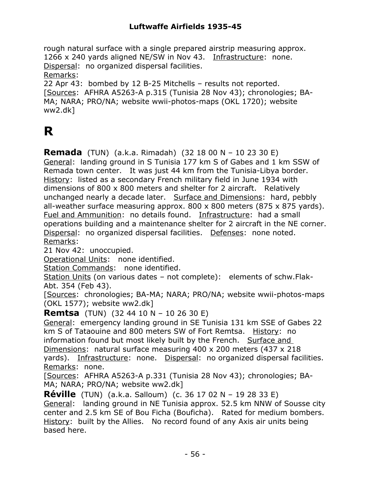rough natural surface with a single prepared airstrip measuring approx. 1266 x 240 yards aligned NE/SW in Nov 43. Infrastructure: none. Dispersal: no organized dispersal facilities. Remarks: 22 Apr 43: bombed by 12 B-25 Mitchells – results not reported. [Sources: AFHRA A5263-A p.315 (Tunisia 28 Nov 43); chronologies; BA-MA; NARA; PRO/NA; website wwii-photos-maps (OKL 1720); website ww2.dk]

### **R**

**Remada** (TUN) (a.k.a. Rimadah) (32 18 00 N – 10 23 30 E) General: landing ground in S Tunisia 177 km S of Gabes and 1 km SSW of Remada town center. It was just 44 km from the Tunisia-Libya border. History: listed as a secondary French military field in June 1934 with dimensions of 800 x 800 meters and shelter for 2 aircraft. Relatively unchanged nearly a decade later. Surface and Dimensions: hard, pebbly all-weather surface measuring approx.  $800 \times 800$  meters (875 x 875 yards). Fuel and Ammunition: no details found. Infrastructure: had a small operations building and a maintenance shelter for 2 aircraft in the NE corner. Dispersal: no organized dispersal facilities. Defenses: none noted. Remarks:

21 Nov 42: unoccupied.

Operational Units: none identified.

Station Commands: none identified.

Station Units (on various dates – not complete): elements of schw.Flak-Abt. 354 (Feb 43).

[Sources: chronologies; BA-MA; NARA; PRO/NA; website wwii-photos-maps (OKL 1577); website ww2.dk]

**Remtsa** (TUN) (32 44 10 N – 10 26 30 E)

General: emergency landing ground in SE Tunisia 131 km SSE of Gabes 22 km S of Tataouine and 800 meters SW of Fort Remtsa. History: no information found but most likely built by the French. Surface and Dimensions: natural surface measuring 400 x 200 meters (437 x 218 yards). Infrastructure: none. Dispersal: no organized dispersal facilities. Remarks: none.

[Sources: AFHRA A5263-A p.331 (Tunisia 28 Nov 43); chronologies; BA-MA; NARA; PRO/NA; website ww2.dk]

**Réville** (TUN) (a.k.a. Salloum) (c. 36 17 02 N – 19 28 33 E) General: landing ground in NE Tunisia approx. 52.5 km NNW of Sousse city center and 2.5 km SE of Bou Ficha (Bouficha). Rated for medium bombers. History: built by the Allies. No record found of any Axis air units being based here.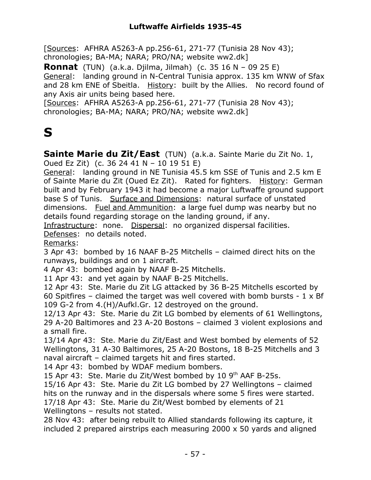[Sources: AFHRA A5263-A pp.256-61, 271-77 (Tunisia 28 Nov 43); chronologies; BA-MA; NARA; PRO/NA; website ww2.dk]

**Ronnat** (TUN) (a.k.a. Djilma, Jilmah) (c. 35 16 N – 09 25 E) General: landing ground in N-Central Tunisia approx. 135 km WNW of Sfax and 28 km ENE of Sbeitla. History: built by the Allies. No record found of any Axis air units being based here.

[Sources: AFHRA A5263-A pp.256-61, 271-77 (Tunisia 28 Nov 43); chronologies; BA-MA; NARA; PRO/NA; website ww2.dk]

### **S**

**Sainte Marie du Zit/East** (TUN) (a.k.a. Sainte Marie du Zit No. 1, Oued Ez Zit) (c. 36 24 41 N – 10 19 51 E)

General: landing ground in NE Tunisia 45.5 km SSE of Tunis and 2.5 km E of Sainte Marie du Zit (Oued Ez Zit). Rated for fighters. History: German built and by February 1943 it had become a major Luftwaffe ground support base S of Tunis. Surface and Dimensions: natural surface of unstated dimensions. Fuel and Ammunition: a large fuel dump was nearby but no details found regarding storage on the landing ground, if any.

Infrastructure: none. Dispersal: no organized dispersal facilities.

Defenses: no details noted.

Remarks:

3 Apr 43: bombed by 16 NAAF B-25 Mitchells – claimed direct hits on the runways, buildings and on 1 aircraft.

4 Apr 43: bombed again by NAAF B-25 Mitchells.

11 Apr 43: and yet again by NAAF B-25 Mitchells.

12 Apr 43: Ste. Marie du Zit LG attacked by 36 B-25 Mitchells escorted by 60 Spitfires – claimed the target was well covered with bomb bursts -  $1 \times Bf$ 109 G-2 from 4.(H)/Aufkl.Gr. 12 destroyed on the ground.

12/13 Apr 43: Ste. Marie du Zit LG bombed by elements of 61 Wellingtons, 29 A-20 Baltimores and 23 A-20 Bostons – claimed 3 violent explosions and a small fire.

13/14 Apr 43: Ste. Marie du Zit/East and West bombed by elements of 52 Wellingtons, 31 A-30 Baltimores, 25 A-20 Bostons, 18 B-25 Mitchells and 3 naval aircraft – claimed targets hit and fires started.

14 Apr 43: bombed by WDAF medium bombers.

15 Apr 43: Ste. Marie du Zit/West bombed by 10  $9<sup>th</sup>$  AAF B-25s.

15/16 Apr 43: Ste. Marie du Zit LG bombed by 27 Wellingtons – claimed hits on the runway and in the dispersals where some 5 fires were started.

17/18 Apr 43: Ste. Marie du Zit/West bombed by elements of 21 Wellingtons – results not stated.

28 Nov 43: after being rebuilt to Allied standards following its capture, it included 2 prepared airstrips each measuring 2000 x 50 yards and aligned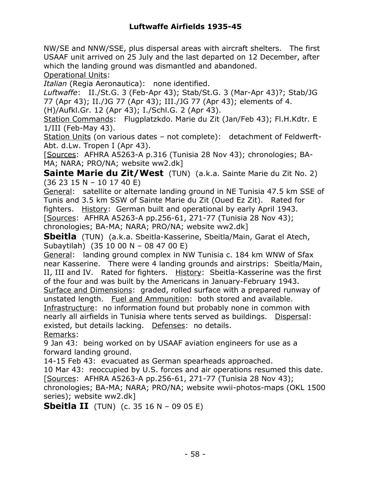NW/SE and NNW/SSE, plus dispersal areas with aircraft shelters. The first USAAF unit arrived on 25 July and the last departed on 12 December, after which the landing ground was dismantled and abandoned.

Operational Units:

*Italian* (Regia Aeronautica): none identified.

*Luftwaffe*: II./St.G. 3 (Feb-Apr 43); Stab/St.G. 3 (Mar-Apr 43)?; Stab/JG 77 (Apr 43); II./JG 77 (Apr 43); III./JG 77 (Apr 43); elements of 4.

(H)/Aufkl.Gr. 12 (Apr 43); I./Schl.G. 2 (Apr 43).

Station Commands: Flugplatzkdo. Marie du Zit (Jan/Feb 43); Fl.H.Kdtr. E 1/III (Feb-May 43).

Station Units (on various dates – not complete): detachment of Feldwerft-Abt. d.Lw. Tropen I (Apr 43).

[Sources: AFHRA A5263-A p.316 (Tunisia 28 Nov 43); chronologies; BA-MA; NARA; PRO/NA; website ww2.dk]

**Sainte Marie du Zit/West** (TUN) (a.k.a. Sainte Marie du Zit No. 2) (36 23 15 N – 10 17 40 E)

General: satellite or alternate landing ground in NE Tunisia 47.5 km SSE of Tunis and 3.5 km SSW of Sainte Marie du Zit (Oued Ez Zit). Rated for fighters. History: German built and operational by early April 1943. [Sources: AFHRA A5263-A pp.256-61, 271-77 (Tunisia 28 Nov 43); chronologies; BA-MA; NARA; PRO/NA; website ww2.dk]

**Sbeitla** (TUN) (a.k.a. Sbeitla-Kasserine, Sbeitla/Main, Garat el Atech, Subaytilah) (35 10 00 N – 08 47 00 E)

General: landing ground complex in NW Tunisia c. 184 km WNW of Sfax near Kasserine. There were 4 landing grounds and airstrips: Sbeitla/Main, II, III and IV. Rated for fighters. History: Sbeitla-Kasserine was the first of the four and was built by the Americans in January-February 1943.

Surface and Dimensions: graded, rolled surface with a prepared runway of unstated length. Fuel and Ammunition: both stored and available.

Infrastructure: no information found but probably none in common with nearly all airfields in Tunisia where tents served as buildings. Dispersal: existed, but details lacking. Defenses: no details.

Remarks:

9 Jan 43: being worked on by USAAF aviation engineers for use as a forward landing ground.

14-15 Feb 43: evacuated as German spearheads approached.

10 Mar 43: reoccupied by U.S. forces and air operations resumed this date. [Sources: AFHRA A5263-A pp.256-61, 271-77 (Tunisia 28 Nov 43);

chronologies; BA-MA; NARA; PRO/NA; website wwii-photos-maps (OKL 1500 series); website ww2.dk]

**Sbeitla II** (TUN) (c. 35 16 N – 09 05 E)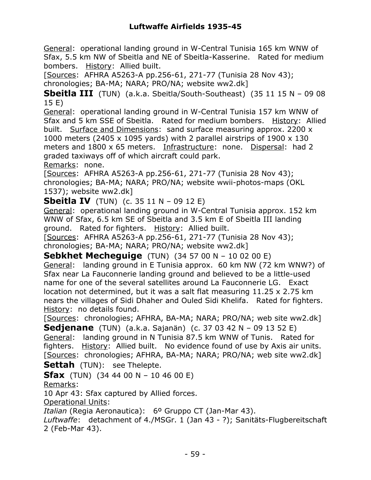General: operational landing ground in W-Central Tunisia 165 km WNW of Sfax, 5.5 km NW of Sbeitla and NE of Sbeitla-Kasserine. Rated for medium bombers. History: Allied built.

[Sources: AFHRA A5263-A pp.256-61, 271-77 (Tunisia 28 Nov 43); chronologies; BA-MA; NARA; PRO/NA; website ww2.dk]

**Sbeitla III** (TUN) (a.k.a. Sbeitla/South-Southeast) (35 11 15 N – 09 08 15 E)

General: operational landing ground in W-Central Tunisia 157 km WNW of Sfax and 5 km SSE of Sbeitla. Rated for medium bombers. History: Allied built. Surface and Dimensions: sand surface measuring approx. 2200 x 1000 meters (2405 x 1095 yards) with 2 parallel airstrips of 1900 x 130 meters and 1800 x 65 meters. Infrastructure: none. Dispersal: had 2 graded taxiways off of which aircraft could park.

Remarks: none.

[Sources: AFHRA A5263-A pp.256-61, 271-77 (Tunisia 28 Nov 43); chronologies; BA-MA; NARA; PRO/NA; website wwii-photos-maps (OKL 1537); website ww2.dk]

**Sbeitla IV** (TUN) (c. 35 11 N – 09 12 E)

General: operational landing ground in W-Central Tunisia approx. 152 km WNW of Sfax, 6.5 km SE of Sbeitla and 3.5 km E of Sbeitla III landing ground. Rated for fighters. History: Allied built.

[Sources: AFHRA A5263-A pp.256-61, 271-77 (Tunisia 28 Nov 43); chronologies; BA-MA; NARA; PRO/NA; website ww2.dk]

**Sebkhet Mecheguige** (TUN) (34 57 00 N – 10 02 00 E) General: landing ground in E Tunisia approx. 60 km NW (72 km WNW?) of Sfax near La Fauconnerie landing ground and believed to be a little-used name for one of the several satellites around La Fauconnerie LG. Exact location not determined, but it was a salt flat measuring 11.25 x 2.75 km nears the villages of Sidi Dhaher and Ouled Sidi Khelifa. Rated for fighters. History: no details found.

[Sources: chronologies; AFHRA, BA-MA; NARA; PRO/NA; web site ww2.dk] **Sedjenane** (TUN) (a.k.a. Sajanän) (c. 37 03 42 N – 09 13 52 E)

General: landing ground in N Tunisia 87.5 km WNW of Tunis. Rated for fighters. History: Allied built. No evidence found of use by Axis air units. [Sources: chronologies; AFHRA, BA-MA; NARA; PRO/NA; web site ww2.dk] **Settah** (TUN): see Thelepte.

**Sfax** (TUN) (34 44 00 N – 10 46 00 E)

Remarks:

10 Apr 43: Sfax captured by Allied forces.

Operational Units:

*Italian* (Regia Aeronautica): 6º Gruppo CT (Jan-Mar 43).

*Luftwaffe*: detachment of 4./MSGr. 1 (Jan 43 - ?); Sanitäts-Flugbereitschaft 2 (Feb-Mar 43).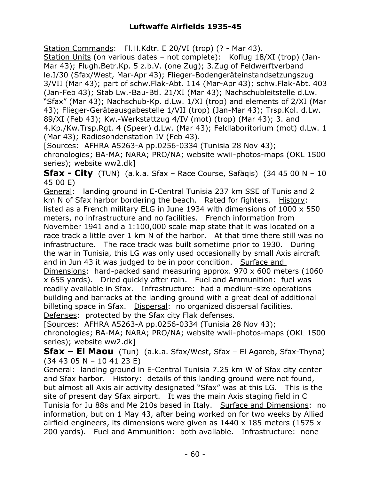Station Commands: Fl.H.Kdtr. E 20/VI (trop) (? - Mar 43). Station Units (on various dates – not complete): Koflug 18/XI (trop) (Jan-Mar 43); Flugh.Betr.Kp. 5 z.b.V. (one Zug); 3.Zug of Feldwerftverband le.I/30 (Sfax/West, Mar-Apr 43); Flieger-Bodengeräteinstandsetzungszug 3/VII (Mar 43); part of schw.Flak-Abt. 114 (Mar-Apr 43); schw.Flak-Abt. 403 (Jan-Feb 43); Stab Lw.-Bau-Btl. 21/XI (Mar 43); Nachschubleitstelle d.Lw. "Sfax" (Mar 43); Nachschub-Kp. d.Lw. 1/XI (trop) and elements of 2/XI (Mar 43); Flieger-Geräteausgabestelle 1/VII (trop) (Jan-Mar 43); Trsp.Kol. d.Lw. 89/XI (Feb 43); Kw.-Werkstattzug 4/IV (mot) (trop) (Mar 43); 3. and 4.Kp./Kw.Trsp.Rgt. 4 (Speer) d.Lw. (Mar 43); Feldlaboritorium (mot) d.Lw. 1 (Mar 43); Radiosondenstation IV (Feb 43).

[Sources: AFHRA A5263-A pp.0256-0334 (Tunisia 28 Nov 43); chronologies; BA-MA; NARA; PRO/NA; website wwii-photos-maps (OKL 1500 series); website ww2.dk]

**Sfax - City** (TUN) (a.k.a. Sfax – Race Course, Safäqis) (34 45 00 N – 10 45 00 E)

General: landing ground in E-Central Tunisia 237 km SSE of Tunis and 2 km N of Sfax harbor bordering the beach. Rated for fighters. History: listed as a French military ELG in June 1934 with dimensions of 1000 x 550 meters, no infrastructure and no facilities. French information from November 1941 and a 1:100,000 scale map state that it was located on a race track a little over 1 km N of the harbor. At that time there still was no infrastructure. The race track was built sometime prior to 1930. During the war in Tunisia, this LG was only used occasionally by small Axis aircraft and in Jun 43 it was judged to be in poor condition. Surface and Dimensions: hard-packed sand measuring approx. 970 x 600 meters (1060 x 655 yards). Dried quickly after rain. Fuel and Ammunition: fuel was readily available in Sfax. Infrastructure: had a medium-size operations building and barracks at the landing ground with a great deal of additional billeting space in Sfax. Dispersal: no organized dispersal facilities. Defenses: protected by the Sfax city Flak defenses.

[Sources: AFHRA A5263-A pp.0256-0334 (Tunisia 28 Nov 43);

chronologies; BA-MA; NARA; PRO/NA; website wwii-photos-maps (OKL 1500 series); website ww2.dk]

**Sfax – El Maou** (Tun) (a.k.a. Sfax/West, Sfax – El Agareb, Sfax-Thyna) (34 43 05 N – 10 41 23 E)

General: landing ground in E-Central Tunisia 7.25 km W of Sfax city center and Sfax harbor. History: details of this landing ground were not found, but almost all Axis air activity designated "Sfax" was at this LG. This is the site of present day Sfax airport. It was the main Axis staging field in C Tunisia for Ju 88s and Me 210s based in Italy. Surface and Dimensions: no information, but on 1 May 43, after being worked on for two weeks by Allied airfield engineers, its dimensions were given as 1440 x 185 meters (1575 x 200 yards). Fuel and Ammunition: both available. Infrastructure: none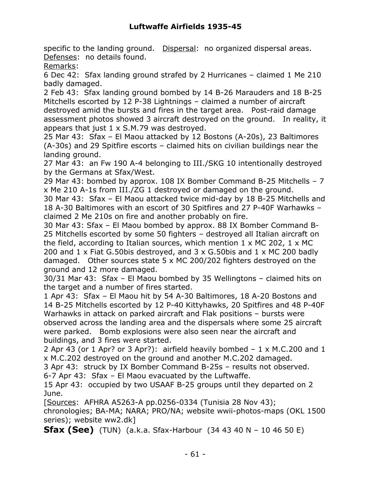specific to the landing ground. Dispersal: no organized dispersal areas. Defenses: no details found.

Remarks:

6 Dec 42: Sfax landing ground strafed by 2 Hurricanes – claimed 1 Me 210 badly damaged.

2 Feb 43: Sfax landing ground bombed by 14 B-26 Marauders and 18 B-25 Mitchells escorted by 12 P-38 Lightnings – claimed a number of aircraft destroyed amid the bursts and fires in the target area. Post-raid damage assessment photos showed 3 aircraft destroyed on the ground. In reality, it appears that just  $1 \times S.M.79$  was destroyed.

25 Mar 43: Sfax – El Maou attacked by 12 Bostons (A-20s), 23 Baltimores (A-30s) and 29 Spitfire escorts – claimed hits on civilian buildings near the landing ground.

27 Mar 43: an Fw 190 A-4 belonging to III./SKG 10 intentionally destroyed by the Germans at Sfax/West.

29 Mar 43: bombed by approx. 108 IX Bomber Command B-25 Mitchells – 7 x Me 210 A-1s from III./ZG 1 destroyed or damaged on the ground.

30 Mar 43: Sfax – El Maou attacked twice mid-day by 18 B-25 Mitchells and 18 A-30 Baltimores with an escort of 30 Spitfires and 27 P-40F Warhawks – claimed 2 Me 210s on fire and another probably on fire.

30 Mar 43: Sfax – El Maou bombed by approx. 88 IX Bomber Command B-25 Mitchells escorted by some 50 fighters – destroyed all Italian aircraft on the field, according to Italian sources, which mention  $1 \times MC$  202,  $1 \times MC$ 200 and 1 x Fiat G.50bis destroyed, and 3 x G.50bis and 1 x MC 200 badly damaged. Other sources state 5 x MC 200/202 fighters destroyed on the ground and 12 more damaged.

30/31 Mar 43: Sfax – El Maou bombed by 35 Wellingtons – claimed hits on the target and a number of fires started.

1 Apr 43: Sfax – El Maou hit by 54 A-30 Baltimores, 18 A-20 Bostons and 14 B-25 Mitchells escorted by 12 P-40 Kittyhawks, 20 Spitfires and 48 P-40F Warhawks in attack on parked aircraft and Flak positions – bursts were observed across the landing area and the dispersals where some 25 aircraft were parked. Bomb explosions were also seen near the aircraft and buildings, and 3 fires were started.

2 Apr 43 (or 1 Apr? or 3 Apr?): airfield heavily bombed – 1 x M.C.200 and 1 x M.C.202 destroyed on the ground and another M.C.202 damaged.

3 Apr 43: struck by IX Bomber Command B-25s – results not observed.

6-7 Apr 43: Sfax – El Maou evacuated by the Luftwaffe.

15 Apr 43: occupied by two USAAF B-25 groups until they departed on 2 June.

[Sources: AFHRA A5263-A pp.0256-0334 (Tunisia 28 Nov 43);

chronologies; BA-MA; NARA; PRO/NA; website wwii-photos-maps (OKL 1500 series); website ww2.dk]

**Sfax (See)** (TUN) (a.k.a. Sfax-Harbour (34 43 40 N – 10 46 50 E)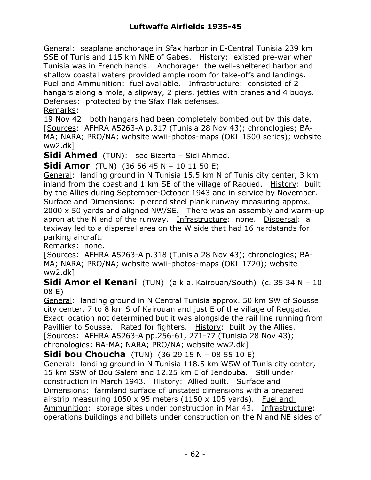General: seaplane anchorage in Sfax harbor in E-Central Tunisia 239 km SSE of Tunis and 115 km NNE of Gabes. History: existed pre-war when Tunisia was in French hands. Anchorage: the well-sheltered harbor and shallow coastal waters provided ample room for take-offs and landings. Fuel and Ammunition: fuel available. Infrastructure: consisted of 2 hangars along a mole, a slipway, 2 piers, jetties with cranes and 4 buoys. Defenses: protected by the Sfax Flak defenses. Remarks:

19 Nov 42: both hangars had been completely bombed out by this date. [Sources: AFHRA A5263-A p.317 (Tunisia 28 Nov 43); chronologies; BA-MA; NARA; PRO/NA; website wwii-photos-maps (OKL 1500 series); website ww2.dk]

**Sidi Ahmed** (TUN): see Bizerta – Sidi Ahmed.

**Sidi Amor** (TUN) (36 56 45 N – 10 11 50 E)

General: landing ground in N Tunisia 15.5 km N of Tunis city center, 3 km inland from the coast and 1 km SE of the village of Raoued. History: built by the Allies during September-October 1943 and in service by November. Surface and Dimensions: pierced steel plank runway measuring approx. 2000 x 50 yards and aligned NW/SE. There was an assembly and warm-up apron at the N end of the runway. Infrastructure: none. Dispersal: a taxiway led to a dispersal area on the W side that had 16 hardstands for parking aircraft.

Remarks: none.

[Sources: AFHRA A5263-A p.318 (Tunisia 28 Nov 43); chronologies; BA-MA; NARA; PRO/NA; website wwii-photos-maps (OKL 1720); website ww2.dk]

**Sidi Amor el Kenani** (TUN) (a.k.a. Kairouan/South) (c. 35 34 N – 10 08 E)

General: landing ground in N Central Tunisia approx. 50 km SW of Sousse city center, 7 to 8 km S of Kairouan and just E of the village of Reggada. Exact location not determined but it was alongside the rail line running from Pavillier to Sousse. Rated for fighters. History: built by the Allies. [Sources: AFHRA A5263-A pp.256-61, 271-77 (Tunisia 28 Nov 43); chronologies; BA-MA; NARA; PRO/NA; website ww2.dk]

**Sidi bou Choucha** (TUN) (36 29 15 N – 08 55 10 E) General: landing ground in N Tunisia 118.5 km WSW of Tunis city center, 15 km SSW of Bou Salem and 12.25 km E of Jendouba. Still under construction in March 1943. History: Allied built. Surface and Dimensions: farmland surface of unstated dimensions with a prepared airstrip measuring  $1050 \times 95$  meters (1150  $\times$  105 yards). Fuel and Ammunition: storage sites under construction in Mar 43. Infrastructure: operations buildings and billets under construction on the N and NE sides of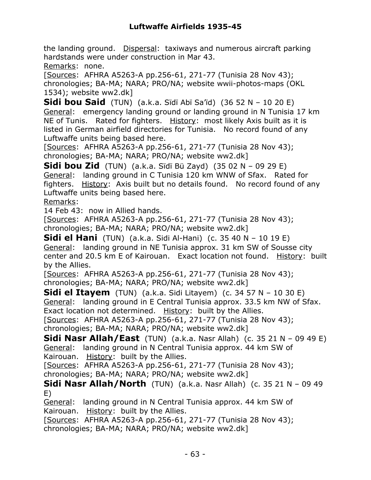the landing ground. Dispersal: taxiways and numerous aircraft parking hardstands were under construction in Mar 43.

Remarks: none.

[Sources: AFHRA A5263-A pp.256-61, 271-77 (Tunisia 28 Nov 43); chronologies; BA-MA; NARA; PRO/NA; website wwii-photos-maps (OKL 1534); website ww2.dk]

**Sidi bou Said** (TUN) (a.k.a. Sïdï Abï Sa'ïd) (36 52 N – 10 20 E) General: emergency landing ground or landing ground in N Tunisia 17 km NE of Tunis. Rated for fighters. History: most likely Axis built as it is listed in German airfield directories for Tunisia. No record found of any Luftwaffe units being based here.

[Sources: AFHRA A5263-A pp.256-61, 271-77 (Tunisia 28 Nov 43); chronologies; BA-MA; NARA; PRO/NA; website ww2.dk]

**Sidi bou Zid** (TUN) (a.k.a. Sïdï Bü Zayd) (35 02 N – 09 29 E) General: landing ground in C Tunisia 120 km WNW of Sfax. Rated for fighters. History: Axis built but no details found. No record found of any Luftwaffe units being based here.

Remarks:

14 Feb 43: now in Allied hands.

[Sources: AFHRA A5263-A pp.256-61, 271-77 (Tunisia 28 Nov 43); chronologies; BA-MA; NARA; PRO/NA; website ww2.dk]

**Sidi el Hani** (TUN) (a.k.a. Sidi Al-Hani) (c. 35 40 N – 10 19 E) General: landing ground in NE Tunisia approx. 31 km SW of Sousse city center and 20.5 km E of Kairouan. Exact location not found. History: built by the Allies.

[Sources: AFHRA A5263-A pp.256-61, 271-77 (Tunisia 28 Nov 43); chronologies; BA-MA; NARA; PRO/NA; website ww2.dk]

**Sidi el Itayem** (TUN) (a.k.a. Sidi Litayem) (c. 34 57 N – 10 30 E) General: landing ground in E Central Tunisia approx. 33.5 km NW of Sfax. Exact location not determined. History: built by the Allies. [Sources: AFHRA A5263-A pp.256-61, 271-77 (Tunisia 28 Nov 43);

chronologies; BA-MA; NARA; PRO/NA; website ww2.dk]

**Sidi Nasr Allah/East** (TUN) (a.k.a. Nasr Allah) (c. 35 21 N – 09 49 E) General: landing ground in N Central Tunisia approx. 44 km SW of Kairouan. History: built by the Allies.

[Sources: AFHRA A5263-A pp.256-61, 271-77 (Tunisia 28 Nov 43); chronologies; BA-MA; NARA; PRO/NA; website ww2.dk]

**Sidi Nasr Allah/North** (TUN) (a.k.a. Nasr Allah) (c. 35 21 N – 09 49 E)

General: landing ground in N Central Tunisia approx. 44 km SW of Kairouan. History: built by the Allies.

[Sources: AFHRA A5263-A pp.256-61, 271-77 (Tunisia 28 Nov 43); chronologies; BA-MA; NARA; PRO/NA; website ww2.dk]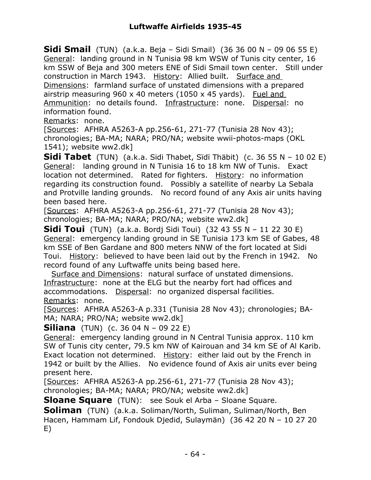**Sidi Smail** (TUN) (a.k.a. Beja – Sidi Smail) (36 36 00 N – 09 06 55 E) General: landing ground in N Tunisia 98 km WSW of Tunis city center, 16 km SSW of Beja and 300 meters ENE of Sidi Smail town center. Still under construction in March 1943. History: Allied built. Surface and Dimensions: farmland surface of unstated dimensions with a prepared airstrip measuring 960 x 40 meters (1050 x 45 yards). Fuel and Ammunition: no details found. Infrastructure: none. Dispersal: no information found.

Remarks: none.

[Sources: AFHRA A5263-A pp.256-61, 271-77 (Tunisia 28 Nov 43); chronologies; BA-MA; NARA; PRO/NA; website wwii-photos-maps (OKL 1541); website ww2.dk]

**Sidi Tabet** (TUN) (a.k.a. Sidi Thabet, Sïdï Thäbit) (c. 36 55 N – 10 02 E) General: landing ground in N Tunisia 16 to 18 km NW of Tunis. Exact location not determined. Rated for fighters. History: no information regarding its construction found. Possibly a satellite of nearby La Sebala and Protville landing grounds. No record found of any Axis air units having been based here.

[Sources: AFHRA A5263-A pp.256-61, 271-77 (Tunisia 28 Nov 43); chronologies; BA-MA; NARA; PRO/NA; website ww2.dk]

**Sidi Toui** (TUN) (a.k.a. Bordj Sidi Toui) (32 43 55 N – 11 22 30 E) General: emergency landing ground in SE Tunisia 173 km SE of Gabes, 48 km SSE of Ben Gardane and 800 meters NNW of the fort located at Sidi Toui. History: believed to have been laid out by the French in 1942. No record found of any Luftwaffe units being based here.

 Surface and Dimensions: natural surface of unstated dimensions. Infrastructure: none at the ELG but the nearby fort had offices and accommodations. Dispersal: no organized dispersal facilities. Remarks: none.

[Sources: AFHRA A5263-A p.331 (Tunisia 28 Nov 43); chronologies; BA-MA; NARA; PRO/NA; website ww2.dk]

**Siliana** (TUN) (c. 36 04 N – 09 22 E)

General: emergency landing ground in N Central Tunisia approx. 110 km SW of Tunis city center, 79.5 km NW of Kairouan and 34 km SE of Al Karib. Exact location not determined. History: either laid out by the French in 1942 or built by the Allies. No evidence found of Axis air units ever being present here.

[Sources: AFHRA A5263-A pp.256-61, 271-77 (Tunisia 28 Nov 43); chronologies; BA-MA; NARA; PRO/NA; website ww2.dk]

**Sloane Square** (TUN): see Souk el Arba – Sloane Square.

**Soliman** (TUN) (a.k.a. Soliman/North, Suliman, Suliman/North, Ben Hacen, Hammam Lif, Fondouk Djedid, Sulaymän) (36 42 20 N – 10 27 20 E)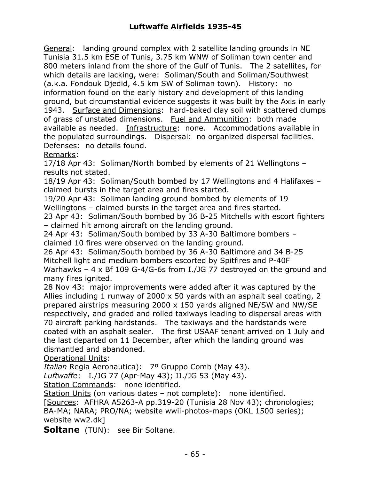General: landing ground complex with 2 satellite landing grounds in NE Tunisia 31.5 km ESE of Tunis, 3.75 km WNW of Soliman town center and 800 meters inland from the shore of the Gulf of Tunis. The 2 satellites, for which details are lacking, were: Soliman/South and Soliman/Southwest (a.k.a. Fondouk Djedid, 4.5 km SW of Soliman town). History: no information found on the early history and development of this landing ground, but circumstantial evidence suggests it was built by the Axis in early 1943. Surface and Dimensions: hard-baked clay soil with scattered clumps of grass of unstated dimensions. Fuel and Ammunition: both made available as needed. Infrastructure: none. Accommodations available in the populated surroundings. Dispersal: no organized dispersal facilities. Defenses: no details found.

Remarks:

17/18 Apr 43: Soliman/North bombed by elements of 21 Wellingtons – results not stated.

18/19 Apr 43: Soliman/South bombed by 17 Wellingtons and 4 Halifaxes – claimed bursts in the target area and fires started.

19/20 Apr 43: Soliman landing ground bombed by elements of 19 Wellingtons – claimed bursts in the target area and fires started.

23 Apr 43: Soliman/South bombed by 36 B-25 Mitchells with escort fighters – claimed hit among aircraft on the landing ground.

24 Apr 43: Soliman/South bombed by 33 A-30 Baltimore bombers – claimed 10 fires were observed on the landing ground.

26 Apr 43: Soliman/South bombed by 36 A-30 Baltimore and 34 B-25 Mitchell light and medium bombers escorted by Spitfires and P-40F Warhawks – 4 x Bf 109 G-4/G-6s from I./JG 77 destroyed on the ground and many fires ignited.

28 Nov 43: major improvements were added after it was captured by the Allies including 1 runway of 2000 x 50 yards with an asphalt seal coating, 2 prepared airstrips measuring 2000 x 150 yards aligned NE/SW and NW/SE respectively, and graded and rolled taxiways leading to dispersal areas with 70 aircraft parking hardstands. The taxiways and the hardstands were coated with an asphalt sealer. The first USAAF tenant arrived on 1 July and the last departed on 11 December, after which the landing ground was dismantled and abandoned.

Operational Units:

*Italian* Regia Aeronautica): 7º Gruppo Comb (May 43).

*Luftwaffe*: I./JG 77 (Apr-May 43); II./JG 53 (May 43).

Station Commands: none identified.

Station Units (on various dates – not complete): none identified.

[Sources: AFHRA A5263-A pp.319-20 (Tunisia 28 Nov 43); chronologies; BA-MA; NARA; PRO/NA; website wwii-photos-maps (OKL 1500 series); website ww2.dk]

**Soltane** (TUN): see Bir Soltane.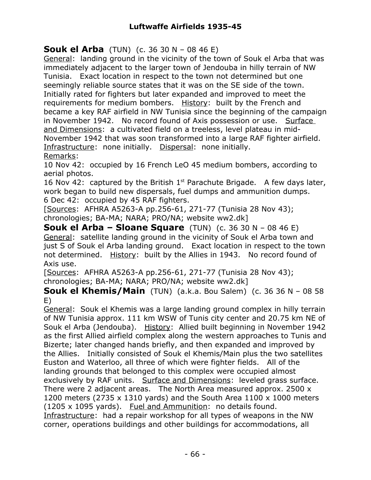**Souk el Arba** (TUN) (c. 36 30 N – 08 46 E)

General: landing ground in the vicinity of the town of Souk el Arba that was immediately adjacent to the larger town of Jendouba in hilly terrain of NW Tunisia. Exact location in respect to the town not determined but one seemingly reliable source states that it was on the SE side of the town. Initially rated for fighters but later expanded and improved to meet the requirements for medium bombers. History: built by the French and became a key RAF airfield in NW Tunisia since the beginning of the campaign in November 1942. No record found of Axis possession or use. Surface and Dimensions: a cultivated field on a treeless, level plateau in mid-November 1942 that was soon transformed into a large RAF fighter airfield. Infrastructure: none initially. Dispersal: none initially. Remarks:

10 Nov 42: occupied by 16 French LeO 45 medium bombers, according to aerial photos.

16 Nov 42: captured by the British  $1<sup>st</sup>$  Parachute Brigade. A few days later, work began to build new dispersals, fuel dumps and ammunition dumps. 6 Dec 42: occupied by 45 RAF fighters.

[Sources: AFHRA A5263-A pp.256-61, 271-77 (Tunisia 28 Nov 43); chronologies; BA-MA; NARA; PRO/NA; website ww2.dk]

**Souk el Arba – Sloane Square** (TUN) (c. 36 30 N – 08 46 E) General: satellite landing ground in the vicinity of Souk el Arba town and just S of Souk el Arba landing ground. Exact location in respect to the town not determined. History: built by the Allies in 1943. No record found of Axis use.

[Sources: AFHRA A5263-A pp.256-61, 271-77 (Tunisia 28 Nov 43); chronologies; BA-MA; NARA; PRO/NA; website ww2.dk]

**Souk el Khemis/Main** (TUN) (a.k.a. Bou Salem) (c. 36 36 N - 08 58 E)

General: Souk el Khemis was a large landing ground complex in hilly terrain of NW Tunisia approx. 111 km WSW of Tunis city center and 20.75 km NE of Souk el Arba (Jendouba). History: Allied built beginning in November 1942 as the first Allied airfield complex along the western approaches to Tunis and Bizerte; later changed hands briefly, and then expanded and improved by the Allies. Initially consisted of Souk el Khemis/Main plus the two satellites Euston and Waterloo, all three of which were fighter fields. All of the landing grounds that belonged to this complex were occupied almost exclusively by RAF units. Surface and Dimensions: leveled grass surface. There were 2 adjacent areas. The North Area measured approx. 2500 x 1200 meters (2735 x 1310 yards) and the South Area 1100 x 1000 meters (1205 x 1095 yards). Fuel and Ammunition: no details found. Infrastructure: had a repair workshop for all types of weapons in the NW corner, operations buildings and other buildings for accommodations, all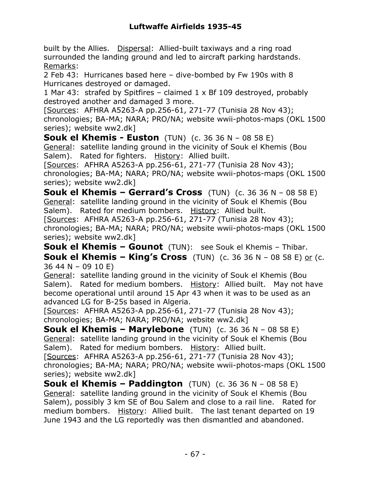built by the Allies. Dispersal: Allied-built taxiways and a ring road surrounded the landing ground and led to aircraft parking hardstands. Remarks:

2 Feb 43: Hurricanes based here – dive-bombed by Fw 190s with 8 Hurricanes destroyed or damaged.

1 Mar 43: strafed by Spitfires – claimed 1 x Bf 109 destroyed, probably destroyed another and damaged 3 more.

[Sources: AFHRA A5263-A pp.256-61, 271-77 (Tunisia 28 Nov 43); chronologies; BA-MA; NARA; PRO/NA; website wwii-photos-maps (OKL 1500 series); website ww2.dk]

**Souk el Khemis - Euston** (TUN) (c. 36 36 N – 08 58 E) General: satellite landing ground in the vicinity of Souk el Khemis (Bou Salem). Rated for fighters. History: Allied built.

[Sources: AFHRA A5263-A pp.256-61, 271-77 (Tunisia 28 Nov 43); chronologies; BA-MA; NARA; PRO/NA; website wwii-photos-maps (OKL 1500 series); website ww2.dk]

**Souk el Khemis – Gerrard's Cross** (TUN) (c. 36 36 N – 08 58 E) General: satellite landing ground in the vicinity of Souk el Khemis (Bou Salem). Rated for medium bombers. History: Allied built.

[Sources: AFHRA A5263-A pp.256-61, 271-77 (Tunisia 28 Nov 43); chronologies; BA-MA; NARA; PRO/NA; website wwii-photos-maps (OKL 1500 series); website ww2.dk]

**Souk el Khemis – Gounot** (TUN): see Souk el Khemis – Thibar. **Souk el Khemis – King's Cross** (TUN) (c. 36 36 N – 08 58 E) or (c. 36 44 N – 09 10 E)

General: satellite landing ground in the vicinity of Souk el Khemis (Bou Salem). Rated for medium bombers. History: Allied built. May not have become operational until around 15 Apr 43 when it was to be used as an advanced LG for B-25s based in Algeria.

[Sources: AFHRA A5263-A pp.256-61, 271-77 (Tunisia 28 Nov 43); chronologies; BA-MA; NARA; PRO/NA; website ww2.dk]

**Souk el Khemis – Marylebone** (TUN) (c. 36 36 N – 08 58 E) General: satellite landing ground in the vicinity of Souk el Khemis (Bou Salem). Rated for medium bombers. History: Allied built.

[Sources: AFHRA A5263-A pp.256-61, 271-77 (Tunisia 28 Nov 43); chronologies; BA-MA; NARA; PRO/NA; website wwii-photos-maps (OKL 1500 series); website ww2.dk]

**Souk el Khemis – Paddington** (TUN) (c. 36 36 N – 08 58 E) General: satellite landing ground in the vicinity of Souk el Khemis (Bou Salem), possibly 3 km SE of Bou Salem and close to a rail line. Rated for medium bombers. History: Allied built. The last tenant departed on 19 June 1943 and the LG reportedly was then dismantled and abandoned.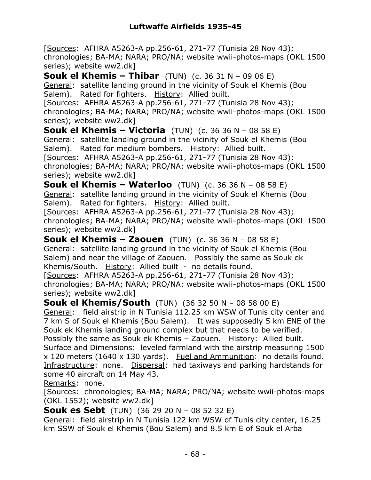[Sources: AFHRA A5263-A pp.256-61, 271-77 (Tunisia 28 Nov 43); chronologies; BA-MA; NARA; PRO/NA; website wwii-photos-maps (OKL 1500 series); website ww2.dk]

**Souk el Khemis – Thibar** (TUN) (c. 36 31 N – 09 06 E) General: satellite landing ground in the vicinity of Souk el Khemis (Bou Salem). Rated for fighters. History: Allied built.

[Sources: AFHRA A5263-A pp.256-61, 271-77 (Tunisia 28 Nov 43); chronologies; BA-MA; NARA; PRO/NA; website wwii-photos-maps (OKL 1500 series); website ww2.dk]

**Souk el Khemis – Victoria** (TUN) (c. 36 36 N – 08 58 E) General: satellite landing ground in the vicinity of Souk el Khemis (Bou Salem). Rated for medium bombers. History: Allied built. [Sources: AFHRA A5263-A pp.256-61, 271-77 (Tunisia 28 Nov 43); chronologies; BA-MA; NARA; PRO/NA; website wwii-photos-maps (OKL 1500 series); website ww2.dk]

**Souk el Khemis – Waterloo** (TUN) (c. 36 36 N – 08 58 E) General: satellite landing ground in the vicinity of Souk el Khemis (Bou Salem). Rated for fighters. History: Allied built.

[Sources: AFHRA A5263-A pp.256-61, 271-77 (Tunisia 28 Nov 43); chronologies; BA-MA; NARA; PRO/NA; website wwii-photos-maps (OKL 1500 series); website ww2.dk]

**Souk el Khemis – Zaouen** (TUN) (c. 36 36 N – 08 58 E) General: satellite landing ground in the vicinity of Souk el Khemis (Bou Salem) and near the village of Zaouen. Possibly the same as Souk ek Khemis/South. History: Allied built - no details found.

[Sources: AFHRA A5263-A pp.256-61, 271-77 (Tunisia 28 Nov 43); chronologies; BA-MA; NARA; PRO/NA; website wwii-photos-maps (OKL 1500 series); website ww2.dk]

**Souk el Khemis/South** (TUN) (36 32 50 N – 08 58 00 E) General: field airstrip in N Tunisia 112.25 km WSW of Tunis city center and 7 km S of Souk el Khemis (Bou Salem). It was supposedly 5 km ENE of the Souk ek Khemis landing ground complex but that needs to be verified. Possibly the same as Souk ek Khemis - Zaouen. History: Allied built. Surface and Dimensions: leveled farmland with the airstrip measuring 1500  $x$  120 meters (1640  $x$  130 yards). Fuel and Ammunition: no details found. Infrastructure: none. Dispersal: had taxiways and parking hardstands for some 40 aircraft on 14 May 43.

Remarks: none.

[Sources: chronologies; BA-MA; NARA; PRO/NA; website wwii-photos-maps (OKL 1552); website ww2.dk]

**Souk es Sebt** (TUN) (36 29 20 N – 08 52 32 E)

General: field airstrip in N Tunisia 122 km WSW of Tunis city center, 16.25 km SSW of Souk el Khemis (Bou Salem) and 8.5 km E of Souk el Arba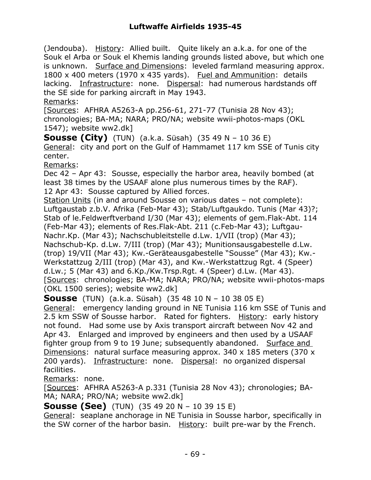(Jendouba). History: Allied built. Quite likely an a.k.a. for one of the Souk el Arba or Souk el Khemis landing grounds listed above, but which one is unknown. Surface and Dimensions: leveled farmland measuring approx. 1800 x 400 meters (1970 x 435 yards). Fuel and Ammunition: details lacking. Infrastructure: none. Dispersal: had numerous hardstands off the SE side for parking aircraft in May 1943.

Remarks:

[Sources: AFHRA A5263-A pp.256-61, 271-77 (Tunisia 28 Nov 43); chronologies; BA-MA; NARA; PRO/NA; website wwii-photos-maps (OKL 1547); website ww2.dk]

**Sousse (City)** (TUN) (a.k.a. Süsah) (35 49 N – 10 36 E) General: city and port on the Gulf of Hammamet 117 km SSE of Tunis city center.

Remarks:

Dec 42 – Apr 43: Sousse, especially the harbor area, heavily bombed (at least 38 times by the USAAF alone plus numerous times by the RAF). 12 Apr 43: Sousse captured by Allied forces.

Station Units (in and around Sousse on various dates – not complete): Luftgaustab z.b.V. Afrika (Feb-Mar 43); Stab/Luftgaukdo. Tunis (Mar 43)?; Stab of le.Feldwerftverband I/30 (Mar 43); elements of gem.Flak-Abt. 114 (Feb-Mar 43); elements of Res.Flak-Abt. 211 (c.Feb-Mar 43); Luftgau-Nachr.Kp. (Mar 43); Nachschubleitstelle d.Lw. 1/VII (trop) (Mar 43); Nachschub-Kp. d.Lw. 7/III (trop) (Mar 43); Munitionsausgabestelle d.Lw. (trop) 19/VII (Mar 43); Kw.-Geräteausgabestelle "Sousse" (Mar 43); Kw.- Werkstattzug 2/III (trop) (Mar 43), and Kw.-Werkstattzug Rgt. 4 (Speer) d.Lw.; 5 (Mar 43) and 6.Kp./Kw.Trsp.Rgt. 4 (Speer) d.Lw. (Mar 43). [Sources: chronologies; BA-MA; NARA; PRO/NA; website wwii-photos-maps (OKL 1500 series); website ww2.dk]

**Sousse** (TUN) (a.k.a. Süsah) (35 48 10 N – 10 38 05 E)

General: emergency landing ground in NE Tunisia 116 km SSE of Tunis and 2.5 km SSW of Sousse harbor. Rated for fighters. History: early history not found. Had some use by Axis transport aircraft between Nov 42 and Apr 43. Enlarged and improved by engineers and then used by a USAAF fighter group from 9 to 19 June; subsequently abandoned. Surface and Dimensions: natural surface measuring approx. 340 x 185 meters (370 x 200 yards). Infrastructure: none. Dispersal: no organized dispersal facilities.

Remarks: none.

[Sources: AFHRA A5263-A p.331 (Tunisia 28 Nov 43); chronologies; BA-MA; NARA; PRO/NA; website ww2.dk]

**Sousse (See)** (TUN) (35 49 20 N – 10 39 15 E)

General: seaplane anchorage in NE Tunisia in Sousse harbor, specifically in the SW corner of the harbor basin. History: built pre-war by the French.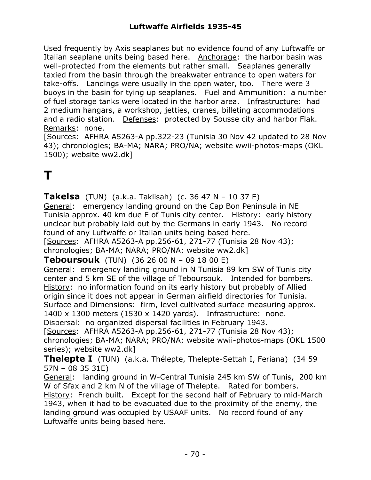Used frequently by Axis seaplanes but no evidence found of any Luftwaffe or Italian seaplane units being based here. Anchorage: the harbor basin was well-protected from the elements but rather small. Seaplanes generally taxied from the basin through the breakwater entrance to open waters for take-offs. Landings were usually in the open water, too. There were 3 buoys in the basin for tying up seaplanes. Fuel and Ammunition: a number of fuel storage tanks were located in the harbor area. Infrastructure: had 2 medium hangars, a workshop, jetties, cranes, billeting accommodations and a radio station. Defenses: protected by Sousse city and harbor Flak. Remarks: none.

[Sources: AFHRA A5263-A pp.322-23 (Tunisia 30 Nov 42 updated to 28 Nov 43); chronologies; BA-MA; NARA; PRO/NA; website wwii-photos-maps (OKL 1500); website ww2.dk]

### **T**

**Takelsa** (TUN) (a.k.a. Taklisah) (c. 36 47 N – 10 37 E) General: emergency landing ground on the Cap Bon Peninsula in NE Tunisia approx. 40 km due E of Tunis city center. History: early history unclear but probably laid out by the Germans in early 1943. No record found of any Luftwaffe or Italian units being based here.

[Sources: AFHRA A5263-A pp.256-61, 271-77 (Tunisia 28 Nov 43); chronologies; BA-MA; NARA; PRO/NA; website ww2.dk]

**Teboursouk** (TUN) (36 26 00 N – 09 18 00 E)

General: emergency landing ground in N Tunisia 89 km SW of Tunis city center and 5 km SE of the village of Teboursouk. Intended for bombers. History: no information found on its early history but probably of Allied origin since it does not appear in German airfield directories for Tunisia. Surface and Dimensions: firm, level cultivated surface measuring approx. 1400 x 1300 meters (1530 x 1420 yards). Infrastructure: none. Dispersal: no organized dispersal facilities in February 1943.

[Sources: AFHRA A5263-A pp.256-61, 271-77 (Tunisia 28 Nov 43); chronologies; BA-MA; NARA; PRO/NA; website wwii-photos-maps (OKL 1500 series); website ww2.dk]

**Thelepte I** (TUN) (a.k.a. Thélepte, Thelepte-Settah I, Feriana) (34 59 57N – 08 35 31E)

General: landing ground in W-Central Tunisia 245 km SW of Tunis, 200 km W of Sfax and 2 km N of the village of Thelepte. Rated for bombers. History: French built. Except for the second half of February to mid-March

1943, when it had to be evacuated due to the proximity of the enemy, the landing ground was occupied by USAAF units. No record found of any Luftwaffe units being based here.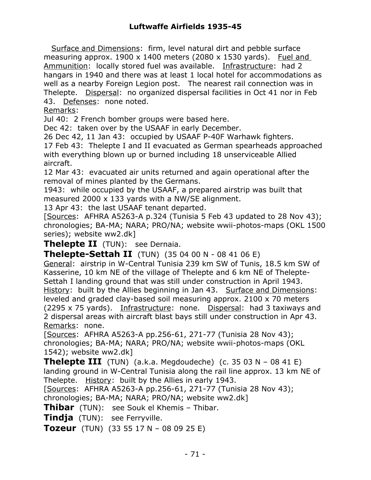Surface and Dimensions: firm, level natural dirt and pebble surface measuring approx. 1900 x 1400 meters (2080 x 1530 yards). Fuel and Ammunition: locally stored fuel was available. Infrastructure: had 2 hangars in 1940 and there was at least 1 local hotel for accommodations as well as a nearby Foreign Legion post. The nearest rail connection was in Thelepte. Dispersal: no organized dispersal facilities in Oct 41 nor in Feb 43. Defenses: none noted.

Remarks:

Jul 40: 2 French bomber groups were based here.

Dec 42: taken over by the USAAF in early December.

26 Dec 42, 11 Jan 43: occupied by USAAF P-40F Warhawk fighters.

17 Feb 43: Thelepte I and II evacuated as German spearheads approached with everything blown up or burned including 18 unserviceable Allied aircraft.

12 Mar 43: evacuated air units returned and again operational after the removal of mines planted by the Germans.

1943: while occupied by the USAAF, a prepared airstrip was built that measured 2000 x 133 yards with a NW/SE alignment.

13 Apr 43: the last USAAF tenant departed.

[Sources: AFHRA A5263-A p.324 (Tunisia 5 Feb 43 updated to 28 Nov 43); chronologies; BA-MA; NARA; PRO/NA; website wwii-photos-maps (OKL 1500 series); website ww2.dk]

**Thelepte II** (TUN): see Dernaia.

**Thelepte-Settah II** (TUN) (35 04 00 N - 08 41 06 E)

General: airstrip in W-Central Tunisia 239 km SW of Tunis, 18.5 km SW of Kasserine, 10 km NE of the village of Thelepte and 6 km NE of Thelepte-Settah I landing ground that was still under construction in April 1943. History: built by the Allies beginning in Jan 43. Surface and Dimensions: leveled and graded clay-based soil measuring approx. 2100 x 70 meters (2295 x 75 yards). Infrastructure: none. Dispersal: had 3 taxiways and 2 dispersal areas with aircraft blast bays still under construction in Apr 43. Remarks: none.

[Sources: AFHRA A5263-A pp.256-61, 271-77 (Tunisia 28 Nov 43); chronologies; BA-MA; NARA; PRO/NA; website wwii-photos-maps (OKL 1542); website ww2.dk]

**Thelepte III** (TUN) (a.k.a. Megdoudeche) (c. 35 03 N – 08 41 E) landing ground in W-Central Tunisia along the rail line approx. 13 km NE of Thelepte. History: built by the Allies in early 1943.

[Sources: AFHRA A5263-A pp.256-61, 271-77 (Tunisia 28 Nov 43);

chronologies; BA-MA; NARA; PRO/NA; website ww2.dk]

**Thibar** (TUN): see Souk el Khemis – Thibar.

**Tindja** (TUN): see Ferryville.

**Tozeur** (TUN) (33 55 17 N – 08 09 25 E)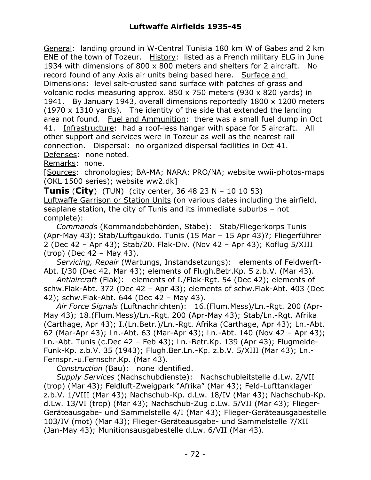General: landing ground in W-Central Tunisia 180 km W of Gabes and 2 km ENE of the town of Tozeur. History: listed as a French military ELG in June 1934 with dimensions of 800 x 800 meters and shelters for 2 aircraft. No record found of any Axis air units being based here. Surface and Dimensions: level salt-crusted sand surface with patches of grass and volcanic rocks measuring approx. 850 x 750 meters (930 x 820 yards) in 1941. By January 1943, overall dimensions reportedly 1800 x 1200 meters (1970 x 1310 yards). The identity of the side that extended the landing area not found. Fuel and Ammunition: there was a small fuel dump in Oct 41. Infrastructure: had a roof-less hangar with space for 5 aircraft. All other support and services were in Tozeur as well as the nearest rail connection. Dispersal: no organized dispersal facilities in Oct 41. Defenses: none noted.

Remarks: none.

[Sources: chronologies; BA-MA; NARA; PRO/NA; website wwii-photos-maps (OKL 1500 series); website ww2.dk]

**Tunis** (**City**) (TUN) (city center, 36 48 23 N – 10 10 53) Luftwaffe Garrison or Station Units (on various dates including the airfield, seaplane station, the city of Tunis and its immediate suburbs – not complete):

 *Commands* (Kommandobehörden, Stäbe): Stab/Fliegerkorps Tunis (Apr-May 43); Stab/Luftgaukdo. Tunis (15 Mar – 15 Apr 43)?; Fliegerführer 2 (Dec 42 – Apr 43); Stab/20. Flak-Div. (Nov 42 – Apr 43); Koflug 5/XIII (trop) (Dec 42 – May 43).

 *Servicing, Repair* (Wartungs, Instandsetzungs): elements of Feldwerft-Abt. I/30 (Dec 42, Mar 43); elements of Flugh.Betr.Kp. 5 z.b.V. (Mar 43).

 *Antiaircraft* (Flak): elements of I./Flak-Rgt. 54 (Dec 42); elements of schw.Flak-Abt. 372 (Dec 42 – Apr 43); elements of schw.Flak-Abt. 403 (Dec 42); schw.Flak-Abt. 644 (Dec 42 – May 43).

 *Air Force Signals* (Luftnachrichten): 16.(Flum.Mess)/Ln.-Rgt. 200 (Apr-May 43); 18.(Flum.Mess)/Ln.-Rgt. 200 (Apr-May 43); Stab/Ln.-Rgt. Afrika (Carthage, Apr 43); I.(Ln.Betr.)/Ln.-Rgt. Afrika (Carthage, Apr 43); Ln.-Abt. 62 (Mar-Apr 43); Ln.-Abt. 63 (Mar-Apr 43); Ln.-Abt. 140 (Nov 42 – Apr 43); Ln.-Abt. Tunis (c.Dec 42 – Feb 43); Ln.-Betr.Kp. 139 (Apr 43); Flugmelde-Funk-Kp. z.b.V. 35 (1943); Flugh.Ber.Ln.-Kp. z.b.V. 5/XIII (Mar 43); Ln.- Fernspr.-u.Fernschr.Kp. (Mar 43).

*Construction* (Bau): none identified.

 *Supply Services* (Nachschubdienste): Nachschubleitstelle d.Lw. 2/VII (trop) (Mar 43); Feldluft-Zweigpark "Afrika" (Mar 43); Feld-Lufttanklager z.b.V. 1/VIII (Mar 43); Nachschub-Kp. d.Lw. 18/IV (Mar 43); Nachschub-Kp. d.Lw. 13/VI (trop) (Mar 43); Nachschub-Zug d.Lw. 5/VII (Mar 43); Flieger-Geräteausgabe- und Sammelstelle 4/I (Mar 43); Flieger-Geräteausgabestelle 103/IV (mot) (Mar 43); Flieger-Geräteausgabe- und Sammelstelle 7/XII (Jan-May 43); Munitionsausgabestelle d.Lw. 6/VII (Mar 43).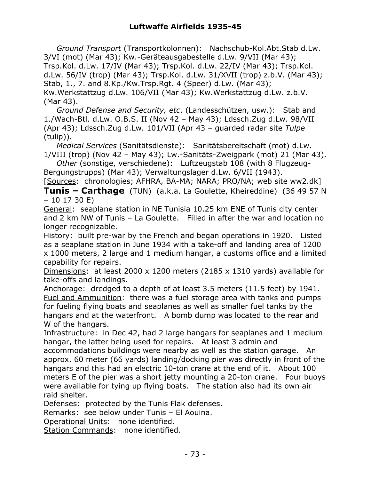*Ground Transport* (Transportkolonnen): Nachschub-Kol.Abt.Stab d.Lw. 3/VI (mot) (Mar 43); Kw.-Geräteausgabestelle d.Lw. 9/VII (Mar 43); Trsp.Kol. d.Lw. 17/IV (Mar 43); Trsp.Kol. d.Lw. 22/IV (Mar 43); Trsp.Kol. d.Lw. 56/IV (trop) (Mar 43); Trsp.Kol. d.Lw. 31/XVII (trop) z.b.V. (Mar 43); Stab, 1., 7. and 8.Kp./Kw.Trsp.Rgt. 4 (Speer) d.Lw. (Mar 43); Kw.Werkstattzug d.Lw. 106/VII (Mar 43); Kw.Werkstattzug d.Lw. z.b.V. (Mar 43).

 *Ground Defense and Security, etc*. (Landesschützen, usw.): Stab and 1./Wach-Btl. d.Lw. O.B.S. II (Nov 42 – May 43); Ldssch.Zug d.Lw. 98/VII (Apr 43); Ldssch.Zug d.Lw. 101/VII (Apr 43 – guarded radar site *Tulpe* (tulip)).

 *Medical Services* (Sanitätsdienste): Sanitätsbereitschaft (mot) d.Lw. 1/VIII (trop) (Nov 42 – May 43); Lw.-Sanitäts-Zweigpark (mot) 21 (Mar 43).

 *Other* (sonstige, verschiedene): Luftzeugstab 108 (with 8 Flugzeug-Bergungstrupps) (Mar 43); Verwaltungslager d.Lw. 6/VII (1943).

[Sources: chronologies; AFHRA, BA-MA; NARA; PRO/NA; web site ww2.dk] **Tunis – Carthage** (TUN) (a.k.a. La Goulette, Kheireddine) (36 49 57 N – 10 17 30 E)

General: seaplane station in NE Tunisia 10.25 km ENE of Tunis city center and 2 km NW of Tunis – La Goulette. Filled in after the war and location no longer recognizable.

History: built pre-war by the French and began operations in 1920. Listed as a seaplane station in June 1934 with a take-off and landing area of 1200 x 1000 meters, 2 large and 1 medium hangar, a customs office and a limited capability for repairs.

Dimensions: at least 2000 x 1200 meters (2185 x 1310 yards) available for take-offs and landings.

Anchorage: dredged to a depth of at least 3.5 meters (11.5 feet) by 1941. Fuel and Ammunition: there was a fuel storage area with tanks and pumps for fueling flying boats and seaplanes as well as smaller fuel tanks by the hangars and at the waterfront. A bomb dump was located to the rear and W of the hangars.

Infrastructure: in Dec 42, had 2 large hangars for seaplanes and 1 medium hangar, the latter being used for repairs. At least 3 admin and

accommodations buildings were nearby as well as the station garage. An approx. 60 meter (66 yards) landing/docking pier was directly in front of the hangars and this had an electric 10-ton crane at the end of it. About 100 meters E of the pier was a short jetty mounting a 20-ton crane. Four buoys were available for tying up flying boats. The station also had its own air raid shelter.

Defenses: protected by the Tunis Flak defenses.

Remarks: see below under Tunis – El Aouina.

Operational Units: none identified.

Station Commands: none identified.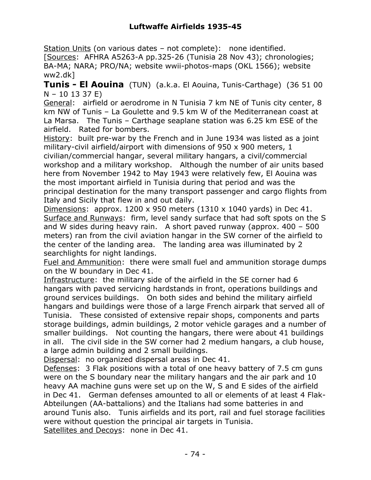Station Units (on various dates – not complete): none identified. [Sources: AFHRA A5263-A pp.325-26 (Tunisia 28 Nov 43); chronologies; BA-MA; NARA; PRO/NA; website wwii-photos-maps (OKL 1566); website ww2.dk]

**Tunis - El Aouina** (TUN) (a.k.a. El Aouina, Tunis-Carthage) (36 51 00 N – 10 13 37 E)

General: airfield or aerodrome in N Tunisia 7 km NE of Tunis city center, 8 km NW of Tunis – La Goulette and 9.5 km W of the Mediterranean coast at La Marsa. The Tunis – Carthage seaplane station was 6.25 km ESE of the airfield. Rated for bombers.

History: built pre-war by the French and in June 1934 was listed as a joint military-civil airfield/airport with dimensions of 950 x 900 meters, 1 civilian/commercial hangar, several military hangars, a civil/commercial workshop and a military workshop. Although the number of air units based here from November 1942 to May 1943 were relatively few, El Aouina was the most important airfield in Tunisia during that period and was the principal destination for the many transport passenger and cargo flights from Italy and Sicily that flew in and out daily.

Dimensions: approx. 1200 x 950 meters  $(1310 \times 1040 \text{ yards})$  in Dec 41. Surface and Runways: firm, level sandy surface that had soft spots on the S and W sides during heavy rain. A short paved runway (approx. 400 – 500 meters) ran from the civil aviation hangar in the SW corner of the airfield to the center of the landing area. The landing area was illuminated by 2 searchlights for night landings.

Fuel and Ammunition: there were small fuel and ammunition storage dumps on the W boundary in Dec 41.

Infrastructure: the military side of the airfield in the SE corner had 6 hangars with paved servicing hardstands in front, operations buildings and ground services buildings. On both sides and behind the military airfield hangars and buildings were those of a large French airpark that served all of Tunisia. These consisted of extensive repair shops, components and parts storage buildings, admin buildings, 2 motor vehicle garages and a number of smaller buildings. Not counting the hangars, there were about 41 buildings in all. The civil side in the SW corner had 2 medium hangars, a club house, a large admin building and 2 small buildings.

Dispersal: no organized dispersal areas in Dec 41.

Defenses: 3 Flak positions with a total of one heavy battery of 7.5 cm guns were on the S boundary near the military hangars and the air park and 10 heavy AA machine guns were set up on the W, S and E sides of the airfield in Dec 41. German defenses amounted to all or elements of at least 4 Flak-Abteilungen (AA-battalions) and the Italians had some batteries in and around Tunis also. Tunis airfields and its port, rail and fuel storage facilities were without question the principal air targets in Tunisia. Satellites and Decoys: none in Dec 41.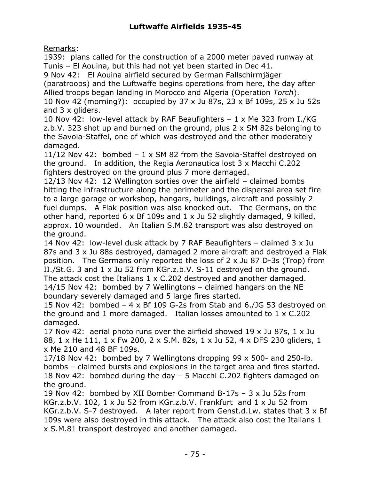Remarks:

1939: plans called for the construction of a 2000 meter paved runway at Tunis – El Aouina, but this had not yet been started in Dec 41.

9 Nov 42: El Aouina airfield secured by German Fallschirmjäger

(paratroops) and the Luftwaffe begins operations from here, the day after Allied troops began landing in Morocco and Algeria (Operation *Torch*).

10 Nov 42 (morning?): occupied by 37 x Ju 87s, 23 x Bf 109s, 25 x Ju 52s and 3 x gliders.

10 Nov 42: low-level attack by RAF Beaufighters – 1 x Me 323 from I./KG z.b.V. 323 shot up and burned on the ground, plus 2 x SM 82s belonging to the Savoia-Staffel, one of which was destroyed and the other moderately damaged.

11/12 Nov 42: bombed – 1 x SM 82 from the Savoia-Staffel destroyed on the ground. In addition, the Regia Aeronautica lost 3 x Macchi C.202 fighters destroyed on the ground plus 7 more damaged.

12/13 Nov 42: 12 Wellington sorties over the airfield – claimed bombs hitting the infrastructure along the perimeter and the dispersal area set fire to a large garage or workshop, hangars, buildings, aircraft and possibly 2 fuel dumps. A Flak position was also knocked out. The Germans, on the other hand, reported 6 x Bf 109s and 1 x Ju 52 slightly damaged, 9 killed, approx. 10 wounded. An Italian S.M.82 transport was also destroyed on the ground.

14 Nov 42: low-level dusk attack by 7 RAF Beaufighters – claimed 3 x Ju 87s and 3 x Ju 88s destroyed, damaged 2 more aircraft and destroyed a Flak position. The Germans only reported the loss of 2 x Ju 87 D-3s (Trop) from II./St.G. 3 and 1 x Ju 52 from KGr.z.b.V. S-11 destroyed on the ground. The attack cost the Italians 1 x C.202 destroyed and another damaged. 14/15 Nov 42: bombed by 7 Wellingtons – claimed hangars on the NE boundary severely damaged and 5 large fires started.

15 Nov 42: bombed – 4 x Bf 109 G-2s from Stab and 6./JG 53 destroyed on the ground and 1 more damaged. Italian losses amounted to 1 x C.202 damaged.

17 Nov 42: aerial photo runs over the airfield showed 19 x Ju 87s, 1 x Ju 88, 1 x He 111, 1 x Fw 200, 2 x S.M. 82s, 1 x Ju 52, 4 x DFS 230 gliders, 1 x Me 210 and 48 BF 109s.

17/18 Nov 42: bombed by 7 Wellingtons dropping 99 x 500- and 250-lb. bombs – claimed bursts and explosions in the target area and fires started. 18 Nov 42: bombed during the day – 5 Macchi C.202 fighters damaged on the ground.

19 Nov 42: bombed by XII Bomber Command B-17s – 3 x Ju 52s from KGr.z.b.V. 102, 1 x Ju 52 from KGr.z.b.V. Frankfurt and 1 x Ju 52 from KGr.z.b.V. S-7 destroyed. A later report from Genst.d.Lw. states that 3 x Bf 109s were also destroyed in this attack. The attack also cost the Italians 1 x S.M.81 transport destroyed and another damaged.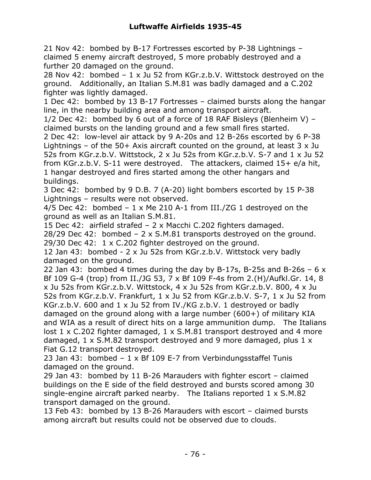21 Nov 42: bombed by B-17 Fortresses escorted by P-38 Lightnings – claimed 5 enemy aircraft destroyed, 5 more probably destroyed and a further 20 damaged on the ground.

28 Nov 42: bombed – 1 x Ju 52 from KGr.z.b.V. Wittstock destroyed on the ground. Additionally, an Italian S.M.81 was badly damaged and a C.202 fighter was lightly damaged.

1 Dec 42: bombed by 13 B-17 Fortresses – claimed bursts along the hangar line, in the nearby building area and among transport aircraft.

1/2 Dec 42: bombed by 6 out of a force of 18 RAF Bisleys (Blenheim V) – claimed bursts on the landing ground and a few small fires started.

2 Dec 42: low-level air attack by 9 A-20s and 12 B-26s escorted by 6 P-38 Lightnings – of the 50+ Axis aircraft counted on the ground, at least  $3 \times Ju$ 52s from KGr.z.b.V. Wittstock, 2 x Ju 52s from KGr.z.b.V. S-7 and 1 x Ju 52 from KGr.z.b.V. S-11 were destroyed. The attackers, claimed 15+ e/a hit, 1 hangar destroyed and fires started among the other hangars and buildings.

3 Dec 42: bombed by 9 D.B. 7 (A-20) light bombers escorted by 15 P-38 Lightnings – results were not observed.

4/5 Dec 42: bombed  $-1 \times$  Me 210 A-1 from III./ZG 1 destroyed on the ground as well as an Italian S.M.81.

15 Dec 42: airfield strafed – 2 x Macchi C.202 fighters damaged.

28/29 Dec 42: bombed  $-2 \times S.M.81$  transports destroyed on the ground. 29/30 Dec 42: 1 x C.202 fighter destroyed on the ground.

12 Jan 43: bombed - 2 x Ju 52s from KGr.z.b.V. Wittstock very badly damaged on the ground.

22 Jan 43: bombed 4 times during the day by B-17s, B-25s and B-26s  $-6x$ Bf 109 G-4 (trop) from II./JG 53, 7 x Bf 109 F-4s from 2.(H)/Aufkl.Gr. 14, 8 x Ju 52s from KGr.z.b.V. Wittstock, 4 x Ju 52s from KGr.z.b.V. 800, 4 x Ju 52s from KGr.z.b.V. Frankfurt, 1 x Ju 52 from KGr.z.b.V. S-7, 1 x Ju 52 from KGr.z.b.V. 600 and 1 x Ju 52 from IV./KG z.b.V. 1 destroyed or badly damaged on the ground along with a large number (600+) of military KIA and WIA as a result of direct hits on a large ammunition dump. The Italians lost 1 x C.202 fighter damaged, 1 x S.M.81 transport destroyed and 4 more damaged, 1 x S.M.82 transport destroyed and 9 more damaged, plus 1 x Fiat G.12 transport destroyed.

23 Jan 43: bombed – 1 x Bf 109 E-7 from Verbindungsstaffel Tunis damaged on the ground.

29 Jan 43: bombed by 11 B-26 Marauders with fighter escort – claimed buildings on the E side of the field destroyed and bursts scored among 30 single-engine aircraft parked nearby. The Italians reported 1 x S.M.82 transport damaged on the ground.

13 Feb 43: bombed by 13 B-26 Marauders with escort – claimed bursts among aircraft but results could not be observed due to clouds.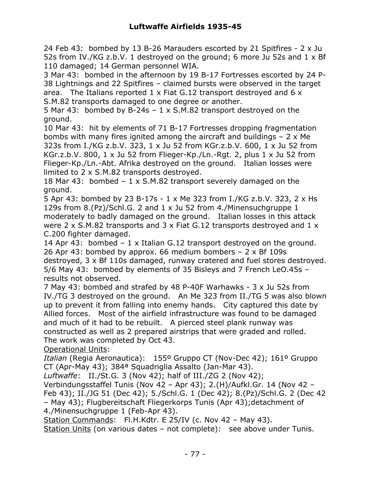24 Feb 43: bombed by 13 B-26 Marauders escorted by 21 Spitfires - 2 x Ju 52s from IV./KG z.b.V. 1 destroyed on the ground; 6 more Ju 52s and 1 x Bf 110 damaged; 14 German personnel WIA.

3 Mar 43: bombed in the afternoon by 19 B-17 Fortresses escorted by 24 P-38 Lightnings and 22 Spitfires – claimed bursts were observed in the target area. The Italians reported 1 x Fiat G.12 transport destroyed and 6 x S.M.82 transports damaged to one degree or another.

5 Mar 43: bombed by B-24s – 1 x S.M.82 transport destroyed on the ground.

10 Mar 43: hit by elements of 71 B-17 Fortresses dropping fragmentation bombs with many fires ignited among the aircraft and buildings  $-2 \times$  Me 323s from I./KG z.b.V. 323, 1 x Ju 52 from KGr.z.b.V. 600, 1 x Ju 52 from KGr.z.b.V. 800, 1 x Ju 52 from Flieger-Kp./Ln.-Rgt. 2, plus 1 x Ju 52 from Flieger-Kp./Ln.-Abt. Afrika destroyed on the ground. Italian losses were limited to 2 x S.M.82 transports destroyed.

18 Mar 43: bombed – 1 x S.M.82 transport severely damaged on the ground.

5 Apr 43: bombed by 23 B-17s - 1 x Me 323 from I./KG z.b.V. 323, 2 x Hs 129s from 8.(Pz)/Schl.G. 2 and 1 x Ju 52 from 4./Minensuchgruppe 1 moderately to badly damaged on the ground. Italian losses in this attack were 2  $\times$  S.M.82 transports and 3  $\times$  Fiat G.12 transports destroyed and 1  $\times$ C.200 fighter damaged.

14 Apr 43: bombed – 1 x Italian G.12 transport destroyed on the ground. 26 Apr 43: bombed by approx. 66 medium bombers  $-2 \times Bf$  109s destroyed, 3 x Bf 110s damaged, runway cratered and fuel stores destroyed. 5/6 May 43: bombed by elements of 35 Bisleys and 7 French LeO.45s – results not observed.

7 May 43: bombed and strafed by 48 P-40F Warhawks - 3 x Ju 52s from IV./TG 3 destroyed on the ground. An Me 323 from II./TG 5 was also blown up to prevent it from falling into enemy hands. City captured this date by Allied forces. Most of the airfield infrastructure was found to be damaged and much of it had to be rebuilt. A pierced steel plank runway was constructed as well as 2 prepared airstrips that were graded and rolled. The work was completed by Oct 43.

Operational Units:

*Italian* (Regia Aeronautica): 155º Gruppo CT (Nov-Dec 42); 161º Gruppo CT (Apr-May 43); 384ª Squadriglia Assalto (Jan-Mar 43).

*Luftwaffe*: II./St.G. 3 (Nov 42); half of III./ZG 2 (Nov 42);

Verbindungsstaffel Tunis (Nov 42 – Apr 43); 2.(H)/Aufkl.Gr. 14 (Nov 42 – Feb 43); II./JG 51 (Dec 42); 5./Schl.G. 1 (Dec 42); 8.(Pz)/Schl.G. 2 (Dec 42 – May 43); Flugbereitschaft Fliegerkorps Tunis (Apr 43);detachment of 4./Minensuchgruppe 1 (Feb-Apr 43).

Station Commands: Fl.H.Kdtr. E 25/IV (c. Nov 42 - May 43).

Station Units (on various dates - not complete): see above under Tunis.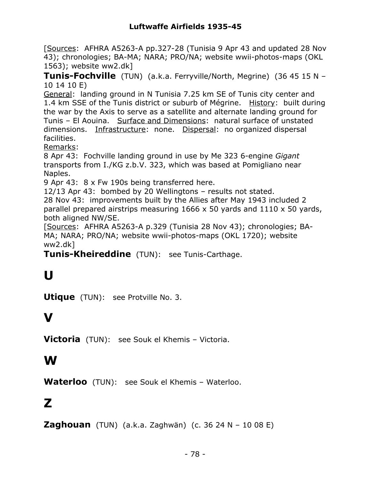[Sources: AFHRA A5263-A pp.327-28 (Tunisia 9 Apr 43 and updated 28 Nov 43); chronologies; BA-MA; NARA; PRO/NA; website wwii-photos-maps (OKL 1563); website ww2.dk]

**Tunis-Fochville** (TUN) (a.k.a. Ferryville/North, Megrine) (36 45 15 N – 10 14 10 E)

General: landing ground in N Tunisia 7.25 km SE of Tunis city center and 1.4 km SSE of the Tunis district or suburb of Mégrine. History: built during the war by the Axis to serve as a satellite and alternate landing ground for Tunis – El Aouina. Surface and Dimensions: natural surface of unstated dimensions. Infrastructure: none. Dispersal: no organized dispersal facilities.

Remarks:

8 Apr 43: Fochville landing ground in use by Me 323 6-engine *Gigant* transports from I./KG z.b.V. 323, which was based at Pomigliano near Naples.

9 Apr 43: 8 x Fw 190s being transferred here.

12/13 Apr 43: bombed by 20 Wellingtons – results not stated.

28 Nov 43: improvements built by the Allies after May 1943 included 2 parallel prepared airstrips measuring  $1666 \times 50$  yards and  $1110 \times 50$  yards, both aligned NW/SE.

[Sources: AFHRA A5263-A p.329 (Tunisia 28 Nov 43); chronologies; BA-MA; NARA; PRO/NA; website wwii-photos-maps (OKL 1720); website ww2.dk]

**Tunis-Kheireddine** (TUN): see Tunis-Carthage.

# **U**

**Utique** (TUN): see Protville No. 3.

## **V**

**Victoria** (TUN): see Souk el Khemis – Victoria.

### **W**

**Waterloo** (TUN): see Souk el Khemis – Waterloo.

### **Z**

**Zaghouan** (TUN) (a.k.a. Zaghwän) (c. 36 24 N – 10 08 E)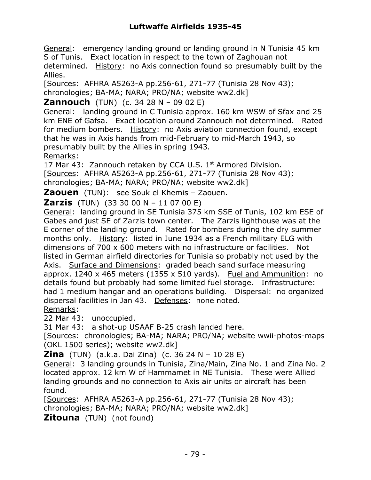General: emergency landing ground or landing ground in N Tunisia 45 km S of Tunis. Exact location in respect to the town of Zaghouan not

determined. History: no Axis connection found so presumably built by the Allies.

[Sources: AFHRA A5263-A pp.256-61, 271-77 (Tunisia 28 Nov 43); chronologies; BA-MA; NARA; PRO/NA; website ww2.dk]

#### **Zannouch** (TUN) (c. 34 28 N – 09 02 E)

General: landing ground in C Tunisia approx. 160 km WSW of Sfax and 25 km ENE of Gafsa. Exact location around Zannouch not determined. Rated for medium bombers. History: no Axis aviation connection found, except that he was in Axis hands from mid-February to mid-March 1943, so presumably built by the Allies in spring 1943.

Remarks:

17 Mar 43: Zannouch retaken by CCA U.S.  $1<sup>st</sup>$  Armored Division. [Sources: AFHRA A5263-A pp.256-61, 271-77 (Tunisia 28 Nov 43); chronologies; BA-MA; NARA; PRO/NA; website ww2.dk]

**Zaouen** (TUN): see Souk el Khemis – Zaouen.

**Zarzis** (TUN) (33 30 00 N – 11 07 00 E)

General: landing ground in SE Tunisia 375 km SSE of Tunis, 102 km ESE of Gabes and just SE of Zarzis town center. The Zarzis lighthouse was at the E corner of the landing ground. Rated for bombers during the dry summer months only. History: listed in June 1934 as a French military ELG with dimensions of 700 x 600 meters with no infrastructure or facilities. Not listed in German airfield directories for Tunisia so probably not used by the Axis. Surface and Dimensions: graded beach sand surface measuring approx. 1240 x 465 meters (1355 x 510 yards). Fuel and Ammunition: no details found but probably had some limited fuel storage. Infrastructure: had 1 medium hangar and an operations building. Dispersal: no organized dispersal facilities in Jan 43. Defenses: none noted.

Remarks:

22 Mar 43: unoccupied.

31 Mar 43: a shot-up USAAF B-25 crash landed here.

[Sources: chronologies; BA-MA; NARA; PRO/NA; website wwii-photos-maps (OKL 1500 series); website ww2.dk]

**Zina** (TUN) (a.k.a. Dai Zina) (c. 36 24 N – 10 28 E)

General: 3 landing grounds in Tunisia, Zina/Main, Zina No. 1 and Zina No. 2 located approx. 12 km W of Hammamet in NE Tunisia. These were Allied landing grounds and no connection to Axis air units or aircraft has been found.

[Sources: AFHRA A5263-A pp.256-61, 271-77 (Tunisia 28 Nov 43); chronologies; BA-MA; NARA; PRO/NA; website ww2.dk]

**Zitouna** (TUN) (not found)